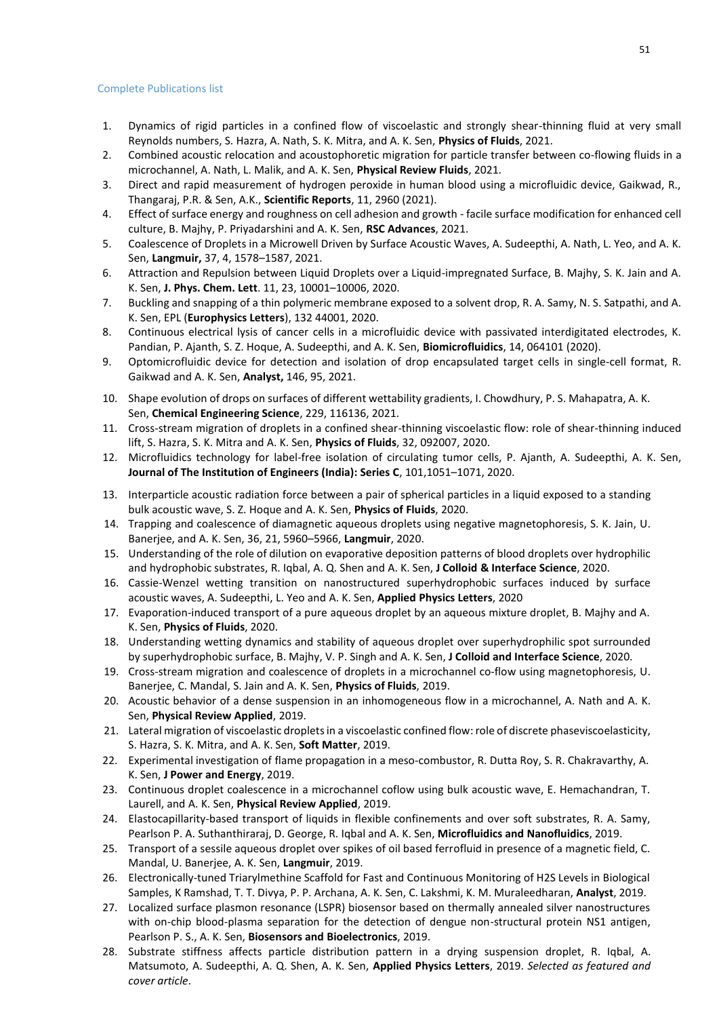## Complete Publications list

- 1. Dynamics of rigid particles in a confined flow of viscoelastic and strongly shear-thinning fluid at very small Reynolds numbers, S. Hazra, A. Nath, S. K. Mitra, and A. K. Sen, **Physics of Fluids**, 2021.
- 2. Combined acoustic relocation and acoustophoretic migration for particle transfer between co-flowing fluids in a microchannel, A. Nath, L. Malik, and A. K. Sen, **Physical Review Fluids**, 2021.
- 3. Direct and rapid measurement of hydrogen peroxide in human blood using a microfluidic device, Gaikwad, R., Thangaraj, P.R. & Sen, A.K., **Scientific Reports**, 11, 2960 (2021).
- 4. Effect of surface energy and roughness on cell adhesion and growth facile surface modification for enhanced cell culture, B. Majhy, P. Priyadarshini and A. K. Sen, **RSC Advances**, 2021.
- 5. Coalescence of Droplets in a Microwell Driven by Surface Acoustic Waves, A. Sudeepthi, A. Nath, L. Yeo, and A. K. Sen, **Langmuir,** 37, 4, 1578–1587, 2021.
- 6. Attraction and Repulsion between Liquid Droplets over a Liquid-impregnated Surface, B. Majhy, S. K. Jain and A. K. Sen, **J. Phys. Chem. Lett**. 11, 23, 10001–10006, 2020.
- 7. Buckling and snapping of a thin polymeric membrane exposed to a solvent drop, R. A. Samy, N. S. Satpathi, and A. K. Sen, EPL (**Europhysics Letters**), 132 44001, 2020.
- 8. Continuous electrical lysis of cancer cells in a microfluidic device with passivated interdigitated electrodes, K. Pandian, P. Ajanth, S. Z. Hoque, A. Sudeepthi, and A. K. Sen, **Biomicrofluidics**, 14, 064101 (2020).
- 9. Optomicrofluidic device for detection and isolation of drop encapsulated target cells in single-cell format, R. Gaikwad and A. K. Sen, **Analyst,** 146, 95, 2021.
- 10. Shape evolution of drops on surfaces of different wettability gradients, I. Chowdhury, P. S. Mahapatra, A. K. Sen, **Chemical Engineering Science**, 229, 116136, 2021.
- 11. Cross-stream migration of droplets in a confined shear-thinning viscoelastic flow: role of shear-thinning induced lift, S. Hazra, S. K. Mitra and A. K. Sen, **Physics of Fluids**, 32, 092007, 2020.
- 12. Microfluidics technology for label-free isolation of circulating tumor cells, P. Ajanth, A. Sudeepthi, A. K. Sen, **Journal of The Institution of Engineers (India): Series C**, 101,1051–1071, 2020.
- 13. Interparticle acoustic radiation force between a pair of spherical particles in a liquid exposed to a standing bulk acoustic wave, S. Z. Hoque and A. K. Sen, **Physics of Fluids**, 2020.
- 14. Trapping and coalescence of diamagnetic aqueous droplets using negative magnetophoresis, S. K. Jain, U. Banerjee, and A. K. Sen, 36, 21, 5960–5966, **Langmuir**, 2020.
- 15. Understanding of the role of dilution on evaporative deposition patterns of blood droplets over hydrophilic and hydrophobic substrates, R. Iqbal, A. Q. Shen and A. K. Sen, **J Colloid & Interface Science**, 2020.
- 16. Cassie-Wenzel wetting transition on nanostructured superhydrophobic surfaces induced by surface acoustic waves, A. Sudeepthi, L. Yeo and A. K. Sen, **Applied Physics Letters**, 2020
- 17. Evaporation-induced transport of a pure aqueous droplet by an aqueous mixture droplet, B. Majhy and A. K. Sen, **Physics of Fluids**, 2020.
- 18. Understanding wetting dynamics and stability of aqueous droplet over superhydrophilic spot surrounded by superhydrophobic surface, B. Majhy, V. P. Singh and A. K. Sen, **J Colloid and Interface Science**, 2020.
- 19. Cross-stream migration and coalescence of droplets in a microchannel co-flow using magnetophoresis, U. Banerjee, C. Mandal, S. Jain and A. K. Sen, **Physics of Fluids**, 2019.
- 20. Acoustic behavior of a dense suspension in an inhomogeneous flow in a microchannel, A. Nath and A. K. Sen, **Physical Review Applied**, 2019.
- 21. Lateral migration of viscoelastic dropletsin a viscoelastic confined flow:role of discrete phaseviscoelasticity, S. Hazra, S. K. Mitra, and A. K. Sen, **Soft Matter**, 2019.
- 22. Experimental investigation of flame propagation in a meso-combustor, R. Dutta Roy, S. R. Chakravarthy, A. K. Sen, **J Power and Energy**, 2019.
- 23. Continuous droplet coalescence in a microchannel coflow using bulk acoustic wave, E. Hemachandran, T. Laurell, and A. K. Sen, **Physical Review Applied**, 2019.
- 24. Elastocapillarity-based transport of liquids in flexible confinements and over soft substrates, R. A. Samy, Pearlson P. A. Suthanthiraraj, D. George, R. Iqbal and A. K. Sen, **Microfluidics and Nanofluidics**, 2019.
- 25. Transport of a sessile aqueous droplet over spikes of oil based ferrofluid in presence of a magnetic field, C. Mandal, U. Banerjee, A. K. Sen, **Langmuir**, 2019.
- 26. Electronically-tuned Triarylmethine Scaffold for Fast and Continuous Monitoring of H2S Levels in Biological Samples, K Ramshad, T. T. Divya, P. P. Archana, A. K. Sen, C. Lakshmi, K. M. Muraleedharan, **Analyst**, 2019.
- 27. Localized surface plasmon resonance (LSPR) biosensor based on thermally annealed silver nanostructures with on-chip blood-plasma separation for the detection of dengue non-structural protein NS1 antigen, Pearlson P. S., A. K. Sen, **Biosensors and Bioelectronics**, 2019.
- 28. Substrate stiffness affects particle distribution pattern in a drying suspension droplet, R. Iqbal, A. Matsumoto, A. Sudeepthi, A. Q. Shen, A. K. Sen, **Applied Physics Letters**, 2019. *Selected as featured and cover article*.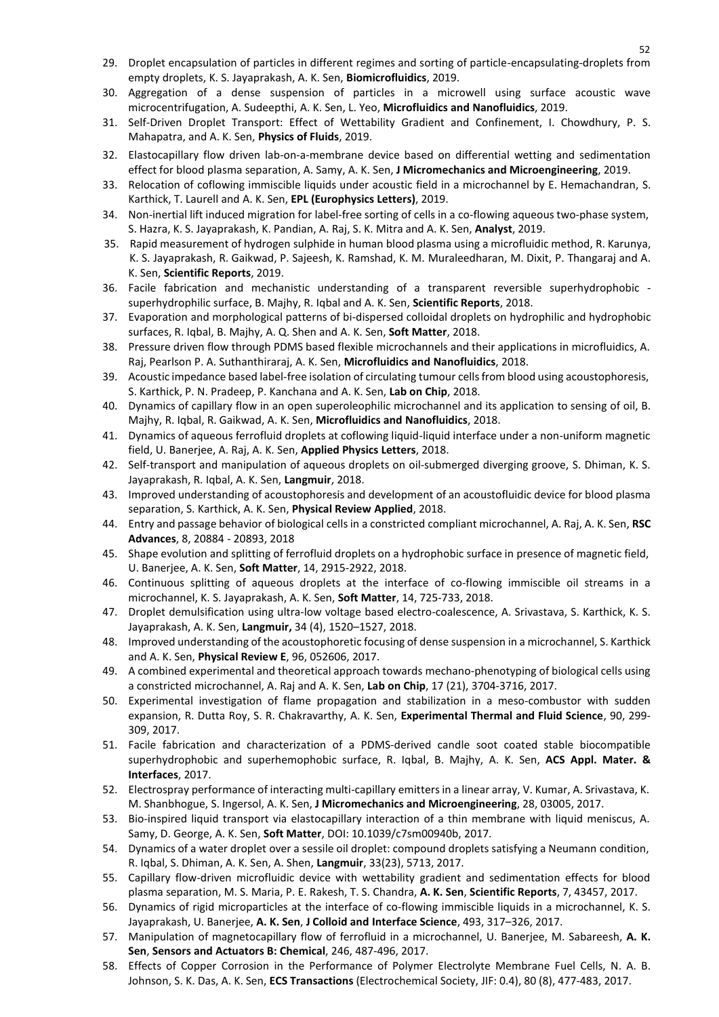- 29. Droplet encapsulation of particles in different regimes and sorting of particle-encapsulating-droplets from empty droplets, K. S. Jayaprakash, A. K. Sen, **Biomicrofluidics**, 2019.
- 30. Aggregation of a dense suspension of particles in a microwell using surface acoustic wave microcentrifugation, A. Sudeepthi, A. K. Sen, L. Yeo, **Microfluidics and Nanofluidics**, 2019.
- 31. Self-Driven Droplet Transport: Effect of Wettability Gradient and Confinement, I. Chowdhury, P. S. Mahapatra, and A. K. Sen, **Physics of Fluids**, 2019.
- 32. Elastocapillary flow driven lab-on-a-membrane device based on differential wetting and sedimentation effect for blood plasma separation, A. Samy, A. K. Sen, **J Micromechanics and Microengineering**, 2019.
- 33. Relocation of coflowing immiscible liquids under acoustic field in a microchannel by E. Hemachandran, S. Karthick, T. Laurell and A. K. Sen, **EPL (Europhysics Letters)**, 2019.
- 34. Non-inertial lift induced migration for label-free sorting of cells in a co-flowing aqueous two-phase system, S. Hazra, K. S. Jayaprakash, K. Pandian, A. Raj, S. K. Mitra and A. K. Sen, **Analyst**, 2019.
- 35. Rapid measurement of hydrogen sulphide in human blood plasma using a microfluidic method, R. Karunya, K. S. Jayaprakash, R. Gaikwad, P. Sajeesh, K. Ramshad, K. M. Muraleedharan, M. Dixit, P. Thangaraj and A. K. Sen, **Scientific Reports**, 2019.
- 36. Facile fabrication and mechanistic understanding of a transparent reversible superhydrophobic superhydrophilic surface, B. Majhy, R. Iqbal and A. K. Sen, **Scientific Reports**, 2018.
- 37. Evaporation and morphological patterns of bi-dispersed colloidal droplets on hydrophilic and hydrophobic surfaces, R. Iqbal, B. Majhy, A. Q. Shen and A. K. Sen, **Soft Matter**, 2018.
- 38. Pressure driven flow through PDMS based flexible microchannels and their applications in microfluidics, A. Raj, Pearlson P. A. Suthanthiraraj, A. K. Sen, **Microfluidics and Nanofluidics**, 2018.
- 39. Acoustic impedance based label-free isolation of circulating tumour cellsfrom blood using acoustophoresis, S. Karthick, P. N. Pradeep, P. Kanchana and A. K. Sen, **Lab on Chip**, 2018.
- 40. Dynamics of capillary flow in an open superoleophilic microchannel and its application to sensing of oil, B. Majhy, R. Iqbal, R. Gaikwad, A. K. Sen, **Microfluidics and Nanofluidics**, 2018.
- 41. Dynamics of aqueous ferrofluid droplets at coflowing liquid-liquid interface under a non-uniform magnetic field, U. Banerjee, A. Raj, A. K. Sen, **Applied Physics Letters**, 2018.
- 42. Self-transport and manipulation of aqueous droplets on oil-submerged diverging groove, S. Dhiman, K. S. Jayaprakash, R. Iqbal, A. K. Sen, **Langmuir**, 2018.
- 43. Improved understanding of acoustophoresis and development of an acoustofluidic device for blood plasma separation, S. Karthick, A. K. Sen, **Physical Review Applied**, 2018.
- 44. Entry and passage behavior of biological cellsin a constricted compliant microchannel, A. Raj, A. K. Sen, **RSC Advances**, 8, 20884 - 20893, 2018
- 45. Shape evolution and splitting of ferrofluid droplets on a hydrophobic surface in presence of magnetic field, U. Banerjee, A. K. Sen, **Soft Matter**, 14, 2915-2922, 2018.
- 46. Continuous splitting of aqueous droplets at the interface of co-flowing immiscible oil streams in a microchannel, K. S. Jayaprakash, A. K. Sen, **Soft Matter**, 14, 725-733, 2018.
- 47. Droplet demulsification using ultra-low voltage based electro-coalescence, A. Srivastava, S. Karthick, K. S. Jayaprakash, A. K. Sen, **Langmuir,** 34 (4), 1520–1527, 2018.
- 48. Improved understanding of the acoustophoretic focusing of dense suspension in a microchannel, S. Karthick and A. K. Sen, **Physical Review E**, 96, 052606, 2017.
- 49. A combined experimental and theoretical approach towards mechano-phenotyping of biological cells using a constricted microchannel, A. Raj and A. K. Sen, **Lab on Chip**, 17 (21), 3704-3716, 2017.
- 50. Experimental investigation of flame propagation and stabilization in a meso-combustor with sudden expansion, R. Dutta Roy, S. R. Chakravarthy, A. K. Sen, **Experimental Thermal and Fluid Science**, 90, 299- 309, 2017.
- 51. Facile fabrication and characterization of a PDMS-derived candle soot coated stable biocompatible superhydrophobic and superhemophobic surface, R. Iqbal, B. Majhy, A. K. Sen, **ACS Appl. Mater. & Interfaces**, 2017.
- 52. Electrospray performance of interacting multi-capillary emittersin a linear array, V. Kumar, A. Srivastava, K. M. Shanbhogue, S. Ingersol, A. K. Sen, **J Micromechanics and Microengineering**, 28, 03005, 2017.
- 53. Bio-inspired liquid transport via elastocapillary interaction of a thin membrane with liquid meniscus, A. Samy, D. George, A. K. Sen, **Soft Matter**, DOI: 10.1039/c7sm00940b, 2017.
- 54. Dynamics of a water droplet over a sessile oil droplet: compound droplets satisfying a Neumann condition, R. Iqbal, S. Dhiman, A. K. Sen, A. Shen, **Langmuir**, 33(23), 5713, 2017.
- 55. Capillary flow-driven microfluidic device with wettability gradient and sedimentation effects for blood plasma separation, M. S. Maria, P. E. Rakesh, T. S. Chandra, **A. K. Sen**, **Scientific Reports**, 7, 43457, 2017.
- 56. Dynamics of rigid microparticles at the interface of co-flowing immiscible liquids in a microchannel, K. S. Jayaprakash, U. Banerjee, **A. K. Sen**, **J Colloid and Interface Science**, 493, 317–326, 2017.
- 57. Manipulation of magnetocapillary flow of ferrofluid in a microchannel, U. Banerjee, M. Sabareesh, **A. K. Sen**, **Sensors and Actuators B: Chemical**, 246, 487-496, 2017.
- 58. Effects of Copper Corrosion in the Performance of Polymer Electrolyte Membrane Fuel Cells, N. A. B. Johnson, S. K. Das, A. K. Sen, **ECS Transactions** (Electrochemical Society, JIF: 0.4), 80 (8), 477-483, 2017.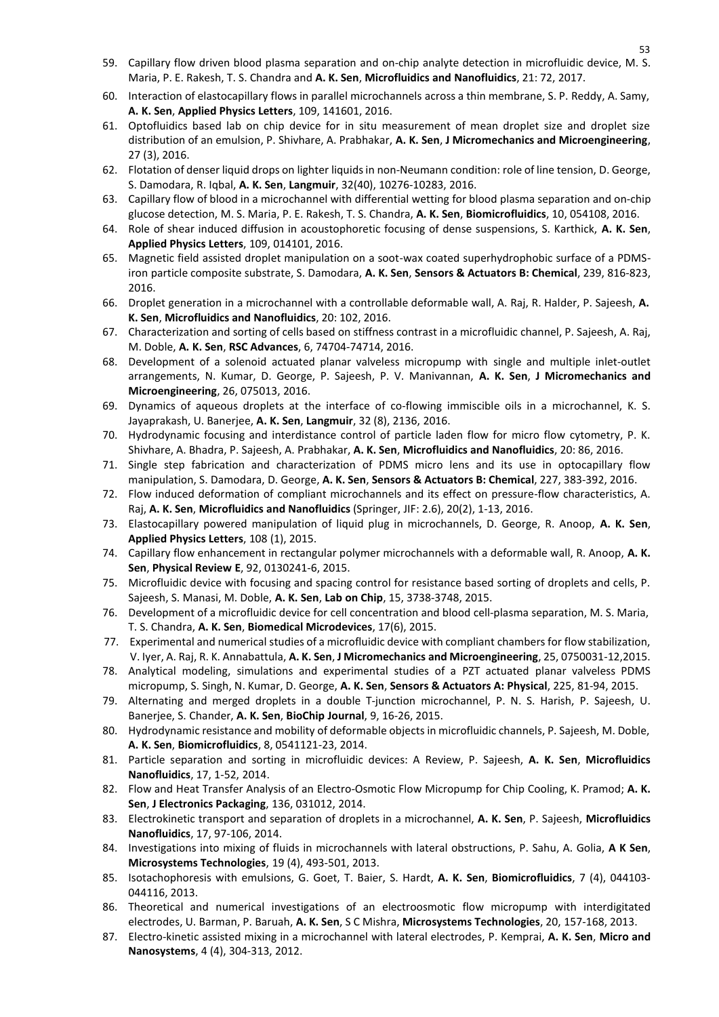- 59. Capillary flow driven blood plasma separation and on-chip analyte detection in microfluidic device, M. S. Maria, P. E. Rakesh, T. S. Chandra and **A. K. Sen**, **Microfluidics and Nanofluidics**, 21: 72, 2017.
- 60. Interaction of elastocapillary flows in parallel microchannels across a thin membrane, S. P. Reddy, A. Samy, **A. K. Sen**, **Applied Physics Letters**, 109, 141601, 2016.
- 61. Optofluidics based lab on chip device for in situ measurement of mean droplet size and droplet size distribution of an emulsion, P. Shivhare, A. Prabhakar, **A. K. Sen**, **J Micromechanics and Microengineering**, 27 (3), 2016.
- 62. Flotation of denser liquid drops on lighter liquidsin non-Neumann condition: role of line tension, D. George, S. Damodara, R. Iqbal, **A. K. Sen**, **Langmuir**, 32(40), 10276-10283, 2016.
- 63. Capillary flow of blood in a microchannel with differential wetting for blood plasma separation and on-chip glucose detection, M. S. Maria, P. E. Rakesh, T. S. Chandra, **A. K. Sen**, **Biomicrofluidics**, 10, 054108, 2016.
- 64. Role of shear induced diffusion in acoustophoretic focusing of dense suspensions, S. Karthick, **A. K. Sen**, **Applied Physics Letters**, 109, 014101, 2016.
- 65. Magnetic field assisted droplet manipulation on a soot-wax coated superhydrophobic surface of a PDMSiron particle composite substrate, S. Damodara, **A. K. Sen**, **Sensors & Actuators B: Chemical**, 239, 816-823, 2016.
- 66. Droplet generation in a microchannel with a controllable deformable wall, A. Raj, R. Halder, P. Sajeesh, **A. K. Sen**, **Microfluidics and Nanofluidics**, 20: 102, 2016.
- 67. Characterization and sorting of cells based on stiffness contrast in a microfluidic channel, P. Sajeesh, A. Raj, M. Doble, **A. K. Sen**, **RSC Advances**, 6, 74704-74714, 2016.
- 68. Development of a solenoid actuated planar valveless micropump with single and multiple inlet-outlet arrangements, N. Kumar, D. George, P. Sajeesh, P. V. Manivannan, **A. K. Sen**, **J Micromechanics and Microengineering**, 26, 075013, 2016.
- 69. Dynamics of aqueous droplets at the interface of co-flowing immiscible oils in a microchannel, K. S. Jayaprakash, U. Banerjee, **A. K. Sen**, **Langmuir**, 32 (8), 2136, 2016.
- 70. Hydrodynamic focusing and interdistance control of particle laden flow for micro flow cytometry, P. K. Shivhare, A. Bhadra, P. Sajeesh, A. Prabhakar, **A. K. Sen**, **Microfluidics and Nanofluidics**, 20: 86, 2016.
- 71. Single step fabrication and characterization of PDMS micro lens and its use in optocapillary flow manipulation, S. Damodara, D. George, **A. K. Sen**, **Sensors & Actuators B: Chemical**, 227, 383-392, 2016.
- 72. Flow induced deformation of compliant microchannels and its effect on pressure-flow characteristics, A. Raj, **A. K. Sen**, **Microfluidics and Nanofluidics** (Springer, JIF: 2.6), 20(2), 1-13, 2016.
- 73. Elastocapillary powered manipulation of liquid plug in microchannels, D. George, R. Anoop, **A. K. Sen**, **Applied Physics Letters**, 108 (1), 2015.
- 74. Capillary flow enhancement in rectangular polymer microchannels with a deformable wall, R. Anoop, **A. K. Sen**, **Physical Review E**, 92, 0130241-6, 2015.
- 75. Microfluidic device with focusing and spacing control for resistance based sorting of droplets and cells, P. Sajeesh, S. Manasi, M. Doble, **A. K. Sen**, **Lab on Chip**, 15, 3738-3748, 2015.
- 76. Development of a microfluidic device for cell concentration and blood cell-plasma separation, M. S. Maria, T. S. Chandra, **A. K. Sen**, **Biomedical Microdevices**, 17(6), 2015.
- 77. Experimental and numerical studies of a microfluidic device with compliant chambers for flow stabilization, V. Iyer, A. Raj, R. K. Annabattula, **A. K. Sen**, **J Micromechanics and Microengineering**, 25, 0750031-12,2015.
- 78. Analytical modeling, simulations and experimental studies of a PZT actuated planar valveless PDMS micropump, S. Singh, N. Kumar, D. George, **A. K. Sen**, **Sensors & Actuators A: Physical**, 225, 81-94, 2015.
- 79. Alternating and merged droplets in a double T-junction microchannel, P. N. S. Harish, P. Sajeesh, U. Banerjee, S. Chander, **A. K. Sen**, **BioChip Journal**, 9, 16-26, 2015.
- 80. Hydrodynamic resistance and mobility of deformable objects in microfluidic channels, P. Sajeesh, M. Doble, **A. K. Sen**, **Biomicrofluidics**, 8, 0541121-23, 2014.
- 81. Particle separation and sorting in microfluidic devices: A Review, P. Sajeesh, **A. K. Sen**, **Microfluidics Nanofluidics**, 17, 1-52, 2014.
- 82. Flow and Heat Transfer Analysis of an Electro-Osmotic Flow Micropump for Chip Cooling, K. Pramod; **A. K. Sen**, **J Electronics Packaging**, 136, 031012, 2014.
- 83. Electrokinetic transport and separation of droplets in a microchannel, **A. K. Sen**, P. Sajeesh, **Microfluidics Nanofluidics**, 17, 97-106, 2014.
- 84. Investigations into mixing of fluids in microchannels with lateral obstructions, P. Sahu, A. Golia, **A K Sen**, **Microsystems Technologies**, 19 (4), 493-501, 2013.
- 85. Isotachophoresis with emulsions, G. Goet, T. Baier, S. Hardt, **A. K. Sen**, **Biomicrofluidics**, 7 (4), 044103- 044116, 2013.
- 86. Theoretical and numerical investigations of an electroosmotic flow micropump with interdigitated electrodes, U. Barman, P. Baruah, **A. K. Sen**, S C Mishra, **Microsystems Technologies**, 20, 157-168, 2013.
- 87. Electro-kinetic assisted mixing in a microchannel with lateral electrodes, P. Kemprai, **A. K. Sen**, **Micro and Nanosystems**, 4 (4), 304-313, 2012.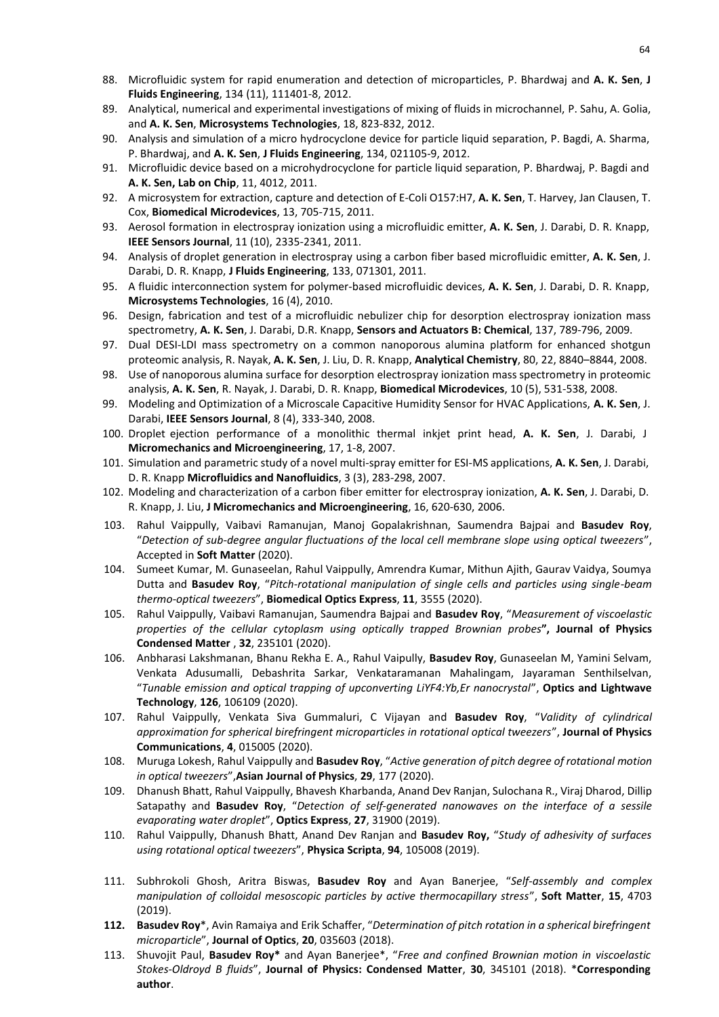- 88. Microfluidic system for rapid enumeration and detection of microparticles, P. Bhardwaj and **A. K. Sen**, **J Fluids Engineering**, 134 (11), 111401-8, 2012.
- 89. Analytical, numerical and experimental investigations of mixing of fluids in microchannel, P. Sahu, A. Golia, and **A. K. Sen**, **Microsystems Technologies**, 18, 823-832, 2012.
- 90. Analysis and simulation of a micro hydrocyclone device for particle liquid separation, P. Bagdi, A. Sharma, P. Bhardwaj, and **A. K. Sen**, **J Fluids Engineering**, 134, 021105-9, 2012.
- 91. Microfluidic device based on a microhydrocyclone for particle liquid separation, P. Bhardwaj, P. Bagdi and **A. K. Sen, Lab on Chip**, 11, 4012, 2011.
- 92. A microsystem for extraction, capture and detection of E-Coli O157:H7, **A. K. Sen**, T. Harvey, Jan Clausen, T. Cox, **Biomedical Microdevices**, 13, 705-715, 2011.
- 93. Aerosol formation in electrospray ionization using a microfluidic emitter, **A. K. Sen**, J. Darabi, D. R. Knapp, **IEEE Sensors Journal**, 11 (10), 2335-2341, 2011.
- 94. Analysis of droplet generation in electrospray using a carbon fiber based microfluidic emitter, **A. K. Sen**, J. Darabi, D. R. Knapp, **J Fluids Engineering**, 133, 071301, 2011.
- 95. A fluidic interconnection system for polymer-based microfluidic devices, **A. K. Sen**, J. Darabi, D. R. Knapp, **Microsystems Technologies**, 16 (4), 2010.
- 96. Design, fabrication and test of a microfluidic nebulizer chip for desorption electrospray ionization mass spectrometry, **A. K. Sen**, J. Darabi, D.R. Knapp, **Sensors and Actuators B: Chemical**, 137, 789-796, 2009.
- 97. Dual DESI-LDI mass spectrometry on a common nanoporous alumina platform for enhanced shotgun proteomic analysis, R. Nayak, **A. K. Sen**, J. Liu, D. R. Knapp, **Analytical Chemistry**, 80, 22, 8840–8844, 2008.
- 98. Use of nanoporous alumina surface for desorption electrospray ionization mass spectrometry in proteomic analysis, **A. K. Sen**, R. Nayak, J. Darabi, D. R. Knapp, **Biomedical Microdevices**, 10 (5), 531-538, 2008.
- 99. Modeling and Optimization of a Microscale Capacitive Humidity Sensor for HVAC Applications, **A. K. Sen**, J. Darabi, **IEEE Sensors Journal**, 8 (4), 333-340, 2008.
- 100. Droplet ejection performance of a monolithic thermal inkjet print head, **A. K. Sen**, J. Darabi, J **Micromechanics and Microengineering**, 17, 1-8, 2007.
- 101. Simulation and parametric study of a novel multi-spray emitter for ESI-MS applications, **A. K. Sen**, J. Darabi, D. R. Knapp **Microfluidics and Nanofluidics**, 3 (3), 283-298, 2007.
- 102. Modeling and characterization of a carbon fiber emitter for electrospray ionization, **A. K. Sen**, J. Darabi, D. R. Knapp, J. Liu, **J Micromechanics and Microengineering**, 16, 620-630, 2006.
- 103. Rahul Vaippully, Vaibavi Ramanujan, Manoj Gopalakrishnan, Saumendra Bajpai and **Basudev Roy**, "*Detection of sub-degree angular fluctuations of the local cell membrane slope using optical tweezers*", Accepted in **Soft Matter** (2020).
- 104. Sumeet Kumar, M. Gunaseelan, Rahul Vaippully, Amrendra Kumar, Mithun Ajith, Gaurav Vaidya, Soumya Dutta and **Basudev Roy**, "*Pitch-rotational manipulation of single cells and particles using single-beam thermo-optical tweezers*", **Biomedical Optics Express**, **11**, 3555 (2020).
- 105. Rahul Vaippully, Vaibavi Ramanujan, Saumendra Bajpai and **Basudev Roy**, "*Measurement of viscoelastic properties of the cellular cytoplasm using optically trapped Brownian probes***", Journal of Physics Condensed Matter** , **32**, 235101 (2020).
- 106. Anbharasi Lakshmanan, Bhanu Rekha E. A., Rahul Vaipully, **Basudev Roy**, Gunaseelan M, Yamini Selvam, Venkata Adusumalli, Debashrita Sarkar, Venkataramanan Mahalingam, Jayaraman Senthilselvan, "*Tunable emission and optical trapping of upconverting LiYF4:Yb,Er nanocrystal*", **Optics and Lightwave Technology**, **126**, 106109 (2020).
- 107. Rahul Vaippully, Venkata Siva Gummaluri, C Vijayan and **Basudev Roy**, "*Validity of cylindrical approximation for spherical birefringent microparticles in rotational optical tweezers*", **Journal of Physics Communications**, **4**, 015005 (2020).
- 108. Muruga Lokesh, Rahul Vaippully and **Basudev Roy**, "*Active generation of pitch degree of rotational motion in optical tweezers*",**Asian Journal of Physics**, **29**, 177 (2020).
- 109. Dhanush Bhatt, Rahul Vaippully, Bhavesh Kharbanda, Anand Dev Ranjan, Sulochana R., Viraj Dharod, Dillip Satapathy and **Basudev Roy**, "*Detection of self-generated nanowaves on the interface of a sessile evaporating water droplet*", **Optics Express**, **27**, 31900 (2019).
- 110. Rahul Vaippully, Dhanush Bhatt, Anand Dev Ranjan and **Basudev Roy,** "*Study of adhesivity of surfaces using rotational optical tweezers*", **Physica Scripta**, **94**, 105008 (2019).
- 111. Subhrokoli Ghosh, Aritra Biswas, **Basudev Roy** and Ayan Banerjee, "*Self-assembly and complex manipulation of colloidal mesoscopic particles by active thermocapillary stress*", **Soft Matter**, **15**, 4703 (2019).
- **112. Basudev Roy**\*, Avin Ramaiya and Erik Schaffer, "*Determination of pitch rotation in a spherical birefringent microparticle*", **Journal of Optics**, **20**, 035603 (2018).
- 113. Shuvojit Paul, **Basudev Roy\*** and Ayan Banerjee\*, "*Free and confined Brownian motion in viscoelastic Stokes-Oldroyd B fluids*", **Journal of Physics: Condensed Matter**, **30**, 345101 (2018). \***Corresponding author**.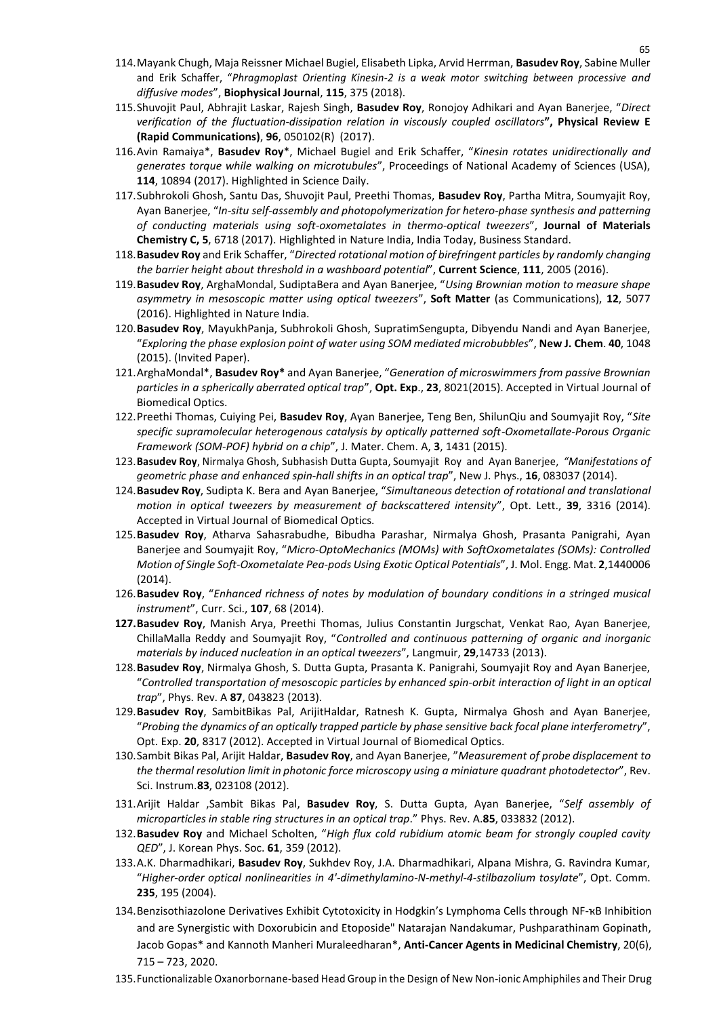- 114.Mayank Chugh, Maja Reissner Michael Bugiel, Elisabeth Lipka, Arvid Herrman, **Basudev Roy**, Sabine Muller and Erik Schaffer, "*Phragmoplast Orienting Kinesin-2 is a weak motor switching between processive and diffusive modes*", **Biophysical Journal**, **115**, 375 (2018).
- 115.Shuvojit Paul, Abhrajit Laskar, Rajesh Singh, **Basudev Roy**, Ronojoy Adhikari and Ayan Banerjee, "*Direct verification of the fluctuation-dissipation relation in viscously coupled oscillators***", Physical Review E (Rapid Communications)**, **96**, 050102(R) (2017).
- 116.Avin Ramaiya\*, **Basudev Roy**\*, Michael Bugiel and Erik Schaffer, "*Kinesin rotates unidirectionally and generates torque while walking on microtubules*", Proceedings of National Academy of Sciences (USA), **114**, 10894 (2017). Highlighted in Science Daily.
- 117.Subhrokoli Ghosh, Santu Das, Shuvojit Paul, Preethi Thomas, **Basudev Roy**, Partha Mitra, Soumyajit Roy, Ayan Banerjee, "*In-situ self-assembly and photopolymerization for hetero-phase synthesis and patterning of conducting materials using soft-oxometalates in thermo-optical tweezers*", **Journal of Materials Chemistry C, 5**, 6718 (2017). Highlighted in Nature India, India Today, Business Standard.
- 118.**Basudev Roy** and Erik Schaffer, "*Directed rotational motion of birefringent particles by randomly changing the barrier height about threshold in a washboard potential*", **Current Science**, **111**, 2005 (2016).
- 119.**Basudev Roy**, ArghaMondal, SudiptaBera and Ayan Banerjee, "*Using Brownian motion to measure shape asymmetry in mesoscopic matter using optical tweezers*", **Soft Matter** (as Communications), **12**, 5077 (2016). Highlighted in Nature India.
- 120.**Basudev Roy**, MayukhPanja, Subhrokoli Ghosh, SupratimSengupta, Dibyendu Nandi and Ayan Banerjee, "*Exploring the phase explosion point of water using SOM mediated microbubbles*", **New J. Chem**. **40**, 1048 (2015). (Invited Paper).
- 121.ArghaMondal\*, **Basudev Roy\*** and Ayan Banerjee, "*Generation of microswimmers from passive Brownian particles in a spherically aberrated optical trap*", **Opt. Exp**., **23**, 8021(2015). Accepted in Virtual Journal of Biomedical Optics.
- 122.Preethi Thomas, Cuiying Pei, **Basudev Roy**, Ayan Banerjee, Teng Ben, ShilunQiu and Soumyajit Roy, "*Site specific supramolecular heterogenous catalysis by optically patterned soft-Oxometallate-Porous Organic Framework (SOM-POF) hybrid on a chip*", J. Mater. Chem. A, **3**, 1431 (2015).
- 123.**Basudev Roy**, Nirmalya Ghosh, Subhasish Dutta Gupta, Soumyajit Roy and Ayan Banerjee, *"Manifestations of geometric phase and enhanced spin-hall shifts in an optical trap*", New J. Phys., **16**, 083037 (2014).
- 124.**Basudev Roy**, Sudipta K. Bera and Ayan Banerjee, "*Simultaneous detection of rotational and translational motion in optical tweezers by measurement of backscattered intensity*", Opt. Lett., **39**, 3316 (2014). Accepted in Virtual Journal of Biomedical Optics.
- 125.**Basudev Roy**, Atharva Sahasrabudhe, Bibudha Parashar, Nirmalya Ghosh, Prasanta Panigrahi, Ayan Banerjee and Soumyajit Roy, "*Micro-OptoMechanics (MOMs) with SoftOxometalates (SOMs): Controlled Motion of Single Soft-Oxometalate Pea-pods Using Exotic Optical Potentials*", J. Mol. Engg. Mat. **2**,1440006 (2014).
- 126.**Basudev Roy**, "*Enhanced richness of notes by modulation of boundary conditions in a stringed musical instrument*", Curr. Sci., **107**, 68 (2014).
- **127.Basudev Roy**, Manish Arya, Preethi Thomas, Julius Constantin Jurgschat, Venkat Rao, Ayan Banerjee, ChillaMalla Reddy and Soumyajit Roy, "*Controlled and continuous patterning of organic and inorganic materials by induced nucleation in an optical tweezers*", Langmuir, **29**,14733 (2013).
- 128.**Basudev Roy**, Nirmalya Ghosh, S. Dutta Gupta, Prasanta K. Panigrahi, Soumyajit Roy and Ayan Banerjee, "*Controlled transportation of mesoscopic particles by enhanced spin-orbit interaction of light in an optical trap*", Phys. Rev. A **87**, 043823 (2013).
- 129.**Basudev Roy**, SambitBikas Pal, ArijitHaldar, Ratnesh K. Gupta, Nirmalya Ghosh and Ayan Banerjee, "*Probing the dynamics of an optically trapped particle by phase sensitive back focal plane interferometry*", Opt. Exp. **20**, 8317 (2012). Accepted in Virtual Journal of Biomedical Optics.
- 130.Sambit Bikas Pal, Arijit Haldar, **Basudev Roy**, and Ayan Banerjee, "*Measurement of probe displacement to the thermal resolution limit in photonic force microscopy using a miniature quadrant photodetector*", Rev. Sci. Instrum.**83**, 023108 (2012).
- 131.Arijit Haldar ,Sambit Bikas Pal, **Basudev Roy**, S. Dutta Gupta, Ayan Banerjee, "*Self assembly of microparticles in stable ring structures in an optical trap*." Phys. Rev. A.**85**, 033832 (2012).
- 132.**Basudev Roy** and Michael Scholten, "*High flux cold rubidium atomic beam for strongly coupled cavity QED*", J. Korean Phys. Soc. **61**, 359 (2012).
- 133.A.K. Dharmadhikari, **Basudev Roy**, Sukhdev Roy, J.A. Dharmadhikari, Alpana Mishra, G. Ravindra Kumar, "*Higher-order optical nonlinearities in 4'-dimethylamino-N-methyl-4-stilbazolium tosylate*", Opt. Comm. **235**, 195 (2004).
- 134. Benzisothiazolone Derivatives Exhibit Cytotoxicity in Hodgkin's Lymphoma Cells through NF-κB Inhibition and are Synergistic with Doxorubicin and Etoposide" Natarajan Nandakumar, Pushparathinam Gopinath, Jacob Gopas\* and Kannoth Manheri Muraleedharan\*, **Anti-Cancer Agents in Medicinal Chemistry**, 20(6), 715 – 723, 2020.
- 135.Functionalizable Oxanorbornane-based Head Group in the Design of New Non-ionic Amphiphiles and Their Drug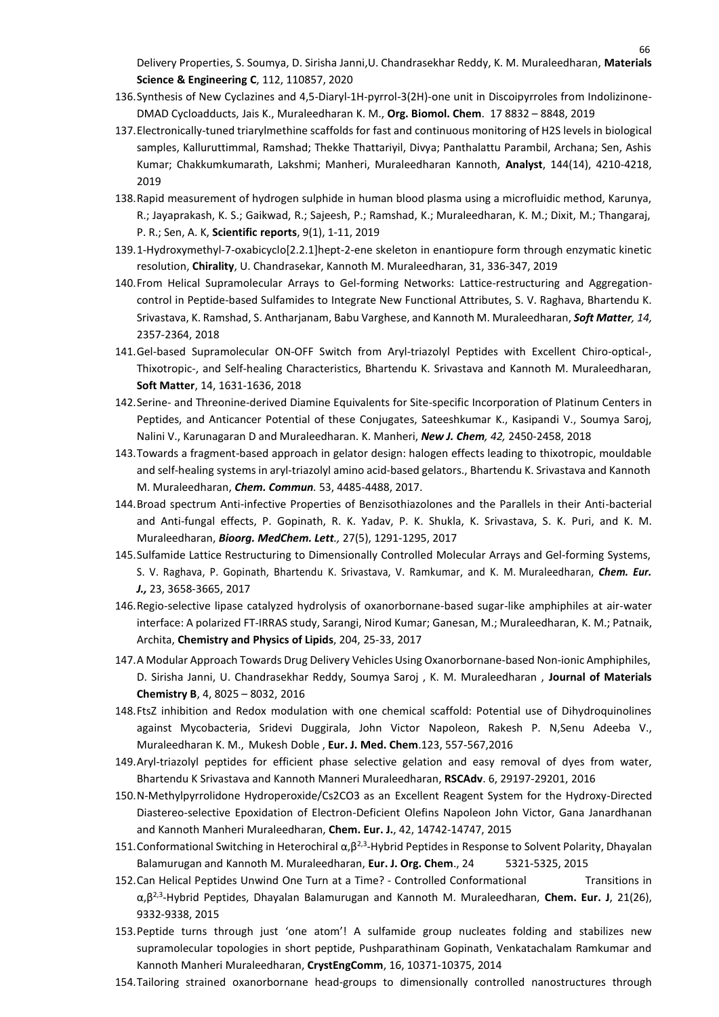Delivery Properties, S. Soumya, D. Sirisha Janni,U. Chandrasekhar Reddy, K. M. Muraleedharan, **Materials Science & Engineering C**, 112, 110857, 2020

66

- 136.Synthesis of New Cyclazines and 4,5-Diaryl-1H-pyrrol-3(2H)-one unit in Discoipyrroles from Indolizinone-DMAD Cycloadducts, Jais K., Muraleedharan K. M., **Org. Biomol. Chem**. 17 8832 – 8848, 2019
- 137.Electronically-tuned triarylmethine scaffolds for fast and continuous monitoring of H2S levels in biological samples, Kalluruttimmal, Ramshad; Thekke Thattariyil, Divya; Panthalattu Parambil, Archana; Sen, Ashis Kumar; Chakkumkumarath, Lakshmi; Manheri, Muraleedharan Kannoth, **Analyst**, 144(14), 4210-4218, 2019
- 138.Rapid measurement of hydrogen sulphide in human blood plasma using a microfluidic method, Karunya, R.; Jayaprakash, K. S.; Gaikwad, R.; Sajeesh, P.; Ramshad, K.; Muraleedharan, K. M.; Dixit, M.; Thangaraj, P. R.; Sen, A. K, **Scientific reports**, 9(1), 1-11, 2019
- 139.1-Hydroxymethyl-7-oxabicyclo[2.2.1]hept-2-ene skeleton in enantiopure form through enzymatic kinetic resolution, **Chirality**, U. Chandrasekar, Kannoth M. Muraleedharan, 31, 336-347, 2019
- 140.From Helical Supramolecular Arrays to Gel-forming Networks: Lattice-restructuring and Aggregationcontrol in Peptide-based Sulfamides to Integrate New Functional Attributes, S. V. Raghava, Bhartendu K. Srivastava, K. Ramshad, S. Antharjanam, Babu Varghese, and Kannoth M. Muraleedharan, *Soft Matter, 14,* 2357-2364, 2018
- 141.Gel-based Supramolecular ON-OFF Switch from Aryl-triazolyl Peptides with Excellent Chiro-optical-, Thixotropic-, and Self-healing Characteristics, Bhartendu K. Srivastava and Kannoth M. Muraleedharan, **Soft Matter**, 14, 1631-1636, 2018
- 142.Serine- and Threonine-derived Diamine Equivalents for Site-specific Incorporation of Platinum Centers in Peptides, and Anticancer Potential of these Conjugates, Sateeshkumar K., Kasipandi V., Soumya Saroj, Nalini V., Karunagaran D and Muraleedharan. K. Manheri, *New J. Chem, 42,* 2450-2458, 2018
- 143.Towards a fragment-based approach in gelator design: halogen effects leading to thixotropic, mouldable and self-healing systems in aryl-triazolyl amino acid-based gelators., Bhartendu K. Srivastava and Kannoth M. Muraleedharan, *Chem. Commun.* 53, 4485-4488, 2017.
- 144.Broad spectrum Anti-infective Properties of Benzisothiazolones and the Parallels in their Anti-bacterial and Anti-fungal effects, P. Gopinath, R. K. Yadav, P. K. Shukla, K. Srivastava, S. K. Puri, and K. M. Muraleedharan, *Bioorg. MedChem. Lett.,* 27(5), 1291-1295, 2017
- 145.Sulfamide Lattice Restructuring to Dimensionally Controlled Molecular Arrays and Gel-forming Systems, S. V. Raghava, P. Gopinath, Bhartendu K. Srivastava, V. Ramkumar, and K. M. Muraleedharan, *Chem. Eur. J.,* 23, 3658-3665, 2017
- 146.Regio-selective lipase catalyzed hydrolysis of oxanorbornane-based sugar-like amphiphiles at air-water interface: A polarized FT-IRRAS study, Sarangi, Nirod Kumar; Ganesan, M.; Muraleedharan, K. M.; Patnaik, Archita, **Chemistry and Physics of Lipids**, 204, 25-33, 2017
- 147.A Modular Approach Towards Drug Delivery Vehicles Using Oxanorbornane-based Non-ionic Amphiphiles, D. Sirisha Janni, U. Chandrasekhar Reddy, Soumya Saroj , K. M. Muraleedharan , **Journal of Materials Chemistry B**, 4, 8025 – 8032, 2016
- 148.FtsZ inhibition and Redox modulation with one chemical scaffold: Potential use of Dihydroquinolines against Mycobacteria, Sridevi Duggirala, John Victor Napoleon, Rakesh P. N,Senu Adeeba V., Muraleedharan K. M., Mukesh Doble , **Eur. J. Med. Chem**.123, 557-567,2016
- 149.Aryl-triazolyl peptides for efficient phase selective gelation and easy removal of dyes from water, Bhartendu K Srivastava and Kannoth Manneri Muraleedharan, **RSCAdv**. 6, 29197-29201, 2016
- 150.N-Methylpyrrolidone Hydroperoxide/Cs2CO3 as an Excellent Reagent System for the Hydroxy-Directed Diastereo-selective Epoxidation of Electron-Deficient Olefins Napoleon John Victor, Gana Janardhanan and Kannoth Manheri Muraleedharan, **Chem. Eur. J.**, 42, 14742-14747, 2015
- 151. Conformational Switching in Heterochiral α,β<sup>2,3</sup>-Hybrid Peptides in Response to Solvent Polarity, Dhayalan Balamurugan and Kannoth M. Muraleedharan, **Eur. J. Org. Chem**., 24 5321-5325, 2015
- 152.Can Helical Peptides Unwind One Turn at a Time? Controlled Conformational Transitions in α,β2,3 -Hybrid Peptides, Dhayalan Balamurugan and Kannoth M. Muraleedharan, **Chem. Eur. J**, 21(26), 9332-9338, 2015
- 153.Peptide turns through just 'one atom'! A sulfamide group nucleates folding and stabilizes new supramolecular topologies in short peptide, Pushparathinam Gopinath, Venkatachalam Ramkumar and Kannoth Manheri Muraleedharan, **CrystEngComm**, 16, 10371-10375, 2014
- 154.Tailoring strained oxanorbornane head-groups to dimensionally controlled nanostructures through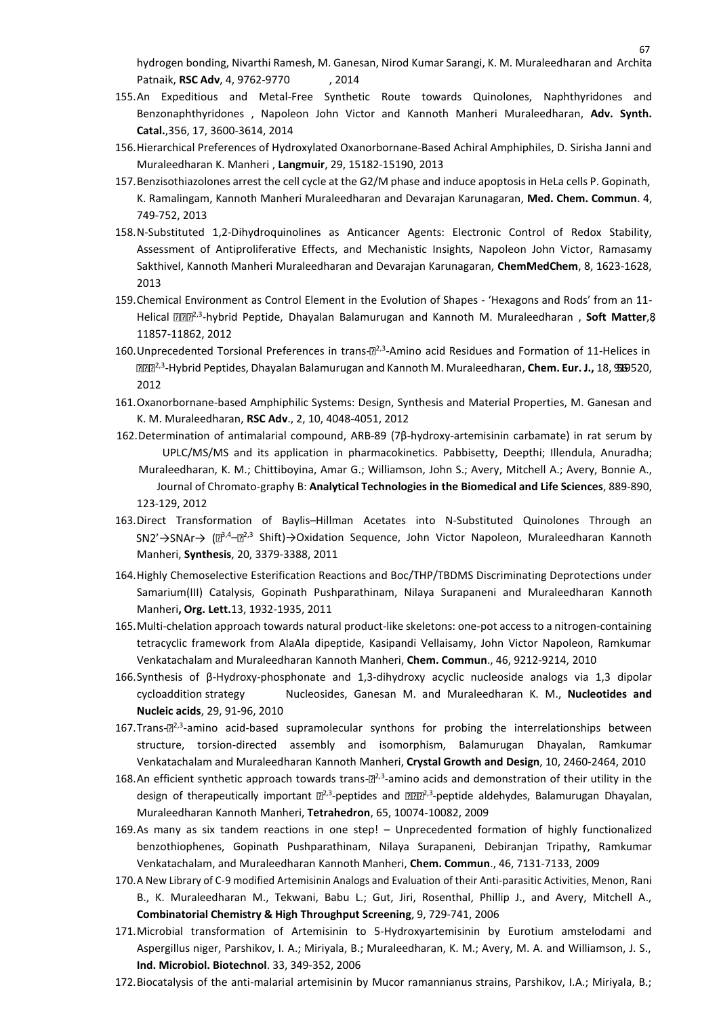hydrogen bonding, Nivarthi Ramesh, M. Ganesan, Nirod Kumar Sarangi, K. M. Muraleedharan and Archita Patnaik, **RSC Adv**, 4, 9762-9770 , 2014

- 155.An Expeditious and Metal-Free Synthetic Route towards Quinolones, Naphthyridones and Benzonaphthyridones , Napoleon John Victor and Kannoth Manheri Muraleedharan, **Adv. Synth. Catal.**,356, 17, 3600-3614, 2014
- 156.Hierarchical Preferences of Hydroxylated Oxanorbornane-Based Achiral Amphiphiles, D. Sirisha Janni and Muraleedharan K. Manheri , **Langmuir**, 29, 15182-15190, 2013
- 157.Benzisothiazolones arrest the cell cycle at the G2/M phase and induce apoptosisin HeLa cells P. Gopinath, K. Ramalingam, Kannoth Manheri Muraleedharan and Devarajan Karunagaran, **Med. Chem. Commun**. 4, 749-752, 2013
- 158.N-Substituted 1,2-Dihydroquinolines as Anticancer Agents: Electronic Control of Redox Stability, Assessment of Antiproliferative Effects, and Mechanistic Insights, Napoleon John Victor, Ramasamy Sakthivel, Kannoth Manheri Muraleedharan and Devarajan Karunagaran, **ChemMedChem**, 8, 1623-1628, 2013
- 159.Chemical Environment as Control Element in the Evolution of Shapes 'Hexagons and Rods' from an 11- Helical **ZZ<sup>2,3</sup>-hybrid Peptide, Dhayalan Balamurugan and Kannoth M. Muraleedharan , Soft Matter,8** 11857-11862, 2012
- 160. Unprecedented Torsional Preferences in trans- $\mathbb{E}^{2,3}$ -Amino acid Residues and Formation of 11-Helices in 2,3 -Hybrid Peptides, Dhayalan Balamurugan and Kannoth M. Muraleedharan, **Chem. Eur. J.,** 18, 9516-9520, 2012
- 161.Oxanorbornane-based Amphiphilic Systems: Design, Synthesis and Material Properties, M. Ganesan and K. M. Muraleedharan, **RSC Adv**., 2, 10, 4048-4051, 2012
- 162.Determination of antimalarial compound, ARB-89 (7β-hydroxy-artemisinin carbamate) in rat serum by UPLC/MS/MS and its application in pharmacokinetics. Pabbisetty, Deepthi; Illendula, Anuradha; Muraleedharan, K. M.; Chittiboyina, Amar G.; Williamson, John S.; Avery, Mitchell A.; Avery, Bonnie A., Journal of Chromato-graphy B: **Analytical Technologies in the Biomedical and Life Sciences**, 889-890, 123-129, 2012
- 163.Direct Transformation of Baylis–Hillman Acetates into N-Substituted Quinolones Through an <sup>3,4</sup>– $\mathbb{E}^{2,3}$  Shift)→Oxidation Sequence, John Victor Napoleon, Muraleedharan Kannoth Manheri, **Synthesis**, 20, 3379-3388, 2011
- 164.Highly Chemoselective Esterification Reactions and Boc/THP/TBDMS Discriminating Deprotections under Samarium(III) Catalysis, Gopinath Pushparathinam, Nilaya Surapaneni and Muraleedharan Kannoth Manheri**, Org. Lett.**13, 1932-1935, 2011
- 165.Multi-chelation approach towards natural product-like skeletons: one-pot access to a nitrogen-containing tetracyclic framework from AlaAla dipeptide, Kasipandi Vellaisamy, John Victor Napoleon, Ramkumar Venkatachalam and Muraleedharan Kannoth Manheri, **Chem. Commun**., 46, 9212-9214, 2010
- 166.Synthesis of β-Hydroxy-phosphonate and 1,3-dihydroxy acyclic nucleoside analogs via 1,3 dipolar cycloaddition strategy Nucleosides, Ganesan M. and Muraleedharan K. M., **Nucleotides and Nucleic acids**, 29, 91-96, 2010
- 167.Trans-<sup>[22,3</sup>-amino acid-based supramolecular synthons for probing the interrelationships between structure, torsion-directed assembly and isomorphism, Balamurugan Dhayalan, Ramkumar Venkatachalam and Muraleedharan Kannoth Manheri, **Crystal Growth and Design**, 10, 2460-2464, 2010
- 168.An efficient synthetic approach towards trans- $\mathbb{B}^{2,3}$ -amino acids and demonstration of their utility in the design of therapeutically important  $\mathbb{B}^{2,3}$ -peptides and  $\mathbb{B}^{2B2,3}$ -peptide aldehydes, Balamurugan Dhayalan, Muraleedharan Kannoth Manheri, **Tetrahedron**, 65, 10074-10082, 2009
- 169.As many as six tandem reactions in one step! Unprecedented formation of highly functionalized benzothiophenes, Gopinath Pushparathinam, Nilaya Surapaneni, Debiranjan Tripathy, Ramkumar Venkatachalam, and Muraleedharan Kannoth Manheri, **Chem. Commun**., 46, 7131-7133, 2009
- 170.A New Library of C-9 modified Artemisinin Analogs and Evaluation of their Anti-parasitic Activities, Menon, Rani B., K. Muraleedharan M., Tekwani, Babu L.; Gut, Jiri, Rosenthal, Phillip J., and Avery, Mitchell A., **Combinatorial Chemistry & High Throughput Screening**, 9, 729-741, 2006
- 171.Microbial transformation of Artemisinin to 5-Hydroxyartemisinin by Eurotium amstelodami and Aspergillus niger, Parshikov, I. A.; Miriyala, B.; Muraleedharan, K. M.; Avery, M. A. and Williamson, J. S., **Ind. Microbiol. Biotechnol**. 33, 349-352, 2006
- 172.Biocatalysis of the anti-malarial artemisinin by Mucor ramannianus strains, Parshikov, I.A.; Miriyala, B.;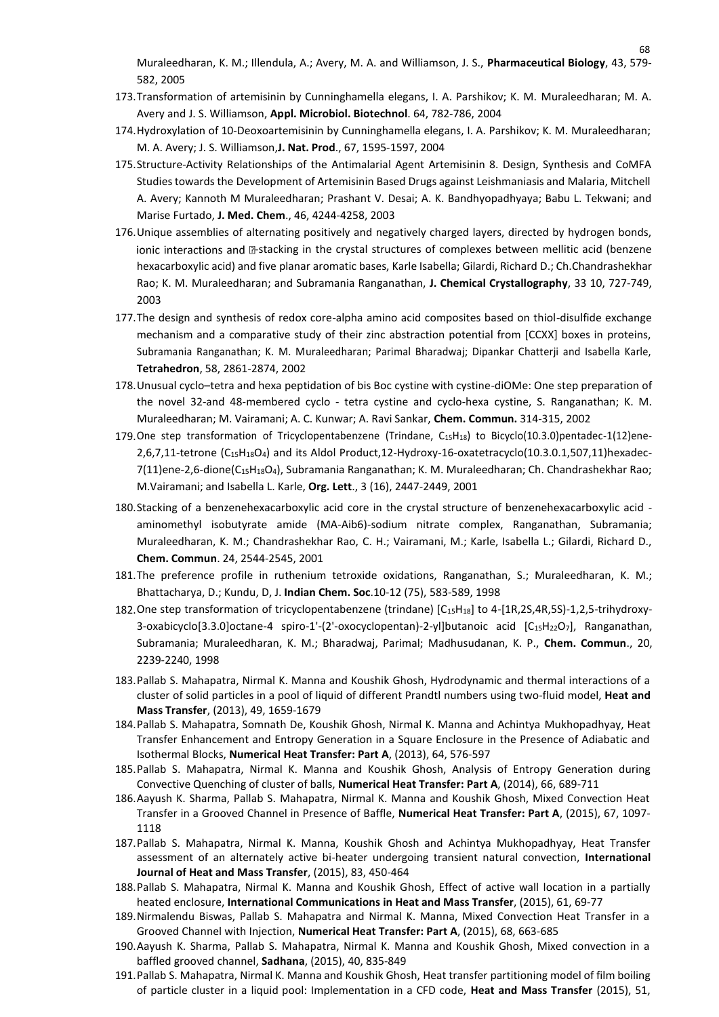68

- 173.Transformation of artemisinin by Cunninghamella elegans, I. A. Parshikov; K. M. Muraleedharan; M. A. Avery and J. S. Williamson, **Appl. Microbiol. Biotechnol**. 64, 782-786, 2004
- 174.Hydroxylation of 10-Deoxoartemisinin by Cunninghamella elegans, I. A. Parshikov; K. M. Muraleedharan; M. A. Avery; J. S. Williamson,**J. Nat. Prod**., 67, 1595-1597, 2004
- 175.Structure-Activity Relationships of the Antimalarial Agent Artemisinin 8. Design, Synthesis and CoMFA Studies towards the Development of Artemisinin Based Drugs against Leishmaniasis and Malaria, Mitchell A. Avery; Kannoth M Muraleedharan; Prashant V. Desai; A. K. Bandhyopadhyaya; Babu L. Tekwani; and Marise Furtado, **J. Med. Chem**., 46, 4244-4258, 2003
- 176.Unique assemblies of alternating positively and negatively charged layers, directed by hydrogen bonds, ionic interactions and **E-stacking in the crystal structures of complexes between mellitic acid (benzene** hexacarboxylic acid) and five planar aromatic bases, Karle Isabella; Gilardi, Richard D.; Ch.Chandrashekhar Rao; K. M. Muraleedharan; and Subramania Ranganathan, **J. Chemical Crystallography**, 33 10, 727-749, 2003
- 177.The design and synthesis of redox core-alpha amino acid composites based on thiol-disulfide exchange mechanism and a comparative study of their zinc abstraction potential from [CCXX] boxes in proteins, Subramania Ranganathan; K. M. Muraleedharan; Parimal Bharadwaj; Dipankar Chatterji and Isabella Karle, **Tetrahedron**, 58, 2861-2874, 2002
- 178.Unusual cyclo–tetra and hexa peptidation of bis Boc cystine with cystine-diOMe: One step preparation of the novel 32-and 48-membered cyclo - tetra cystine and cyclo-hexa cystine, S. Ranganathan; K. M. Muraleedharan; M. Vairamani; A. C. Kunwar; A. Ravi Sankar, **Chem. Commun.** 314-315, 2002
- 179.One step transformation of Tricyclopentabenzene (Trindane, C15H18) to Bicyclo(10.3.0)pentadec-1(12)ene-2,6,7,11-tetrone (C15H18O4) and its Aldol Product,12-Hydroxy-16-oxatetracyclo(10.3.0.1,507,11)hexadec-7(11)ene-2,6-dione(C<sub>15</sub>H<sub>18</sub>O<sub>4</sub>), Subramania Ranganathan; K. M. Muraleedharan; Ch. Chandrashekhar Rao; M.Vairamani; and Isabella L. Karle, **Org. Lett**., 3 (16), 2447-2449, 2001
- 180.Stacking of a benzenehexacarboxylic acid core in the crystal structure of benzenehexacarboxylic acid aminomethyl isobutyrate amide (MA-Aib6)-sodium nitrate complex, Ranganathan, Subramania; Muraleedharan, K. M.; Chandrashekhar Rao, C. H.; Vairamani, M.; Karle, Isabella L.; Gilardi, Richard D., **Chem. Commun**. 24, 2544-2545, 2001
- 181.The preference profile in ruthenium tetroxide oxidations, Ranganathan, S.; Muraleedharan, K. M.; Bhattacharya, D.; Kundu, D, J. **Indian Chem. Soc**.10-12 (75), 583-589, 1998
- 182.One step transformation of tricyclopentabenzene (trindane) [C15H18] to 4-[1R,2S,4R,5S)-1,2,5-trihydroxy-3-oxabicyclo[3.3.0]octane-4 spiro-1'-(2'-oxocyclopentan)-2-yl]butanoic acid [C15H22O7], Ranganathan, Subramania; Muraleedharan, K. M.; Bharadwaj, Parimal; Madhusudanan, K. P., **Chem. Commun**., 20, 2239-2240, 1998
- 183.Pallab S. Mahapatra, Nirmal K. Manna and Koushik Ghosh, Hydrodynamic and thermal interactions of a cluster of solid particles in a pool of liquid of different Prandtl numbers using two-fluid model, **Heat and Mass Transfer**, (2013), 49, 1659-1679
- 184.Pallab S. Mahapatra, Somnath De, Koushik Ghosh, Nirmal K. Manna and Achintya Mukhopadhyay, Heat Transfer Enhancement and Entropy Generation in a Square Enclosure in the Presence of Adiabatic and Isothermal Blocks, **Numerical Heat Transfer: Part A**, (2013), 64, 576-597
- 185.Pallab S. Mahapatra, Nirmal K. Manna and Koushik Ghosh, Analysis of Entropy Generation during Convective Quenching of cluster of balls, **Numerical Heat Transfer: Part A**, (2014), 66, 689-711
- 186.Aayush K. Sharma, Pallab S. Mahapatra, Nirmal K. Manna and Koushik Ghosh, Mixed Convection Heat Transfer in a Grooved Channel in Presence of Baffle, **Numerical Heat Transfer: Part A**, (2015), 67, 1097- 1118
- 187.Pallab S. Mahapatra, Nirmal K. Manna, Koushik Ghosh and Achintya Mukhopadhyay, Heat Transfer assessment of an alternately active bi-heater undergoing transient natural convection, **International Journal of Heat and Mass Transfer**, (2015), 83, 450-464
- 188.Pallab S. Mahapatra, Nirmal K. Manna and Koushik Ghosh, Effect of active wall location in a partially heated enclosure, **International Communications in Heat and Mass Transfer**, (2015), 61, 69-77
- 189.Nirmalendu Biswas, Pallab S. Mahapatra and Nirmal K. Manna, Mixed Convection Heat Transfer in a Grooved Channel with Injection, **Numerical Heat Transfer: Part A**, (2015), 68, 663-685
- 190.Aayush K. Sharma, Pallab S. Mahapatra, Nirmal K. Manna and Koushik Ghosh, Mixed convection in a baffled grooved channel, **Sadhana**, (2015), 40, 835-849
- 191.Pallab S. Mahapatra, Nirmal K. Manna and Koushik Ghosh, Heat transfer partitioning model of film boiling of particle cluster in a liquid pool: Implementation in a CFD code, **Heat and Mass Transfer** (2015), 51,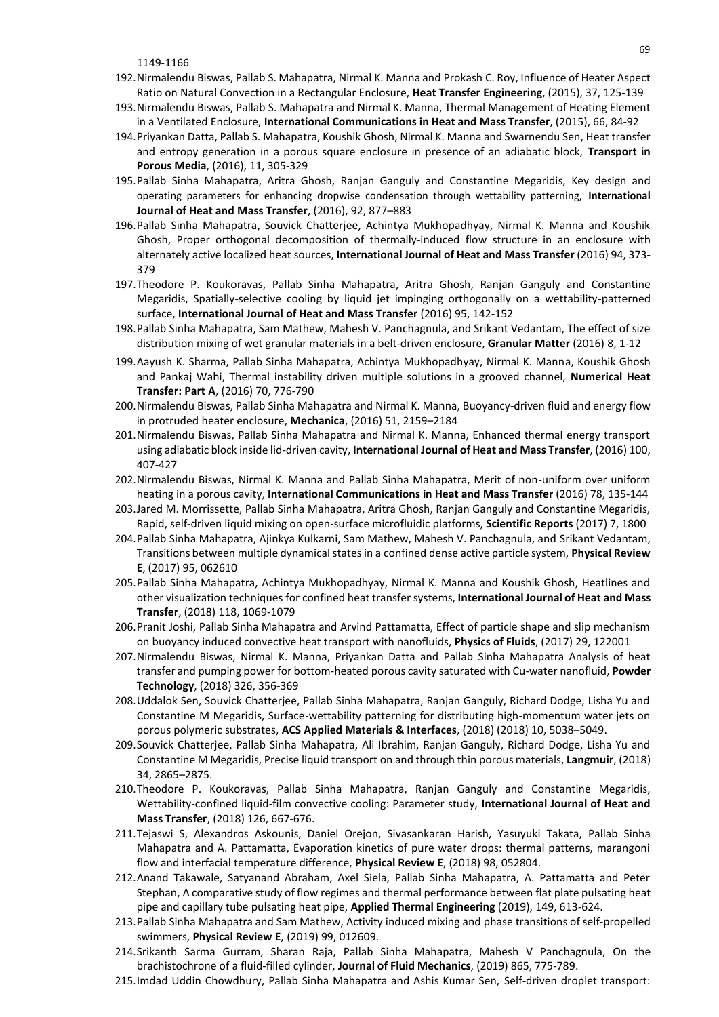1149-1166

- 192.Nirmalendu Biswas, Pallab S. Mahapatra, Nirmal K. Manna and Prokash C. Roy, Influence of Heater Aspect Ratio on Natural Convection in a Rectangular Enclosure, **Heat Transfer Engineering**, (2015), 37, 125-139
- 193.Nirmalendu Biswas, Pallab S. Mahapatra and Nirmal K. Manna, Thermal Management of Heating Element in a Ventilated Enclosure, **International Communications in Heat and Mass Transfer**, (2015), 66, 84-92
- 194.Priyankan Datta, Pallab S. Mahapatra, Koushik Ghosh, Nirmal K. Manna and Swarnendu Sen, Heat transfer and entropy generation in a porous square enclosure in presence of an adiabatic block, **Transport in Porous Media**, (2016), 11, 305-329
- 195.Pallab Sinha Mahapatra, Aritra Ghosh, Ranjan Ganguly and Constantine Megaridis, Key design and operating parameters for enhancing dropwise condensation through wettability patterning, **International Journal of Heat and Mass Transfer**, (2016), 92, 877–883
- 196.Pallab Sinha Mahapatra, Souvick Chatterjee, Achintya Mukhopadhyay, Nirmal K. Manna and Koushik Ghosh, Proper orthogonal decomposition of thermally-induced flow structure in an enclosure with alternately active localized heat sources, **International Journal of Heat and Mass Transfer** (2016) 94, 373- 379
- 197.Theodore P. Koukoravas, Pallab Sinha Mahapatra, Aritra Ghosh, Ranjan Ganguly and Constantine Megaridis, Spatially-selective cooling by liquid jet impinging orthogonally on a wettability-patterned surface, **International Journal of Heat and Mass Transfer** (2016) 95, 142-152
- 198.Pallab Sinha Mahapatra, Sam Mathew, Mahesh V. Panchagnula, and Srikant Vedantam, The effect of size distribution mixing of wet granular materials in a belt-driven enclosure, **Granular Matter** (2016) 8, 1-12
- 199.Aayush K. Sharma, Pallab Sinha Mahapatra, Achintya Mukhopadhyay, Nirmal K. Manna, Koushik Ghosh and Pankaj Wahi, Thermal instability driven multiple solutions in a grooved channel, **Numerical Heat Transfer: Part A**, (2016) 70, 776-790
- 200.Nirmalendu Biswas, Pallab Sinha Mahapatra and Nirmal K. Manna, Buoyancy-driven fluid and energy flow in protruded heater enclosure, **Mechanica**, (2016) 51, 2159–2184
- 201.Nirmalendu Biswas, Pallab Sinha Mahapatra and Nirmal K. Manna, Enhanced thermal energy transport using adiabatic block inside lid-driven cavity, **International Journal of Heat and Mass Transfer**, (2016) 100, 407-427
- 202.Nirmalendu Biswas, Nirmal K. Manna and Pallab Sinha Mahapatra, Merit of non-uniform over uniform heating in a porous cavity, **International Communications in Heat and Mass Transfer** (2016) 78, 135-144
- 203.Jared M. Morrissette, Pallab Sinha Mahapatra, Aritra Ghosh, Ranjan Ganguly and Constantine Megaridis, Rapid, self-driven liquid mixing on open-surface microfluidic platforms, **Scientific Reports** (2017) 7, 1800
- 204.Pallab Sinha Mahapatra, Ajinkya Kulkarni, Sam Mathew, Mahesh V. Panchagnula, and Srikant Vedantam, Transitions between multiple dynamical statesin a confined dense active particle system, **Physical Review E**, (2017) 95, 062610
- 205.Pallab Sinha Mahapatra, Achintya Mukhopadhyay, Nirmal K. Manna and Koushik Ghosh, Heatlines and other visualization techniques for confined heat transfersystems, **International Journal of Heat and Mass Transfer**, (2018) 118, 1069-1079
- 206.Pranit Joshi, Pallab Sinha Mahapatra and Arvind Pattamatta, Effect of particle shape and slip mechanism on buoyancy induced convective heat transport with nanofluids, **Physics of Fluids**, (2017) 29, 122001
- 207.Nirmalendu Biswas, Nirmal K. Manna, Priyankan Datta and Pallab Sinha Mahapatra Analysis of heat transfer and pumping power for bottom-heated porous cavity saturated with Cu-water nanofluid, **Powder Technology**, (2018) 326, 356-369
- 208.Uddalok Sen, Souvick Chatterjee, Pallab Sinha Mahapatra, Ranjan Ganguly, Richard Dodge, Lisha Yu and Constantine M Megaridis, Surface-wettability patterning for distributing high-momentum water jets on porous polymeric substrates, **ACS Applied Materials & Interfaces**, (2018) (2018) 10, 5038–5049.
- 209.Souvick Chatterjee, Pallab Sinha Mahapatra, Ali Ibrahim, Ranjan Ganguly, Richard Dodge, Lisha Yu and Constantine M Megaridis, Precise liquid transport on and through thin porous materials, **Langmuir**, (2018) 34, 2865–2875.
- 210.Theodore P. Koukoravas, Pallab Sinha Mahapatra, Ranjan Ganguly and Constantine Megaridis, Wettability-confined liquid-film convective cooling: Parameter study, **International Journal of Heat and Mass Transfer**, (2018) 126, 667-676.
- 211.Tejaswi S, Alexandros Askounis, Daniel Orejon, Sivasankaran Harish, Yasuyuki Takata, Pallab Sinha Mahapatra and A. Pattamatta, Evaporation kinetics of pure water drops: thermal patterns, marangoni flow and interfacial temperature difference, **Physical Review E**, (2018) 98, 052804.
- 212.Anand Takawale, Satyanand Abraham, Axel Siela, Pallab Sinha Mahapatra, A. Pattamatta and Peter Stephan, A comparative study of flow regimes and thermal performance between flat plate pulsating heat pipe and capillary tube pulsating heat pipe, **Applied Thermal Engineering** (2019), 149, 613-624.
- 213.Pallab Sinha Mahapatra and Sam Mathew, Activity induced mixing and phase transitions of self-propelled swimmers, **Physical Review E**, (2019) 99, 012609.
- 214.Srikanth Sarma Gurram, Sharan Raja, Pallab Sinha Mahapatra, Mahesh V Panchagnula, On the brachistochrone of a fluid-filled cylinder, **Journal of Fluid Mechanics**, (2019) 865, 775-789.
- 215.Imdad Uddin Chowdhury, Pallab Sinha Mahapatra and Ashis Kumar Sen, Self-driven droplet transport: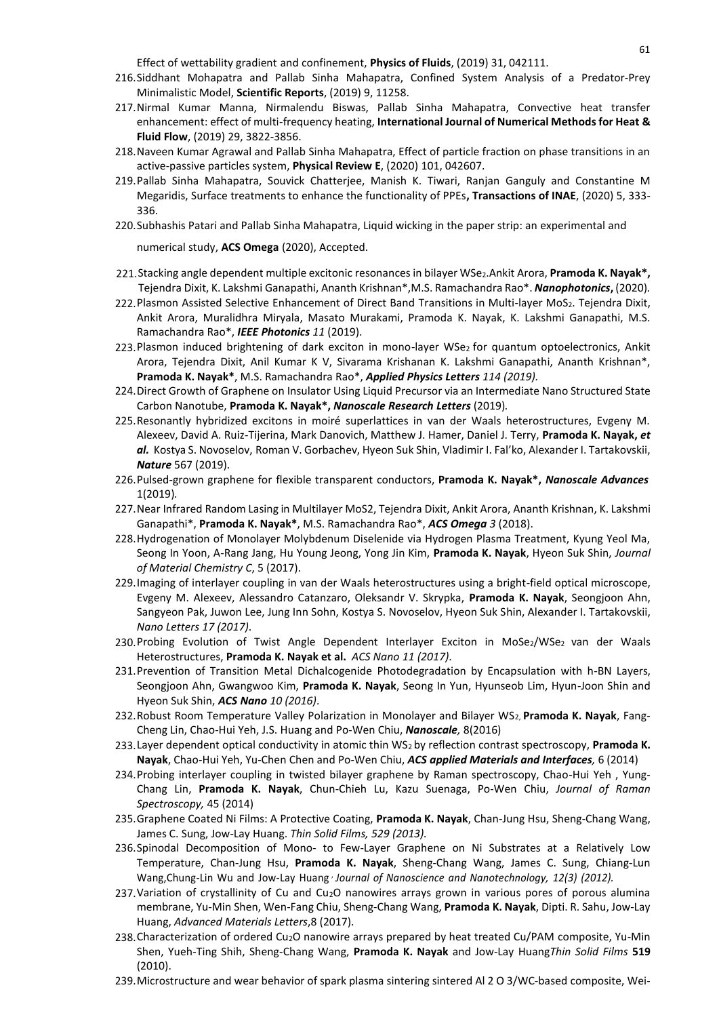Effect of wettability gradient and confinement, **Physics of Fluids**, (2019) 31, 042111. 0

- 216.Siddhant Mohapatra and Pallab Sinha Mahapatra, Confined System Analysis of a Predator-Prey Minimalistic Model, **Scientific Reports**, (2019) 9, 11258.
- 217.Nirmal Kumar Manna, Nirmalendu Biswas, Pallab Sinha Mahapatra, Convective heat transfer enhancement: effect of multi-frequency heating, **International Journal of Numerical Methods for Heat & Fluid Flow**, (2019) 29, 3822-3856.
- 218.Naveen Kumar Agrawal and Pallab Sinha Mahapatra, Effect of particle fraction on phase transitions in an active-passive particles system, **Physical Review E**, (2020) 101, 042607.
- 219.Pallab Sinha Mahapatra, Souvick Chatterjee, Manish K. Tiwari, Ranjan Ganguly and Constantine M Megaridis, Surface treatments to enhance the functionality of PPEs**, Transactions of INAE**, (2020) 5, 333- 336.
- 220.Subhashis Patari and Pallab Sinha Mahapatra, Liquid wicking in the paper strip: an experimental and

numerical study, **ACS Omega** (2020), Accepted.

- 221.Stacking angle dependent multiple excitonic resonances in bilayer WSe2.Ankit Arora, **Pramoda K. Nayak\*,** Tejendra Dixit, K. Lakshmi Ganapathi, Ananth Krishnan\*,M.S. Ramachandra Rao\*. *Nanophotonics***,** (2020)*.*
- 222. Plasmon Assisted Selective Enhancement of Direct Band Transitions in Multi-layer MoS2. Tejendra Dixit, Ankit Arora, Muralidhra Miryala, Masato Murakami, Pramoda K. Nayak, K. Lakshmi Ganapathi, M.S. Ramachandra Rao\*, *IEEE Photonics 11* (2019).
- 223. Plasmon induced brightening of dark exciton in mono-layer WSe2 for quantum optoelectronics, Ankit Arora, Tejendra Dixit, Anil Kumar K V, Sivarama Krishanan K. Lakshmi Ganapathi, Ananth Krishnan\*, **Pramoda K. Nayak\***, M.S. Ramachandra Rao\*, *Applied Physics Letters 114 (2019).*
- 224.Direct Growth of Graphene on Insulator Using Liquid Precursor via an Intermediate Nano Structured State Carbon Nanotube, **Pramoda K. Nayak\*,** *Nanoscale Research Letters* (2019)*.*
- 225.Resonantly hybridized excitons in moiré superlattices in van der Waals heterostructures, Evgeny M. Alexeev, David A. Ruiz-Tijerina, Mark Danovich, Matthew J. Hamer, Daniel J. Terry, **Pramoda K. Nayak,** *et al.* Kostya S. Novoselov, Roman V. Gorbachev, Hyeon Suk Shin, Vladimir I. Fal'ko, Alexander I. Tartakovskii, *Nature* 567 (2019).
- 226.Pulsed-grown graphene for flexible transparent conductors, **Pramoda K. Nayak\*,** *Nanoscale Advances* 1(2019)*.*
- 227.Near Infrared Random Lasing in Multilayer MoS2, Tejendra Dixit, Ankit Arora, Ananth Krishnan, K. Lakshmi Ganapathi\*, **Pramoda K. Nayak\***, M.S. Ramachandra Rao\*, *ACS Omega 3* (2018).
- 228.Hydrogenation of Monolayer Molybdenum Diselenide via Hydrogen Plasma Treatment, Kyung Yeol Ma, Seong In Yoon, A-Rang Jang, Hu Young Jeong, Yong Jin Kim, **Pramoda K. Nayak**, Hyeon Suk Shin, *Journal of Material Chemistry C*, 5 (2017).
- 229.Imaging of interlayer coupling in van der Waals heterostructures using a bright-field optical microscope, Evgeny M. Alexeev, Alessandro Catanzaro, Oleksandr V. Skrypka, **Pramoda K. Nayak**, Seongjoon Ahn, Sangyeon Pak, Juwon Lee, Jung Inn Sohn, Kostya S. Novoselov, Hyeon Suk Shin, Alexander I. Tartakovskii, *Nano Letters 17 (2017)*.
- 230.Probing Evolution of Twist Angle Dependent Interlayer Exciton in MoSe2/WSe2 van der Waals Heterostructures, **Pramoda K. Nayak et al.** *ACS Nano 11 (2017)*.
- 231.Prevention of Transition Metal Dichalcogenide Photodegradation by Encapsulation with h-BN Layers, Seongjoon Ahn, Gwangwoo Kim, **Pramoda K. Nayak**, Seong In Yun, Hyunseob Lim, Hyun-Joon Shin and Hyeon Suk Shin, *ACS Nano 10 (2016)*.
- 232.Robust Room Temperature Valley Polarization in Monolayer and Bilayer WS2, **Pramoda K. Nayak**, Fang-Cheng Lin, Chao-Hui Yeh, J.S. Huang and Po-Wen Chiu, *Nanoscale,* 8(2016)
- 233.Layer dependent optical conductivity in atomic thin WS2 by reflection contrast spectroscopy, **Pramoda K. Nayak**, Chao-Hui Yeh, Yu-Chen Chen and Po-Wen Chiu, *ACS applied Materials and Interfaces,* 6 (2014)
- 234.Probing interlayer coupling in twisted bilayer graphene by Raman spectroscopy, Chao-Hui Yeh , Yung-Chang Lin, **Pramoda K. Nayak**, Chun-Chieh Lu, Kazu Suenaga, Po-Wen Chiu, *Journal of Raman Spectroscopy,* 45 (2014)
- 235.Graphene Coated Ni Films: A Protective Coating, **Pramoda K. Nayak**, Chan-Jung Hsu, Sheng-Chang Wang, James C. Sung, Jow-Lay Huang. *Thin Solid Films, 529 (2013).*
- 236.Spinodal Decomposition of Mono- to Few-Layer Graphene on Ni Substrates at a Relatively Low Temperature, Chan-Jung Hsu, **Pramoda K. Nayak**, Sheng-Chang Wang, James C. Sung, Chiang-Lun Wang,Chung-Lin Wu and Jow-Lay Huang , *Journal of Nanoscience and Nanotechnology, 12(3) (2012).*
- 237.Variation of crystallinity of Cu and Cu2O nanowires arrays grown in various pores of porous alumina membrane, Yu-Min Shen, Wen-Fang Chiu, Sheng-Chang Wang, **Pramoda K. Nayak**, Dipti. R. Sahu, Jow-Lay Huang, *Advanced Materials Letters*,8 (2017).
- 238. Characterization of ordered Cu<sub>2</sub>O nanowire arrays prepared by heat treated Cu/PAM composite, Yu-Min Shen, Yueh-Ting Shih, Sheng-Chang Wang, **Pramoda K. Nayak** and Jow-Lay Huang*Thin Solid Films* **519** (2010).
- 239.Microstructure and wear behavior of spark plasma sintering sintered Al 2 O 3/WC-based composite, Wei-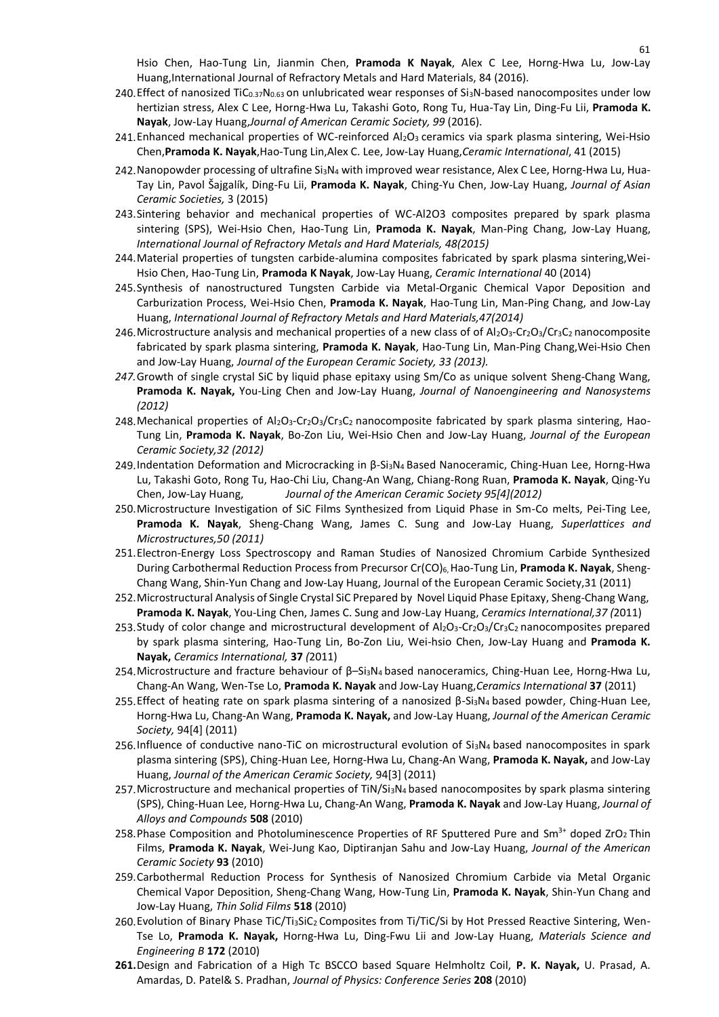Hsio Chen, Hao-Tung Lin, Jianmin Chen, **Pramoda K Nayak**, Alex C Lee, Horng-Hwa Lu, Jow-Lay1 Huang,International Journal of Refractory Metals and Hard Materials, 84 (2016).

- 240. Effect of nanosized TiC<sub>0.37</sub>N<sub>0.63</sub> on unlubricated wear responses of Si<sub>3</sub>N-based nanocomposites under low hertizian stress, Alex C Lee, Horng-Hwa Lu, Takashi Goto, Rong Tu, Hua-Tay Lin, Ding-Fu Lii, **Pramoda K. Nayak**, Jow-Lay Huang,*Journal of American Ceramic Society, 99* (2016).
- 241. Enhanced mechanical properties of WC-reinforced Al2O<sub>3</sub> ceramics via spark plasma sintering, Wei-Hsio Chen,**Pramoda K. Nayak**,Hao-Tung Lin,Alex C. Lee, Jow-Lay Huang,*Ceramic International*, 41 (2015)
- 242.Nanopowder processing of ultrafine Si3N<sup>4</sup> with improved wear resistance, Alex C Lee, Horng-Hwa Lu, Hua-Tay Lin, Pavol Šajgalík, Ding-Fu Lii, **Pramoda K. Nayak**, Ching-Yu Chen, Jow-Lay Huang, *Journal of Asian Ceramic Societies,* 3 (2015)
- 243.Sintering behavior and mechanical properties of WC-Al2O3 composites prepared by spark plasma sintering (SPS), Wei-Hsio Chen, Hao-Tung Lin, **Pramoda K. Nayak**, Man-Ping Chang, Jow-Lay Huang, *International Journal of Refractory Metals and Hard Materials, 48(2015)*
- 244.Material properties of tungsten carbide-alumina composites fabricated by spark plasma sintering,Wei-Hsio Chen, Hao-Tung Lin, **Pramoda K Nayak**, Jow-Lay Huang, *Ceramic International* 40 (2014)
- 245.Synthesis of nanostructured Tungsten Carbide via Metal-Organic Chemical Vapor Deposition and Carburization Process, Wei-Hsio Chen, **Pramoda K. Nayak**, Hao-Tung Lin, Man-Ping Chang, and Jow-Lay Huang, *International Journal of Refractory Metals and Hard Materials,47(2014)*
- 246. Microstructure analysis and mechanical properties of a new class of of  $Al_2O_3$ -Cr<sub>2</sub>O<sub>3</sub>/Cr<sub>3</sub>C<sub>2</sub> nanocomposite fabricated by spark plasma sintering, **Pramoda K. Nayak**, Hao-Tung Lin, Man-Ping Chang,Wei-Hsio Chen and Jow-Lay Huang, *Journal of the European Ceramic Society, 33 (2013).*
- *247.*Growth of single crystal SiC by liquid phase epitaxy using Sm/Co as unique solvent Sheng-Chang Wang, **Pramoda K. Nayak,** You-Ling Chen and Jow-Lay Huang, *Journal of Nanoengineering and Nanosystems (2012)*
- 248. Mechanical properties of  $Al_2O_3$ -Cr<sub>2</sub>O<sub>3</sub>/Cr<sub>3</sub>C<sub>2</sub> nanocomposite fabricated by spark plasma sintering, Hao-Tung Lin, **Pramoda K. Nayak**, Bo-Zon Liu, Wei-Hsio Chen and Jow-Lay Huang, *Journal of the European Ceramic Society,32 (2012)*
- 249.Indentation Deformation and Microcracking in β-Si3N4 Based Nanoceramic, Ching-Huan Lee, Horng-Hwa Lu, Takashi Goto, Rong Tu, Hao-Chi Liu, Chang-An Wang, Chiang-Rong Ruan, **Pramoda K. Nayak**, Qing-Yu Chen, Jow-Lay Huang, *Journal of the American Ceramic Society 95[4](2012)*
- 250.Microstructure Investigation of SiC Films Synthesized from Liquid Phase in Sm-Co melts, Pei-Ting Lee, **Pramoda K. Nayak**, Sheng-Chang Wang, James C. Sung and Jow-Lay Huang, *Superlattices and Microstructures,50 (2011)*
- 251.Electron-Energy Loss Spectroscopy and Raman Studies of Nanosized Chromium Carbide Synthesized During Carbothermal Reduction Process from Precursor Cr(CO)6,Hao-Tung Lin, **Pramoda K. Nayak**, Sheng-Chang Wang, Shin-Yun Chang and Jow-Lay Huang, Journal of the European Ceramic Society,31 (2011)
- 252.Microstructural Analysis of Single Crystal SiC Prepared by Novel Liquid Phase Epitaxy, Sheng-Chang Wang, **Pramoda K. Nayak**, You-Ling Chen, James C. Sung and Jow-Lay Huang, *Ceramics International,37 (*2011)
- 253. Study of color change and microstructural development of Al<sub>2</sub>O<sub>3</sub>-Cr<sub>2</sub>O<sub>3</sub>/Cr<sub>3</sub>C<sub>2</sub> nanocomposites prepared by spark plasma sintering, Hao-Tung Lin, Bo-Zon Liu, Wei-hsio Chen, Jow-Lay Huang and **Pramoda K. Nayak,** *Ceramics International,* **37** *(*2011)
- 254.Microstructure and fracture behaviour of β–Si3N4 based nanoceramics, Ching-Huan Lee, Horng-Hwa Lu, Chang-An Wang, Wen-Tse Lo, **Pramoda K. Nayak** and Jow-Lay Huang,*Ceramics International* **37** (2011)
- 255.Effect of heating rate on spark plasma sintering of a nanosized β-Si3N<sup>4</sup> based powder, Ching-Huan Lee, Horng-Hwa Lu, Chang-An Wang, **Pramoda K. Nayak,** and Jow-Lay Huang, *Journal of the American Ceramic Society,* 94[4] (2011)
- 256.Influence of conductive nano-TiC on microstructural evolution of Si3N<sup>4</sup> based nanocomposites in spark plasma sintering (SPS), Ching-Huan Lee, Horng-Hwa Lu, Chang-An Wang, **Pramoda K. Nayak,** and Jow-Lay Huang, *Journal of the American Ceramic Society,* 94[3] (2011)
- 257. Microstructure and mechanical properties of TiN/Si<sub>3</sub>N<sub>4</sub> based nanocomposites by spark plasma sintering (SPS), Ching-Huan Lee, Horng-Hwa Lu, Chang-An Wang, **Pramoda K. Nayak** and Jow-Lay Huang, *Journal of Alloys and Compounds* **508** (2010)
- 258. Phase Composition and Photoluminescence Properties of RF Sputtered Pure and Sm<sup>3+</sup> doped ZrO<sub>2</sub> Thin Films, **Pramoda K. Nayak**, Wei-Jung Kao, Diptiranjan Sahu and Jow-Lay Huang, *Journal of the American Ceramic Society* **93** (2010)
- 259.Carbothermal Reduction Process for Synthesis of Nanosized Chromium Carbide via Metal Organic Chemical Vapor Deposition, Sheng-Chang Wang, How-Tung Lin, **Pramoda K. Nayak**, Shin-Yun Chang and Jow-Lay Huang, *Thin Solid Films* **518** (2010)
- 260. Evolution of Binary Phase TiC/Ti3SiC<sub>2</sub> Composites from Ti/TiC/Si by Hot Pressed Reactive Sintering, Wen-Tse Lo, **Pramoda K. Nayak,** Horng-Hwa Lu, Ding-Fwu Lii and Jow-Lay Huang, *Materials Science and Engineering B* **172** (2010)
- **261.**Design and Fabrication of a High Tc BSCCO based Square Helmholtz Coil, **P. K. Nayak,** U. Prasad, A. Amardas, D. Patel& S. Pradhan, *Journal of Physics: Conference Series* **208** (2010)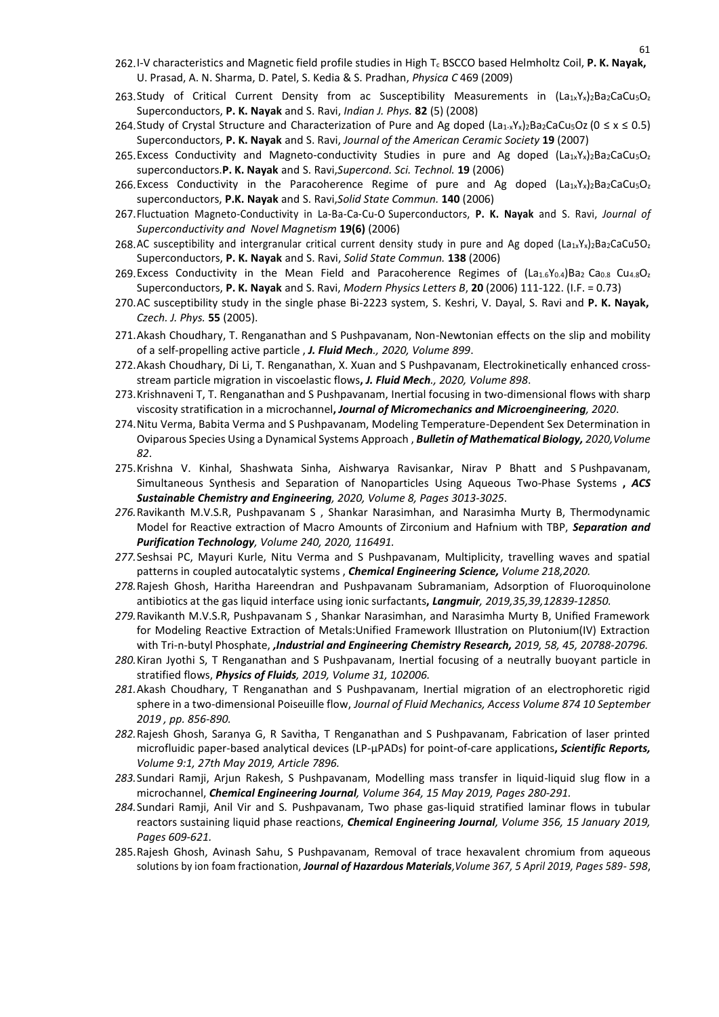- 262.I-V characteristics and Magnetic field profile studies in High T<sup>c</sup> BSCCO based Helmholtz Coil, **P. K. Nayak,**2 U. Prasad, A. N. Sharma, D. Patel, S. Kedia & S. Pradhan, *Physica C* 469 (2009)
- 263.Study of Critical Current Density from ac Susceptibility Measurements in (La1xYx)2Ba2CaCu5Oz Superconductors, **P. K. Nayak** and S. Ravi, *Indian J. Phys.* **82** (5) (2008)
- 264. Study of Crystal Structure and Characterization of Pure and Ag doped (La<sub>1-x</sub>Y<sub>x</sub>)<sub>2</sub>Ba<sub>2</sub>CaCu<sub>5</sub>Oz(0 ≤ x ≤ 0.5) Superconductors, **P. K. Nayak** and S. Ravi, *Journal of the American Ceramic Society* **19** (2007)
- 265. Excess Conductivity and Magneto-conductivity Studies in pure and Ag doped  $(La_1xYx_2)$ <sub>2</sub>Ba<sub>2</sub>CaCu<sub>5</sub>O<sub>z</sub> superconductors.**P. K. Nayak** and S. Ravi,*Supercond. Sci. Technol.* **19** (2006)
- 266. Excess Conductivity in the Paracoherence Regime of pure and Ag doped  $(La_1xYx_2)$ <sub>2</sub>Ba<sub>2</sub>CaCu<sub>5</sub>O<sub>z</sub> superconductors, **P.K. Nayak** and S. Ravi,*Solid State Commun.* **140** (2006)
- 267.Fluctuation Magneto-Conductivity in La-Ba-Ca-Cu-O Superconductors, **P. K. Nayak** and S. Ravi, *Journal of Superconductivity and Novel Magnetism* **19(6)** (2006)
- 268.AC susceptibility and intergranular critical current density study in pure and Ag doped (La1xYx)2Ba2CaCu5Oz Superconductors, **P. K. Nayak** and S. Ravi, *Solid State Commun.* **138** (2006)
- 269. Excess Conductivity in the Mean Field and Paracoherence Regimes of  $(La<sub>1.6</sub>V<sub>0.4</sub>)Ba<sub>2</sub> Ca<sub>0.8</sub> Cu<sub>4.8</sub>O<sub>2</sub>$ Superconductors, **P. K. Nayak** and S. Ravi, *Modern Physics Letters B*, **20** (2006) 111-122. (I.F. = 0.73)
- 270.AC susceptibility study in the single phase Bi-2223 system, S. Keshri, V. Dayal, S. Ravi and **P. K. Nayak,** *Czech. J. Phys.* **55** (2005).
- 271.Akash Choudhary, T. Renganathan and S Pushpavanam, Non-Newtonian effects on the slip and mobility of a self-propelling active particle , *J. Fluid Mech., 2020, Volume 899*.
- 272.Akash Choudhary, Di Li, T. Renganathan, X. Xuan and S Pushpavanam, Electrokinetically enhanced crossstream particle migration in viscoelastic flows**,** *J. Fluid Mech., 2020, Volume 898*.
- 273.Krishnaveni T, T. Renganathan and S Pushpavanam, Inertial focusing in two-dimensional flows with sharp viscosity stratification in a microchannel**,** *Journal of Micromechanics and Microengineering, 2020*.
- 274.Nitu Verma, Babita Verma and S Pushpavanam, Modeling Temperature-Dependent Sex Determination in Oviparous Species Using a Dynamical Systems Approach , *Bulletin of Mathematical Biology, 2020,Volume 82*.
- 275.Krishna V. Kinhal, Shashwata Sinha, Aishwarya Ravisankar, Nirav P Bhatt and S Pushpavanam, Simultaneous Synthesis and Separation of Nanoparticles Using Aqueous Two-Phase Systems **,** *ACS Sustainable Chemistry and Engineering, 2020, Volume 8, Pages 3013-3025*.
- *276.*Ravikanth M.V.S.R, Pushpavanam S , Shankar Narasimhan, and Narasimha Murty B, Thermodynamic Model for Reactive extraction of Macro Amounts of Zirconium and Hafnium with TBP, *Separation and Purification Technology, Volume 240, 2020, 116491.*
- *277.*Seshsai PC, Mayuri Kurle, Nitu Verma and S Pushpavanam, Multiplicity, travelling waves and spatial patterns in coupled autocatalytic systems , *Chemical Engineering Science, Volume 218,2020.*
- *278.*Rajesh Ghosh, Haritha Hareendran and Pushpavanam Subramaniam, Adsorption of Fluoroquinolone antibiotics at the gas liquid interface using ionic surfactants**,** *Langmuir, 2019,35,39,12839-12850.*
- *279.*Ravikanth M.V.S.R, Pushpavanam S , Shankar Narasimhan, and Narasimha Murty B, Unified Framework for Modeling Reactive Extraction of Metals:Unified Framework Illustration on Plutonium(IV) Extraction with Tri-n-butyl Phosphate, *,Industrial and Engineering Chemistry Research, 2019, 58, 45, 20788-20796.*
- *280.*Kiran Jyothi S, T Renganathan and S Pushpavanam, Inertial focusing of a neutrally buoyant particle in stratified flows, *Physics of Fluids, 2019, Volume 31, 102006.*
- *281.*Akash Choudhary, T Renganathan and S Pushpavanam, Inertial migration of an electrophoretic rigid sphere in a two-dimensional Poiseuille flow, *Journal of Fluid Mechanics, Access Volume 874 10 September 2019 , pp. 856-890.*
- *282.*Rajesh Ghosh, Saranya G, R Savitha, T Renganathan and S Pushpavanam, Fabrication of laser printed microfluidic paper-based analytical devices (LP-µPADs) for point-of-care applications**,** *Scientific Reports, Volume 9:1, 27th May 2019, Article 7896.*
- *283.*Sundari Ramji, Arjun Rakesh, S Pushpavanam, Modelling mass transfer in liquid-liquid slug flow in a microchannel, *Chemical Engineering Journal, Volume 364, 15 May 2019, Pages 280-291.*
- *284.*Sundari Ramji, Anil Vir and S. Pushpavanam, Two phase gas-liquid stratified laminar flows in tubular reactors sustaining liquid phase reactions, *Chemical Engineering Journal, Volume 356, 15 January 2019, Pages 609-621.*
- 285.Rajesh Ghosh, Avinash Sahu, S Pushpavanam, Removal of trace hexavalent chromium from aqueous solutions by ion foam fractionation, *Journal of Hazardous Materials,Volume 367, 5 April 2019, Pages 589- 598*,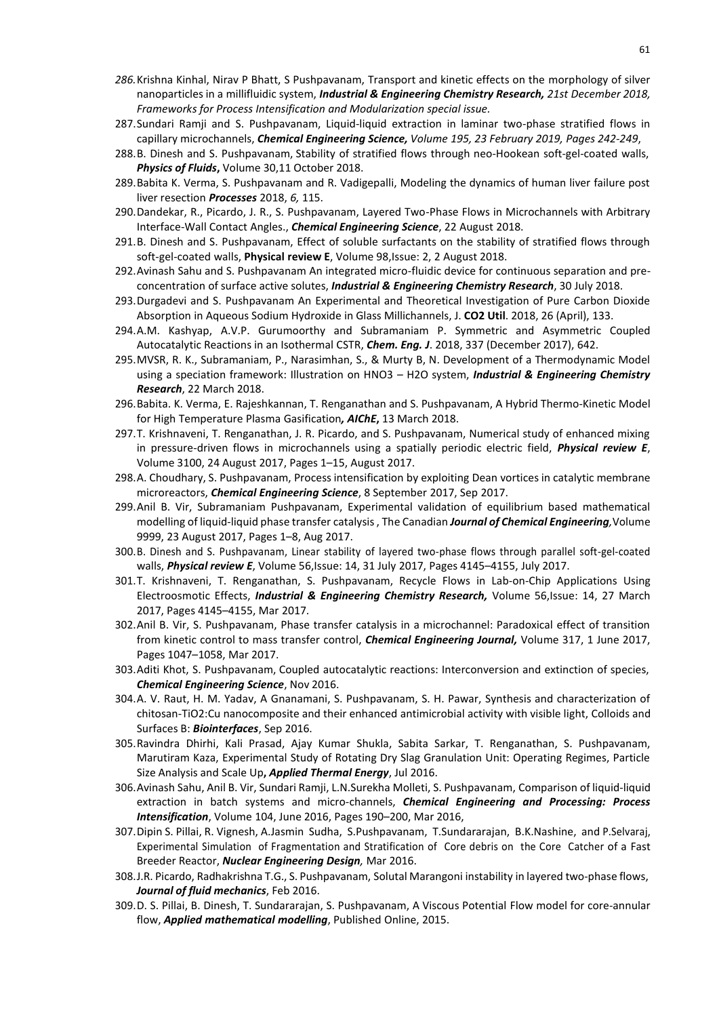- *286.*Krishna Kinhal, Nirav P Bhatt, S Pushpavanam, Transport and kinetic effects on the morphology of silver nanoparticles in a millifluidic system, *Industrial & Engineering Chemistry Research, 21st December 2018, Frameworks for Process Intensification and Modularization special issue.*
- 287.Sundari Ramji and S. Pushpavanam, Liquid-liquid extraction in laminar two-phase stratified flows in capillary microchannels, *Chemical Engineering Science, Volume 195, 23 February 2019, Pages 242-249*,
- 288.B. Dinesh and S. Pushpavanam, Stability of stratified flows through neo-Hookean soft-gel-coated walls, *Physics of Fluids***,** Volume 30,11 October 2018.
- 289.Babita K. Verma, S. Pushpavanam and R. Vadigepalli, Modeling the dynamics of human liver failure post liver resection *Processes* 2018, *6,* 115.
- 290.Dandekar, R., Picardo, J. R., S. Pushpavanam, Layered Two-Phase Flows in Microchannels with Arbitrary Interface-Wall Contact Angles., *Chemical Engineering Science*, 22 August 2018.
- 291.B. Dinesh and S. Pushpavanam, Effect of soluble surfactants on the stability of stratified flows through soft-gel-coated walls, **Physical review E**, Volume 98,Issue: 2, 2 August 2018.
- 292.Avinash Sahu and S. Pushpavanam An integrated micro-fluidic device for continuous separation and preconcentration of surface active solutes, *Industrial & Engineering Chemistry Research*, 30 July 2018.
- 293.Durgadevi and S. Pushpavanam An Experimental and Theoretical Investigation of Pure Carbon Dioxide Absorption in Aqueous Sodium Hydroxide in Glass Millichannels, J. **CO2 Util**. 2018, 26 (April), 133.
- 294.A.M. Kashyap, A.V.P. Gurumoorthy and Subramaniam P. Symmetric and Asymmetric Coupled Autocatalytic Reactions in an Isothermal CSTR, *Chem. Eng. J*. 2018, 337 (December 2017), 642.
- 295.MVSR, R. K., Subramaniam, P., Narasimhan, S., & Murty B, N. Development of a Thermodynamic Model using a speciation framework: Illustration on HNO3 – H2O system, *Industrial & Engineering Chemistry Research*, 22 March 2018.
- 296.Babita. K. Verma, E. Rajeshkannan, T. Renganathan and S. Pushpavanam, A Hybrid Thermo-Kinetic Model for High Temperature Plasma Gasification*, AIChE***,** 13 March 2018.
- 297.T. Krishnaveni, T. Renganathan, J. R. Picardo, and S. Pushpavanam, Numerical study of enhanced mixing in pressure-driven flows in microchannels using a spatially periodic electric field, *Physical review E*, Volume 3100, 24 August 2017, Pages 1–15, August 2017.
- 298.A. Choudhary, S. Pushpavanam, Process intensification by exploiting Dean vortices in catalytic membrane microreactors, *Chemical Engineering Science*, 8 September 2017, Sep 2017.
- 299.Anil B. Vir, Subramaniam Pushpavanam, Experimental validation of equilibrium based mathematical modelling of liquid-liquid phase transfer catalysis , The Canadian *Journal of Chemical Engineering,*Volume 9999, 23 August 2017, Pages 1–8, Aug 2017.
- 300.B. Dinesh and S. Pushpavanam, Linear stability of layered two-phase flows through parallel soft-gel-coated walls, *Physical review E*, Volume 56,Issue: 14, 31 July 2017, Pages 4145–4155, July 2017.
- 301.T. Krishnaveni, T. Renganathan, S. Pushpavanam, Recycle Flows in Lab-on-Chip Applications Using Electroosmotic Effects, *Industrial & Engineering Chemistry Research,* Volume 56,Issue: 14, 27 March 2017, Pages 4145–4155, Mar 2017.
- 302.Anil B. Vir, S. Pushpavanam, Phase transfer catalysis in a microchannel: Paradoxical effect of transition from kinetic control to mass transfer control, *Chemical Engineering Journal,* Volume 317, 1 June 2017, Pages 1047–1058, Mar 2017.
- 303.Aditi Khot, S. Pushpavanam, Coupled autocatalytic reactions: Interconversion and extinction of species, *Chemical Engineering Science*, Nov 2016.
- 304.A. V. Raut, H. M. Yadav, A Gnanamani, S. Pushpavanam, S. H. Pawar, Synthesis and characterization of chitosan-TiO2:Cu nanocomposite and their enhanced antimicrobial activity with visible light, Colloids and Surfaces B: *Biointerfaces*, Sep 2016.
- 305.Ravindra Dhirhi, Kali Prasad, Ajay Kumar Shukla, Sabita Sarkar, T. Renganathan, S. Pushpavanam, Marutiram Kaza, Experimental Study of Rotating Dry Slag Granulation Unit: Operating Regimes, Particle Size Analysis and Scale Up**,** *Applied Thermal Energy*, Jul 2016.
- 306.Avinash Sahu, Anil B. Vir, Sundari Ramji, L.N.Surekha Molleti, S. Pushpavanam, Comparison of liquid-liquid extraction in batch systems and micro-channels, *Chemical Engineering and Processing: Process Intensification*, Volume 104, June 2016, Pages 190–200, Mar 2016,
- 307.Dipin S. Pillai, R. Vignesh, A.Jasmin Sudha, S.Pushpavanam, T.Sundararajan, B.K.Nashine, and P.Selvaraj, Experimental Simulation of Fragmentation and Stratification of Core debris on the Core Catcher of a Fast Breeder Reactor, *Nuclear Engineering Design,* Mar 2016.
- 308.J.R. Picardo, Radhakrishna T.G., S. Pushpavanam, Solutal Marangoni instability in layered two-phase flows, *Journal of fluid mechanics*, Feb 2016.
- 309.D. S. Pillai, B. Dinesh, T. Sundararajan, S. Pushpavanam, A Viscous Potential Flow model for core-annular flow, *Applied mathematical modelling*, Published Online, 2015.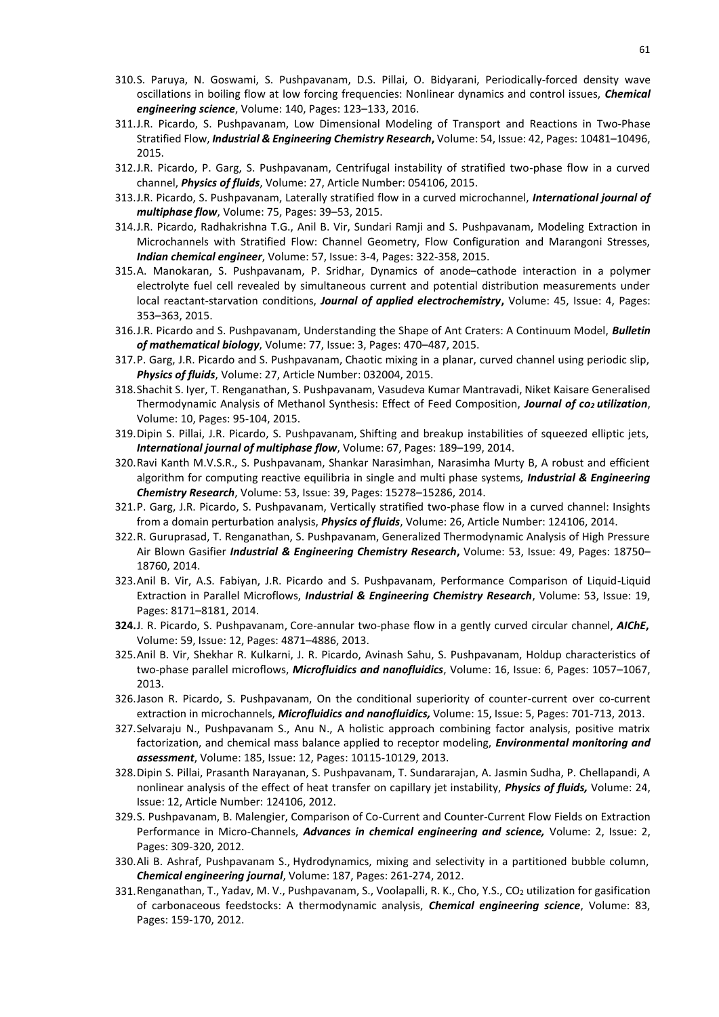- 310.S. Paruya, N. Goswami, S. Pushpavanam, D.S. Pillai, O. Bidyarani, Periodically-forced density wave oscillations in boiling flow at low forcing frequencies: Nonlinear dynamics and control issues, *Chemical engineering science*, Volume: 140, Pages: 123–133, 2016.
- 311.J.R. Picardo, S. Pushpavanam, Low Dimensional Modeling of Transport and Reactions in Two-Phase Stratified Flow, *Industrial & Engineering Chemistry Research***,** Volume: 54, Issue: 42, Pages: 10481–10496, 2015.
- 312.J.R. Picardo, P. Garg, S. Pushpavanam, Centrifugal instability of stratified two-phase flow in a curved channel, *Physics of fluids*, Volume: 27, Article Number: 054106, 2015.
- 313.J.R. Picardo, S. Pushpavanam, Laterally stratified flow in a curved microchannel, *International journal of multiphase flow*, Volume: 75, Pages: 39–53, 2015.
- 314.J.R. Picardo, Radhakrishna T.G., Anil B. Vir, Sundari Ramji and S. Pushpavanam, Modeling Extraction in Microchannels with Stratified Flow: Channel Geometry, Flow Configuration and Marangoni Stresses, *Indian chemical engineer*, Volume: 57, Issue: 3-4, Pages: 322-358, 2015.
- 315.A. Manokaran, S. Pushpavanam, P. Sridhar, Dynamics of anode–cathode interaction in a polymer electrolyte fuel cell revealed by simultaneous current and potential distribution measurements under local reactant-starvation conditions, *Journal of applied electrochemistry***,** Volume: 45, Issue: 4, Pages: 353–363, 2015.
- 316.J.R. Picardo and S. Pushpavanam, Understanding the Shape of Ant Craters: A Continuum Model, *Bulletin of mathematical biology*, Volume: 77, Issue: 3, Pages: 470–487, 2015.
- 317.P. Garg, J.R. Picardo and S. Pushpavanam, Chaotic mixing in a planar, curved channel using periodic slip, *Physics of fluids*, Volume: 27, Article Number: 032004, 2015.
- 318.Shachit S. Iyer, T. Renganathan, S. Pushpavanam, Vasudeva Kumar Mantravadi, Niket Kaisare Generalised Thermodynamic Analysis of Methanol Synthesis: Effect of Feed Composition, *Journal of co2 utilization*, Volume: 10, Pages: 95-104, 2015.
- 319.Dipin S. Pillai, J.R. Picardo, S. Pushpavanam, Shifting and breakup instabilities of squeezed elliptic jets, *International journal of multiphase flow*, Volume: 67, Pages: 189–199, 2014.
- 320.Ravi Kanth M.V.S.R., S. Pushpavanam, Shankar Narasimhan, Narasimha Murty B, A robust and efficient algorithm for computing reactive equilibria in single and multi phase systems, *Industrial & Engineering Chemistry Research*, Volume: 53, Issue: 39, Pages: 15278–15286, 2014.
- 321.P. Garg, J.R. Picardo, S. Pushpavanam, Vertically stratified two-phase flow in a curved channel: Insights from a domain perturbation analysis, *Physics of fluids*, Volume: 26, Article Number: 124106, 2014.
- 322.R. Guruprasad, T. Renganathan, S. Pushpavanam, Generalized Thermodynamic Analysis of High Pressure Air Blown Gasifier *Industrial & Engineering Chemistry Research***,** Volume: 53, Issue: 49, Pages: 18750– 18760, 2014.
- 323.Anil B. Vir, A.S. Fabiyan, J.R. Picardo and S. Pushpavanam, Performance Comparison of Liquid-Liquid Extraction in Parallel Microflows, *Industrial & Engineering Chemistry Research*, Volume: 53, Issue: 19, Pages: 8171–8181, 2014.
- **324.**J. R. Picardo, S. Pushpavanam, Core-annular two-phase flow in a gently curved circular channel, *AIChE***,** Volume: 59, Issue: 12, Pages: 4871–4886, 2013.
- 325.Anil B. Vir, Shekhar R. Kulkarni, J. R. Picardo, Avinash Sahu, S. Pushpavanam, Holdup characteristics of two-phase parallel microflows, *Microfluidics and nanofluidics*, Volume: 16, Issue: 6, Pages: 1057–1067, 2013.
- 326.Jason R. Picardo, S. Pushpavanam, On the conditional superiority of counter-current over co-current extraction in microchannels, *Microfluidics and nanofluidics,* Volume: 15, Issue: 5, Pages: 701-713, 2013.
- 327.Selvaraju N., Pushpavanam S., Anu N., A holistic approach combining factor analysis, positive matrix factorization, and chemical mass balance applied to receptor modeling, *Environmental monitoring and assessment*, Volume: 185, Issue: 12, Pages: 10115-10129, 2013.
- 328.Dipin S. Pillai, Prasanth Narayanan, S. Pushpavanam, T. Sundararajan, A. Jasmin Sudha, P. Chellapandi, A nonlinear analysis of the effect of heat transfer on capillary jet instability, *Physics of fluids,* Volume: 24, Issue: 12, Article Number: 124106, 2012.
- 329.S. Pushpavanam, B. Malengier, Comparison of Co-Current and Counter-Current Flow Fields on Extraction Performance in Micro-Channels, *Advances in chemical engineering and science,* Volume: 2, Issue: 2, Pages: 309-320, 2012.
- 330.Ali B. Ashraf, Pushpavanam S., Hydrodynamics, mixing and selectivity in a partitioned bubble column, *Chemical engineering journal*, Volume: 187, Pages: 261-274, 2012.
- 331.Renganathan, T., Yadav, M. V., Pushpavanam, S., Voolapalli, R. K., Cho, Y.S., CO2 utilization for gasification of carbonaceous feedstocks: A thermodynamic analysis, *Chemical engineering science*, Volume: 83, Pages: 159-170, 2012.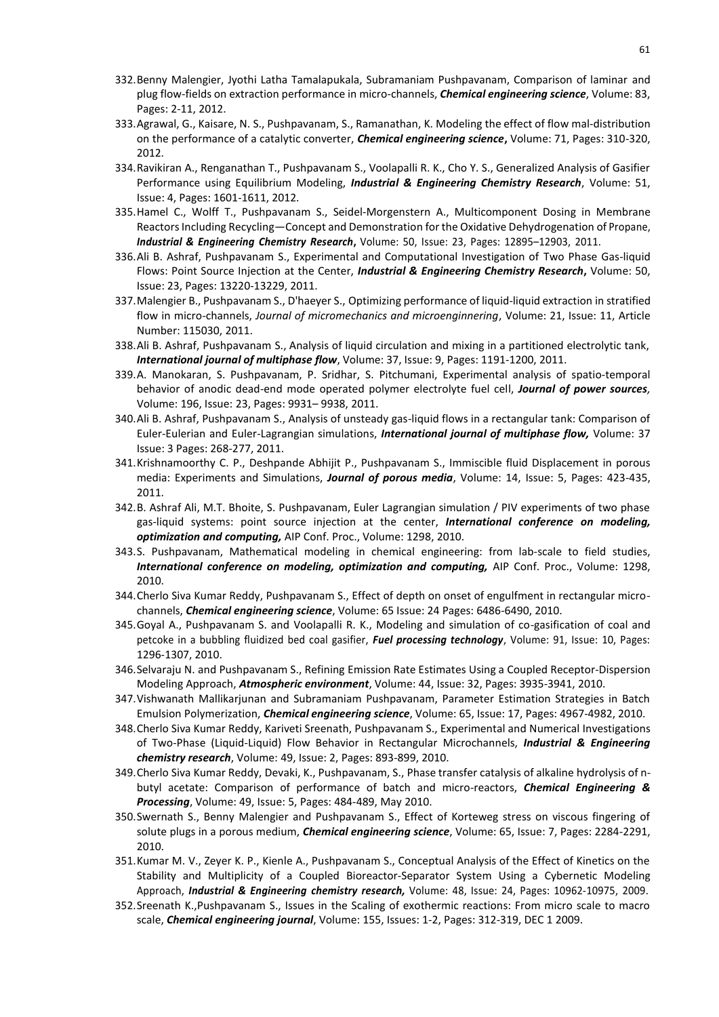- 332.Benny Malengier, Jyothi Latha Tamalapukala, Subramaniam Pushpavanam, Comparison of laminar and plug flow-fields on extraction performance in micro-channels, *Chemical engineering science*, Volume: 83, Pages: 2-11, 2012.
- 333.Agrawal, G., Kaisare, N. S., Pushpavanam, S., Ramanathan, K. Modeling the effect of flow mal-distribution on the performance of a catalytic converter, *Chemical engineering science***,** Volume: 71, Pages: 310-320, 2012.
- 334.Ravikiran A., Renganathan T., Pushpavanam S., Voolapalli R. K., Cho Y. S., Generalized Analysis of Gasifier Performance using Equilibrium Modeling, *Industrial & Engineering Chemistry Research*, Volume: 51, Issue: 4, Pages: 1601-1611, 2012.
- 335.Hamel C., Wolff T., Pushpavanam S., Seidel-Morgenstern A., Multicomponent Dosing in Membrane Reactors Including Recycling—Concept and Demonstration for the Oxidative Dehydrogenation of Propane, *Industrial & Engineering Chemistry Research***,** Volume: 50, Issue: 23, Pages: 12895–12903, 2011.
- 336.Ali B. Ashraf, Pushpavanam S., Experimental and Computational Investigation of Two Phase Gas-liquid Flows: Point Source Injection at the Center, *Industrial & Engineering Chemistry Research***,** Volume: 50, Issue: 23, Pages: 13220-13229, 2011.
- 337.Malengier B., Pushpavanam S., D'haeyer S., Optimizing performance of liquid-liquid extraction in stratified flow in micro-channels, *Journal of micromechanics and microenginnering*, Volume: 21, Issue: 11, Article Number: 115030, 2011.
- 338.Ali B. Ashraf, Pushpavanam S., Analysis of liquid circulation and mixing in a partitioned electrolytic tank, *International journal of multiphase flow*, Volume: 37, Issue: 9, Pages: 1191-1200, 2011.
- 339.A. Manokaran, S. Pushpavanam, P. Sridhar, S. Pitchumani, Experimental analysis of spatio-temporal behavior of anodic dead-end mode operated polymer electrolyte fuel cell, *Journal of power sources,* Volume: 196, Issue: 23, Pages: 9931– 9938, 2011.
- 340.Ali B. Ashraf, Pushpavanam S., Analysis of unsteady gas-liquid flows in a rectangular tank: Comparison of Euler-Eulerian and Euler-Lagrangian simulations, *International journal of multiphase flow,* Volume: 37 Issue: 3 Pages: 268-277, 2011.
- 341.Krishnamoorthy C. P., Deshpande Abhijit P., Pushpavanam S., Immiscible fluid Displacement in porous media: Experiments and Simulations, *Journal of porous media*, Volume: 14, Issue: 5, Pages: 423-435, 2011.
- 342.B. Ashraf Ali, M.T. Bhoite, S. Pushpavanam, Euler Lagrangian simulation / PIV experiments of two phase gas-liquid systems: point source injection at the center, *International conference on modeling, optimization and computing,* AIP Conf. Proc., Volume: 1298, 2010.
- 343.S. Pushpavanam, Mathematical modeling in chemical engineering: from lab-scale to field studies, *International conference on modeling, optimization and computing,* AIP Conf. Proc., Volume: 1298, 2010.
- 344.Cherlo Siva Kumar Reddy, Pushpavanam S., Effect of depth on onset of engulfment in rectangular microchannels, *Chemical engineering science*, Volume: 65 Issue: 24 Pages: 6486-6490, 2010.
- 345.Goyal A., Pushpavanam S. and Voolapalli R. K., Modeling and simulation of co-gasification of coal and petcoke in a bubbling fluidized bed coal gasifier, *Fuel processing technology*, Volume: 91, Issue: 10, Pages: 1296-1307, 2010.
- 346.Selvaraju N. and Pushpavanam S., Refining Emission Rate Estimates Using a Coupled Receptor-Dispersion Modeling Approach, *Atmospheric environment*, Volume: 44, Issue: 32, Pages: 3935-3941, 2010.
- 347.Vishwanath Mallikarjunan and Subramaniam Pushpavanam, Parameter Estimation Strategies in Batch Emulsion Polymerization, *Chemical engineering science*, Volume: 65, Issue: 17, Pages: 4967-4982, 2010.
- 348.Cherlo Siva Kumar Reddy, Kariveti Sreenath, Pushpavanam S., Experimental and Numerical Investigations of Two-Phase (Liquid-Liquid) Flow Behavior in Rectangular Microchannels, *Industrial & Engineering chemistry research*, Volume: 49, Issue: 2, Pages: 893-899, 2010.
- 349.Cherlo Siva Kumar Reddy, Devaki, K., Pushpavanam, S., Phase transfer catalysis of alkaline hydrolysis of nbutyl acetate: Comparison of performance of batch and micro-reactors, *Chemical Engineering & Processing*, Volume: 49, Issue: 5, Pages: 484-489, May 2010.
- 350.Swernath S., Benny Malengier and Pushpavanam S., Effect of Korteweg stress on viscous fingering of solute plugs in a porous medium, *Chemical engineering science*, Volume: 65, Issue: 7, Pages: 2284-2291, 2010.
- 351.Kumar M. V., Zeyer K. P., Kienle A., Pushpavanam S., Conceptual Analysis of the Effect of Kinetics on the Stability and Multiplicity of a Coupled Bioreactor-Separator System Using a Cybernetic Modeling Approach, *Industrial & Engineering chemistry research,* Volume: 48, Issue: 24, Pages: 10962-10975, 2009.
- 352.Sreenath K.,Pushpavanam S., Issues in the Scaling of exothermic reactions: From micro scale to macro scale, *Chemical engineering journal*, Volume: 155, Issues: 1-2, Pages: 312-319, DEC 1 2009.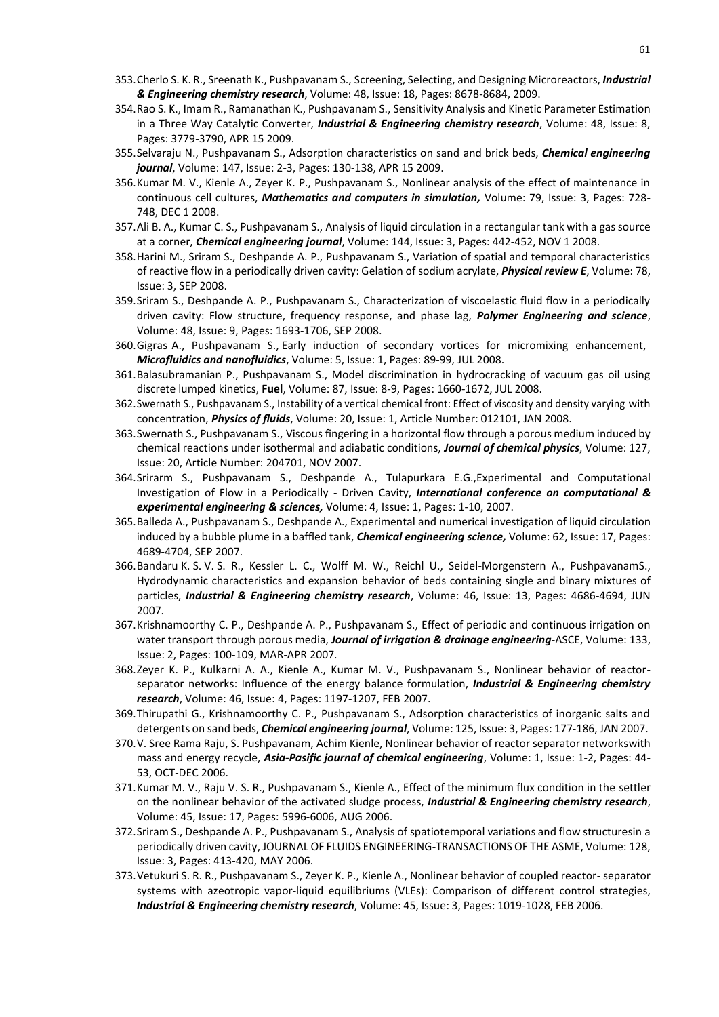- 353.Cherlo S. K. R., Sreenath K., Pushpavanam S., Screening, Selecting, and Designing Microreactors, *Industrial & Engineering chemistry research*, Volume: 48, Issue: 18, Pages: 8678-8684, 2009.
- 354.Rao S. K., Imam R., Ramanathan K., Pushpavanam S., Sensitivity Analysis and Kinetic Parameter Estimation in a Three Way Catalytic Converter, *Industrial & Engineering chemistry research*, Volume: 48, Issue: 8, Pages: 3779-3790, APR 15 2009.
- 355.Selvaraju N., Pushpavanam S., Adsorption characteristics on sand and brick beds, *Chemical engineering journal*, Volume: 147, Issue: 2-3, Pages: 130-138, APR 15 2009.
- 356.Kumar M. V., Kienle A., Zeyer K. P., Pushpavanam S., Nonlinear analysis of the effect of maintenance in continuous cell cultures, *Mathematics and computers in simulation,* Volume: 79, Issue: 3, Pages: 728- 748, DEC 1 2008.
- 357.Ali B. A., Kumar C. S., Pushpavanam S., Analysis of liquid circulation in a rectangular tank with a gas source at a corner, *Chemical engineering journal*, Volume: 144, Issue: 3, Pages: 442-452, NOV 1 2008.
- 358.Harini M., Sriram S., Deshpande A. P., Pushpavanam S., Variation of spatial and temporal characteristics of reactive flow in a periodically driven cavity: Gelation of sodium acrylate, *Physical review E*, Volume: 78, Issue: 3, SEP 2008.
- 359.Sriram S., Deshpande A. P., Pushpavanam S., Characterization of viscoelastic fluid flow in a periodically driven cavity: Flow structure, frequency response, and phase lag, *Polymer Engineering and science*, Volume: 48, Issue: 9, Pages: 1693-1706, SEP 2008.
- 360.Gigras A., Pushpavanam S., Early induction of secondary vortices for micromixing enhancement, *Microfluidics and nanofluidics*, Volume: 5, Issue: 1, Pages: 89-99, JUL 2008.
- 361.Balasubramanian P., Pushpavanam S., Model discrimination in hydrocracking of vacuum gas oil using discrete lumped kinetics, **Fuel**, Volume: 87, Issue: 8-9, Pages: 1660-1672, JUL 2008.
- 362.Swernath S., Pushpavanam S., Instability of a vertical chemical front: Effect of viscosity and density varying with concentration, *Physics of fluids*, Volume: 20, Issue: 1, Article Number: 012101, JAN 2008.
- 363.Swernath S., Pushpavanam S., Viscous fingering in a horizontal flow through a porous medium induced by chemical reactions under isothermal and adiabatic conditions, *Journal of chemical physics*, Volume: 127, Issue: 20, Article Number: 204701, NOV 2007.
- 364.Srirarm S., Pushpavanam S., Deshpande A., Tulapurkara E.G.,Experimental and Computational Investigation of Flow in a Periodically - Driven Cavity, *International conference on computational & experimental engineering & sciences,* Volume: 4, Issue: 1, Pages: 1-10, 2007.
- 365.Balleda A., Pushpavanam S., Deshpande A., Experimental and numerical investigation of liquid circulation induced by a bubble plume in a baffled tank, *Chemical engineering science,* Volume: 62, Issue: 17, Pages: 4689-4704, SEP 2007.
- 366.Bandaru K. S. V. S. R., Kessler L. C., Wolff M. W., Reichl U., Seidel-Morgenstern A., PushpavanamS., Hydrodynamic characteristics and expansion behavior of beds containing single and binary mixtures of particles, *Industrial & Engineering chemistry research*, Volume: 46, Issue: 13, Pages: 4686-4694, JUN 2007.
- 367.Krishnamoorthy C. P., Deshpande A. P., Pushpavanam S., Effect of periodic and continuous irrigation on water transport through porous media, *Journal of irrigation & drainage engineering*-ASCE, Volume: 133, Issue: 2, Pages: 100-109, MAR-APR 2007.
- 368.Zeyer K. P., Kulkarni A. A., Kienle A., Kumar M. V., Pushpavanam S., Nonlinear behavior of reactorseparator networks: Influence of the energy balance formulation, *Industrial & Engineering chemistry research*, Volume: 46, Issue: 4, Pages: 1197-1207, FEB 2007.
- 369.Thirupathi G., Krishnamoorthy C. P., Pushpavanam S., Adsorption characteristics of inorganic salts and detergents on sand beds, *Chemical engineering journal*, Volume: 125, Issue: 3, Pages: 177-186, JAN 2007.
- 370.V. Sree Rama Raju, S. Pushpavanam, Achim Kienle, Nonlinear behavior of reactor separator networkswith mass and energy recycle, *Asia-Pasific journal of chemical engineering*, Volume: 1, Issue: 1-2, Pages: 44- 53, OCT-DEC 2006.
- 371.Kumar M. V., Raju V. S. R., Pushpavanam S., Kienle A., Effect of the minimum flux condition in the settler on the nonlinear behavior of the activated sludge process, *Industrial & Engineering chemistry research*, Volume: 45, Issue: 17, Pages: 5996-6006, AUG 2006.
- 372.Sriram S., Deshpande A. P., Pushpavanam S., Analysis of spatiotemporal variations and flow structuresin a periodically driven cavity, JOURNAL OF FLUIDS ENGINEERING-TRANSACTIONS OF THE ASME, Volume: 128, Issue: 3, Pages: 413-420, MAY 2006.
- 373.Vetukuri S. R. R., Pushpavanam S., Zeyer K. P., Kienle A., Nonlinear behavior of coupled reactor- separator systems with azeotropic vapor-liquid equilibriums (VLEs): Comparison of different control strategies, *Industrial & Engineering chemistry research*, Volume: 45, Issue: 3, Pages: 1019-1028, FEB 2006.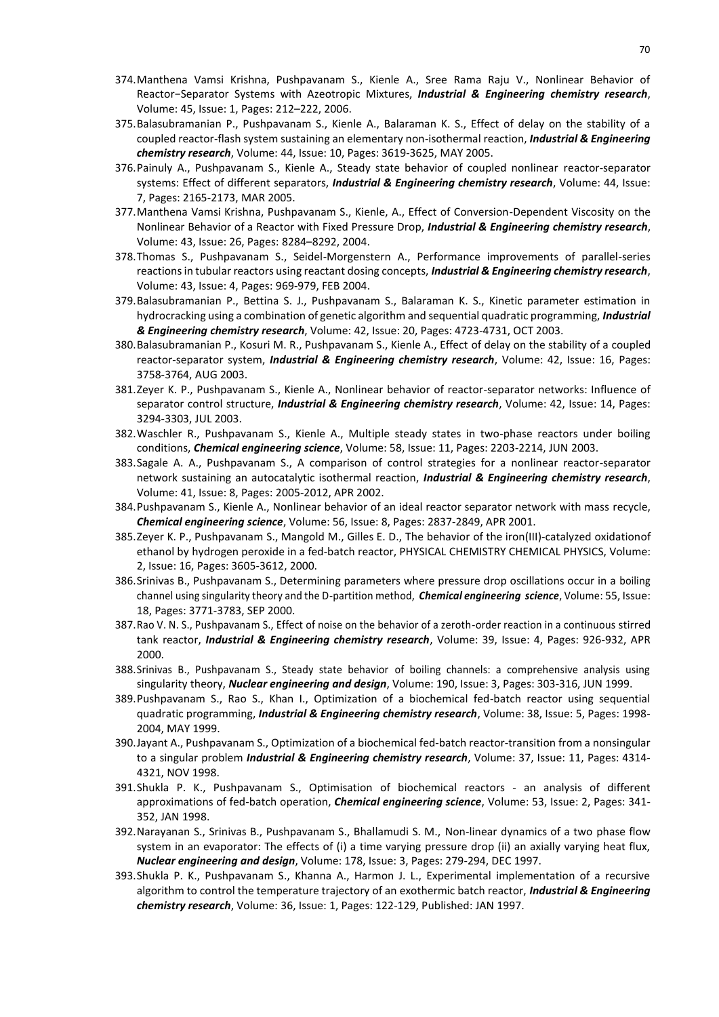- 374.Manthena Vamsi Krishna, Pushpavanam S., Kienle A., Sree Rama Raju V., Nonlinear Behavior of Reactor−Separator Systems with Azeotropic Mixtures, *Industrial & Engineering chemistry research*, Volume: 45, Issue: 1, Pages: 212–222, 2006.
- 375.Balasubramanian P., Pushpavanam S., Kienle A., Balaraman K. S., Effect of delay on the stability of a coupled reactor-flash system sustaining an elementary non-isothermal reaction, *Industrial & Engineering chemistry research*, Volume: 44, Issue: 10, Pages: 3619-3625, MAY 2005.
- 376.Painuly A., Pushpavanam S., Kienle A., Steady state behavior of coupled nonlinear reactor-separator systems: Effect of different separators, *Industrial & Engineering chemistry research*, Volume: 44, Issue: 7, Pages: 2165-2173, MAR 2005.
- 377.Manthena Vamsi Krishna, Pushpavanam S., Kienle, A., Effect of Conversion-Dependent Viscosity on the Nonlinear Behavior of a Reactor with Fixed Pressure Drop, *Industrial & Engineering chemistry research*, Volume: 43, Issue: 26, Pages: 8284–8292, 2004.
- 378.Thomas S., Pushpavanam S., Seidel-Morgenstern A., Performance improvements of parallel-series reactions in tubular reactors using reactant dosing concepts, *Industrial & Engineering chemistry research*, Volume: 43, Issue: 4, Pages: 969-979, FEB 2004.
- 379.Balasubramanian P., Bettina S. J., Pushpavanam S., Balaraman K. S., Kinetic parameter estimation in hydrocracking using a combination of genetic algorithm and sequential quadratic programming, *Industrial & Engineering chemistry research*, Volume: 42, Issue: 20, Pages: 4723-4731, OCT 2003.
- 380.Balasubramanian P., Kosuri M. R., Pushpavanam S., Kienle A., Effect of delay on the stability of a coupled reactor-separator system, *Industrial & Engineering chemistry research*, Volume: 42, Issue: 16, Pages: 3758-3764, AUG 2003.
- 381.Zeyer K. P., Pushpavanam S., Kienle A., Nonlinear behavior of reactor-separator networks: Influence of separator control structure, *Industrial & Engineering chemistry research*, Volume: 42, Issue: 14, Pages: 3294-3303, JUL 2003.
- 382.Waschler R., Pushpavanam S., Kienle A., Multiple steady states in two-phase reactors under boiling conditions, *Chemical engineering science*, Volume: 58, Issue: 11, Pages: 2203-2214, JUN 2003.
- 383.Sagale A. A., Pushpavanam S., A comparison of control strategies for a nonlinear reactor-separator network sustaining an autocatalytic isothermal reaction, *Industrial & Engineering chemistry research*, Volume: 41, Issue: 8, Pages: 2005-2012, APR 2002.
- 384.Pushpavanam S., Kienle A., Nonlinear behavior of an ideal reactor separator network with mass recycle, *Chemical engineering science*, Volume: 56, Issue: 8, Pages: 2837-2849, APR 2001.
- 385.Zeyer K. P., Pushpavanam S., Mangold M., Gilles E. D., The behavior of the iron(III)-catalyzed oxidationof ethanol by hydrogen peroxide in a fed-batch reactor, PHYSICAL CHEMISTRY CHEMICAL PHYSICS, Volume: 2, Issue: 16, Pages: 3605-3612, 2000.
- 386.Srinivas B., Pushpavanam S., Determining parameters where pressure drop oscillations occur in a boiling channel using singularity theory and the D-partition method, *Chemical engineering science*, Volume: 55, Issue: 18, Pages: 3771-3783, SEP 2000.
- 387.Rao V. N. S., Pushpavanam S., Effect of noise on the behavior of a zeroth-order reaction in a continuous stirred tank reactor, *Industrial & Engineering chemistry research*, Volume: 39, Issue: 4, Pages: 926-932, APR 2000.
- 388.Srinivas B., Pushpavanam S., Steady state behavior of boiling channels: a comprehensive analysis using singularity theory, *Nuclear engineering and design*, Volume: 190, Issue: 3, Pages: 303-316, JUN 1999.
- 389.Pushpavanam S., Rao S., Khan I., Optimization of a biochemical fed-batch reactor using sequential quadratic programming, *Industrial & Engineering chemistry research*, Volume: 38, Issue: 5, Pages: 1998- 2004, MAY 1999.
- 390.Jayant A., Pushpavanam S., Optimization of a biochemical fed-batch reactor-transition from a nonsingular to a singular problem *Industrial & Engineering chemistry research*, Volume: 37, Issue: 11, Pages: 4314- 4321, NOV 1998.
- 391.Shukla P. K., Pushpavanam S., Optimisation of biochemical reactors an analysis of different approximations of fed-batch operation, *Chemical engineering science*, Volume: 53, Issue: 2, Pages: 341- 352, JAN 1998.
- 392.Narayanan S., Srinivas B., Pushpavanam S., Bhallamudi S. M., Non-linear dynamics of a two phase flow system in an evaporator: The effects of (i) a time varying pressure drop (ii) an axially varying heat flux, *Nuclear engineering and design*, Volume: 178, Issue: 3, Pages: 279-294, DEC 1997.
- 393.Shukla P. K., Pushpavanam S., Khanna A., Harmon J. L., Experimental implementation of a recursive algorithm to control the temperature trajectory of an exothermic batch reactor, *Industrial & Engineering chemistry research*, Volume: 36, Issue: 1, Pages: 122-129, Published: JAN 1997.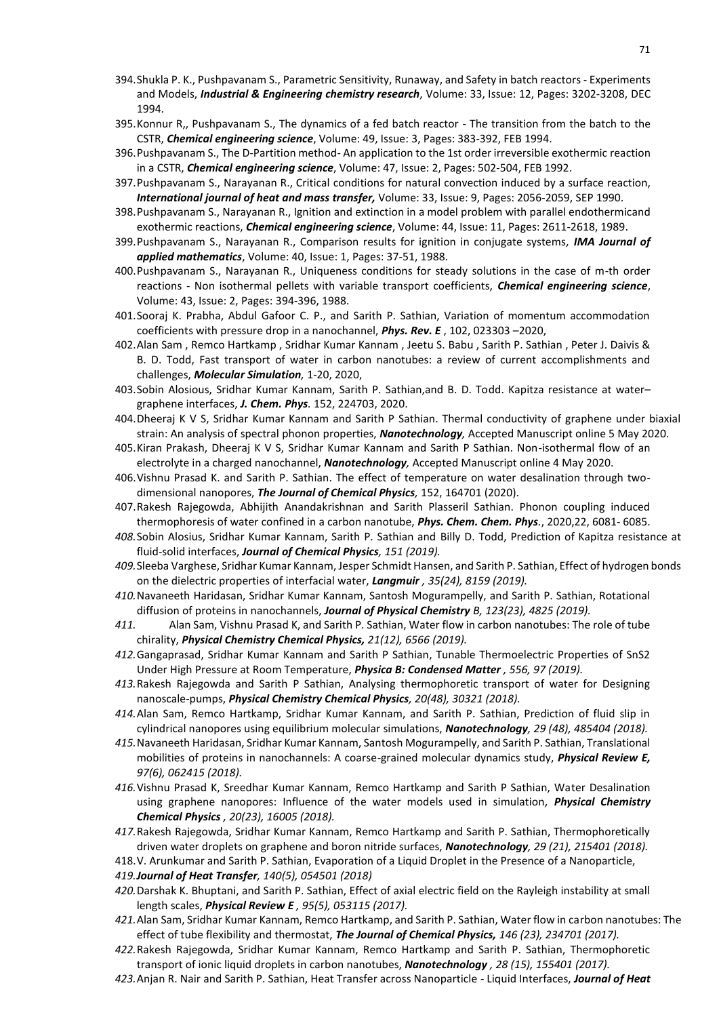- 394.Shukla P. K., Pushpavanam S., Parametric Sensitivity, Runaway, and Safety in batch reactors Experiments and Models, *Industrial & Engineering chemistry research*, Volume: 33, Issue: 12, Pages: 3202-3208, DEC 1994.
- 395.Konnur R,, Pushpavanam S., The dynamics of a fed batch reactor The transition from the batch to the CSTR, *Chemical engineering science*, Volume: 49, Issue: 3, Pages: 383-392, FEB 1994.
- 396.Pushpavanam S., The D-Partition method- An application to the 1st order irreversible exothermic reaction in a CSTR, *Chemical engineering science*, Volume: 47, Issue: 2, Pages: 502-504, FEB 1992.
- 397.Pushpavanam S., Narayanan R., Critical conditions for natural convection induced by a surface reaction, *International journal of heat and mass transfer,* Volume: 33, Issue: 9, Pages: 2056-2059, SEP 1990.
- 398.Pushpavanam S., Narayanan R., Ignition and extinction in a model problem with parallel endothermicand exothermic reactions, *Chemical engineering science*, Volume: 44, Issue: 11, Pages: 2611-2618, 1989.
- 399.Pushpavanam S., Narayanan R., Comparison results for ignition in conjugate systems*, IMA Journal of applied mathematics*, Volume: 40, Issue: 1, Pages: 37-51, 1988.
- 400.Pushpavanam S., Narayanan R., Uniqueness conditions for steady solutions in the case of m-th order reactions - Non isothermal pellets with variable transport coefficients, *Chemical engineering science*, Volume: 43, Issue: 2, Pages: 394-396, 1988.
- 401.Sooraj K. Prabha, Abdul Gafoor C. P., and Sarith P. Sathian, Variation of momentum accommodation coefficients with pressure drop in a nanochannel, *Phys. Rev. E* , 102, 023303 –2020,
- 402.Alan Sam , Remco Hartkamp , Sridhar Kumar Kannam , Jeetu S. Babu , Sarith P. Sathian , Peter J. Daivis & B. D. Todd, Fast transport of water in carbon nanotubes: a review of current accomplishments and challenges, *Molecular Simulation,* 1-20, 2020,
- 403.Sobin Alosious, Sridhar Kumar Kannam, Sarith P. Sathian,and B. D. Todd. Kapitza resistance at water– graphene interfaces, *J. Chem. Phys.* 152, 224703, 2020.
- 404.Dheeraj K V S, Sridhar Kumar Kannam and Sarith P Sathian. Thermal conductivity of graphene under biaxial strain: An analysis of spectral phonon properties, *Nanotechnology,* Accepted Manuscript online 5 May 2020.
- 405.Kiran Prakash, Dheeraj K V S, Sridhar Kumar Kannam and Sarith P Sathian. Non-isothermal flow of an electrolyte in a charged nanochannel, *Nanotechnology,* Accepted Manuscript online 4 May 2020.
- 406.Vishnu Prasad K. and Sarith P. Sathian. The effect of temperature on water desalination through twodimensional nanopores, *The Journal of Chemical Physics,* 152, 164701 (2020).
- 407.Rakesh Rajegowda, Abhijith Anandakrishnan and Sarith Plasseril Sathian. Phonon coupling induced thermophoresis of water confined in a carbon nanotube, *Phys. Chem. Chem. Phys.*, 2020,22, 6081- 6085.
- *408.*Sobin Alosius, Sridhar Kumar Kannam, Sarith P. Sathian and Billy D. Todd, Prediction of Kapitza resistance at fluid-solid interfaces, *Journal of Chemical Physics, 151 (2019).*
- *409.*Sleeba Varghese, Sridhar Kumar Kannam, Jesper Schmidt Hansen, and Sarith P. Sathian, Effect of hydrogen bonds on the dielectric properties of interfacial water, *Langmuir , 35(24), 8159 (2019).*
- *410.*Navaneeth Haridasan, Sridhar Kumar Kannam, Santosh Mogurampelly, and Sarith P. Sathian, Rotational diffusion of proteins in nanochannels, *Journal of Physical Chemistry B, 123(23), 4825 (2019).*
- *411.* Alan Sam, Vishnu Prasad K, and Sarith P. Sathian, Water flow in carbon nanotubes: The role of tube chirality, *Physical Chemistry Chemical Physics, 21(12), 6566 (2019).*
- *412.*Gangaprasad, Sridhar Kumar Kannam and Sarith P Sathian, Tunable Thermoelectric Properties of SnS2 Under High Pressure at Room Temperature, *Physica B: Condensed Matter , 556, 97 (2019).*
- *413.*Rakesh Rajegowda and Sarith P Sathian, Analysing thermophoretic transport of water for Designing nanoscale-pumps, *Physical Chemistry Chemical Physics, 20(48), 30321 (2018).*
- *414.*Alan Sam, Remco Hartkamp, Sridhar Kumar Kannam, and Sarith P. Sathian, Prediction of fluid slip in cylindrical nanopores using equilibrium molecular simulations, *Nanotechnology, 29 (48), 485404 (2018).*
- *415.*Navaneeth Haridasan, Sridhar Kumar Kannam, Santosh Mogurampelly, and Sarith P. Sathian, Translational mobilities of proteins in nanochannels: A coarse-grained molecular dynamics study, *Physical Review E, 97(6), 062415 (2018).*
- *416.*Vishnu Prasad K, Sreedhar Kumar Kannam, Remco Hartkamp and Sarith P Sathian, Water Desalination using graphene nanopores: Influence of the water models used in simulation*, Physical Chemistry Chemical Physics , 20(23), 16005 (2018).*
- *417.*Rakesh Rajegowda, Sridhar Kumar Kannam, Remco Hartkamp and Sarith P. Sathian, Thermophoretically driven water droplets on graphene and boron nitride surfaces, *Nanotechnology, 29 (21), 215401 (2018).*
- 418.V. Arunkumar and Sarith P. Sathian, Evaporation of a Liquid Droplet in the Presence of a Nanoparticle,
- *419.Journal of Heat Transfer, 140(5), 054501 (2018)*
- *420.*Darshak K. Bhuptani, and Sarith P. Sathian, Effect of axial electric field on the Rayleigh instability at small length scales, *Physical Review E , 95(5), 053115 (2017).*
- *421.*Alan Sam, Sridhar Kumar Kannam, Remco Hartkamp, and Sarith P. Sathian, Water flow in carbon nanotubes: The effect of tube flexibility and thermostat, *The Journal of Chemical Physics, 146 (23), 234701 (2017).*
- *422.*Rakesh Rajegowda, Sridhar Kumar Kannam, Remco Hartkamp and Sarith P. Sathian, Thermophoretic transport of ionic liquid droplets in carbon nanotubes, *Nanotechnology , 28 (15), 155401 (2017).*
- *423.*Anjan R. Nair and Sarith P. Sathian, Heat Transfer across Nanoparticle Liquid Interfaces, *Journal of Heat*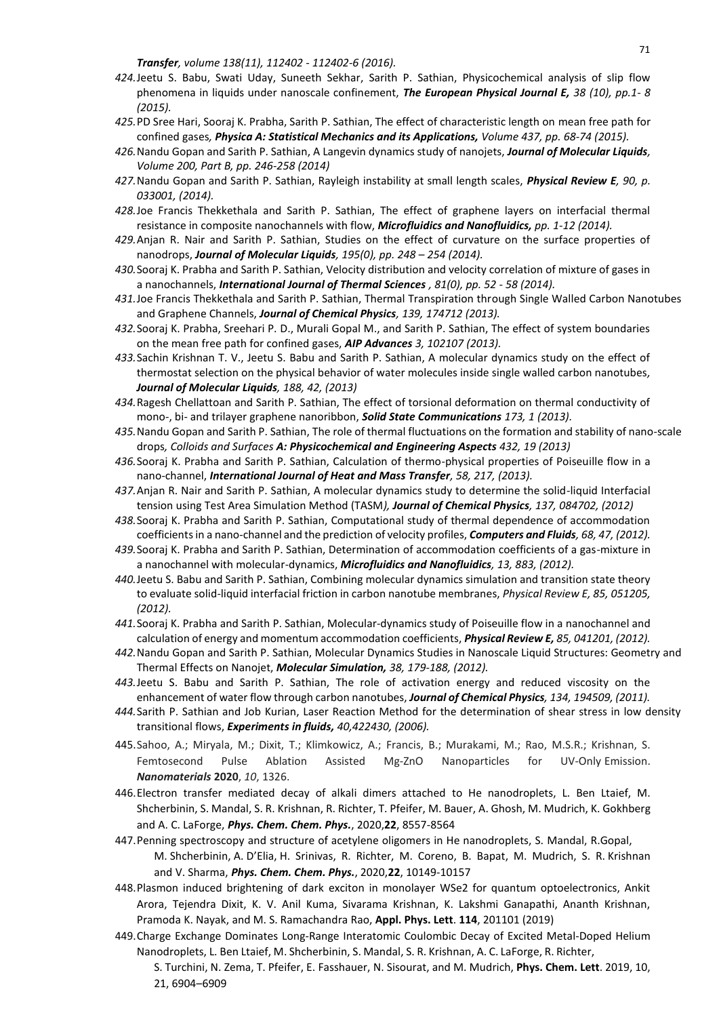*Transfer, volume 138(11), 112402 - 112402-6 (2016).* 9

- *424.*Jeetu S. Babu, Swati Uday, Suneeth Sekhar, Sarith P. Sathian, Physicochemical analysis of slip flow phenomena in liquids under nanoscale confinement, *The European Physical Journal E, 38 (10), pp.1- 8 (2015).*
- *425.*PD Sree Hari, Sooraj K. Prabha, Sarith P. Sathian, The effect of characteristic length on mean free path for confined gases*, Physica A: Statistical Mechanics and its Applications, Volume 437, pp. 68-74 (2015).*
- *426.*Nandu Gopan and Sarith P. Sathian, A Langevin dynamics study of nanojets, *Journal of Molecular Liquids, Volume 200, Part B, pp. 246-258 (2014)*
- *427.*Nandu Gopan and Sarith P. Sathian, Rayleigh instability at small length scales, *Physical Review E, 90, p. 033001, (2014).*
- *428.*Joe Francis Thekkethala and Sarith P. Sathian, The effect of graphene layers on interfacial thermal resistance in composite nanochannels with flow, *Microfluidics and Nanofluidics, pp. 1-12 (2014).*
- *429.*Anjan R. Nair and Sarith P. Sathian, Studies on the effect of curvature on the surface properties of nanodrops, *Journal of Molecular Liquids, 195(0), pp. 248 – 254 (2014).*
- *430.*Sooraj K. Prabha and Sarith P. Sathian, Velocity distribution and velocity correlation of mixture of gases in a nanochannels, *International Journal of Thermal Sciences , 81(0), pp. 52 - 58 (2014).*
- *431.*Joe Francis Thekkethala and Sarith P. Sathian, Thermal Transpiration through Single Walled Carbon Nanotubes and Graphene Channels, *Journal of Chemical Physics, 139, 174712 (2013).*
- *432.*Sooraj K. Prabha, Sreehari P. D., Murali Gopal M., and Sarith P. Sathian, The effect of system boundaries on the mean free path for confined gases, *AIP Advances 3, 102107 (2013).*
- *433.*Sachin Krishnan T. V., Jeetu S. Babu and Sarith P. Sathian, A molecular dynamics study on the effect of thermostat selection on the physical behavior of water molecules inside single walled carbon nanotubes*, Journal of Molecular Liquids, 188, 42, (2013)*
- *434.*Ragesh Chellattoan and Sarith P. Sathian, The effect of torsional deformation on thermal conductivity of mono-, bi- and trilayer graphene nanoribbon, *Solid State Communications 173, 1 (2013).*
- *435.*Nandu Gopan and Sarith P. Sathian, The role of thermal fluctuations on the formation and stability of nano-scale drops*, Colloids and Surfaces A: Physicochemical and Engineering Aspects 432, 19 (2013)*
- *436.*Sooraj K. Prabha and Sarith P. Sathian, Calculation of thermo-physical properties of Poiseuille flow in a nano-channel, *International Journal of Heat and Mass Transfer, 58, 217, (2013).*
- *437.*Anjan R. Nair and Sarith P. Sathian, A molecular dynamics study to determine the solid-liquid Interfacial tension using Test Area Simulation Method (TASM*), Journal of Chemical Physics, 137, 084702, (2012)*
- *438.*Sooraj K. Prabha and Sarith P. Sathian, Computational study of thermal dependence of accommodation coefficients in a nano-channel and the prediction of velocity profiles, *Computers and Fluids, 68, 47, (2012).*
- *439.*Sooraj K. Prabha and Sarith P. Sathian, Determination of accommodation coefficients of a gas-mixture in a nanochannel with molecular-dynamics, *Microfluidics and Nanofluidics, 13, 883, (2012).*
- *440.*Jeetu S. Babu and Sarith P. Sathian, Combining molecular dynamics simulation and transition state theory to evaluate solid-liquid interfacial friction in carbon nanotube membranes, *Physical Review E, 85, 051205, (2012).*
- *441.*Sooraj K. Prabha and Sarith P. Sathian, Molecular-dynamics study of Poiseuille flow in a nanochannel and calculation of energy and momentum accommodation coefficients, *Physical Review E, 85, 041201, (2012).*
- *442.*Nandu Gopan and Sarith P. Sathian, Molecular Dynamics Studies in Nanoscale Liquid Structures: Geometry and Thermal Effects on Nanojet, *Molecular Simulation, 38, 179-188, (2012).*
- *443.*Jeetu S. Babu and Sarith P. Sathian, The role of activation energy and reduced viscosity on the enhancement of water flow through carbon nanotubes, *Journal of Chemical Physics, 134, 194509, (2011).*
- *444.*Sarith P. Sathian and Job Kurian, Laser Reaction Method for the determination of shear stress in low density transitional flows, *Experiments in fluids, 40,422430, (2006).*
- 445.Sahoo, A.; Miryala, M.; Dixit, T.; Klimkowicz, A.; Francis, B.; Murakami, M.; Rao, M.S.R.; Krishnan, S. Femtosecond Pulse Ablation Assisted Mg-ZnO Nanoparticles for UV-Only Emission. *Nanomaterials* **2020**, *10*, 1326.
- 446.Electron transfer mediated decay of alkali dimers attached to He nanodroplets, L. Ben Ltaief, M. Shcherbinin, S. Mandal, S. R. Krishnan, R. Richter, T. Pfeifer, M. Bauer, A. Ghosh, M. Mudrich, K. Gokhberg and A. C. LaForge, *Phys. Chem. Chem. Phys.*, 2020,**22**, 8557-8564
- 447.Penning spectroscopy and structure of acetylene oligomers in He nanodroplets, S. Mandal, R.Gopal, M. Shcherbinin, A. D'Elia, H. Srinivas, R. Richter, M. Coreno, B. Bapat, M. Mudrich, S. R. Krishnan and V. Sharma, *Phys. Chem. Chem. Phys.*, 2020,**22**, 10149-10157
- 448.Plasmon induced brightening of dark exciton in monolayer WSe2 for quantum optoelectronics, Ankit Arora, Tejendra Dixit, K. V. Anil Kuma, Sivarama Krishnan, K. Lakshmi Ganapathi, Ananth Krishnan, Pramoda K. Nayak, and M. S. Ramachandra Rao, **Appl. Phys. Lett**. **114**, 201101 (2019)
- 449.Charge Exchange Dominates Long-Range Interatomic Coulombic Decay of Excited Metal-Doped Helium Nanodroplets, L. Ben Ltaief, M. Shcherbinin, S. Mandal, S. R. Krishnan, A. C. LaForge, R. Richter,
	- S. Turchini, N. Zema, T. Pfeifer, E. Fasshauer, N. Sisourat, and M. Mudrich, **Phys. Chem. Lett**. 2019, 10, 21, 6904–6909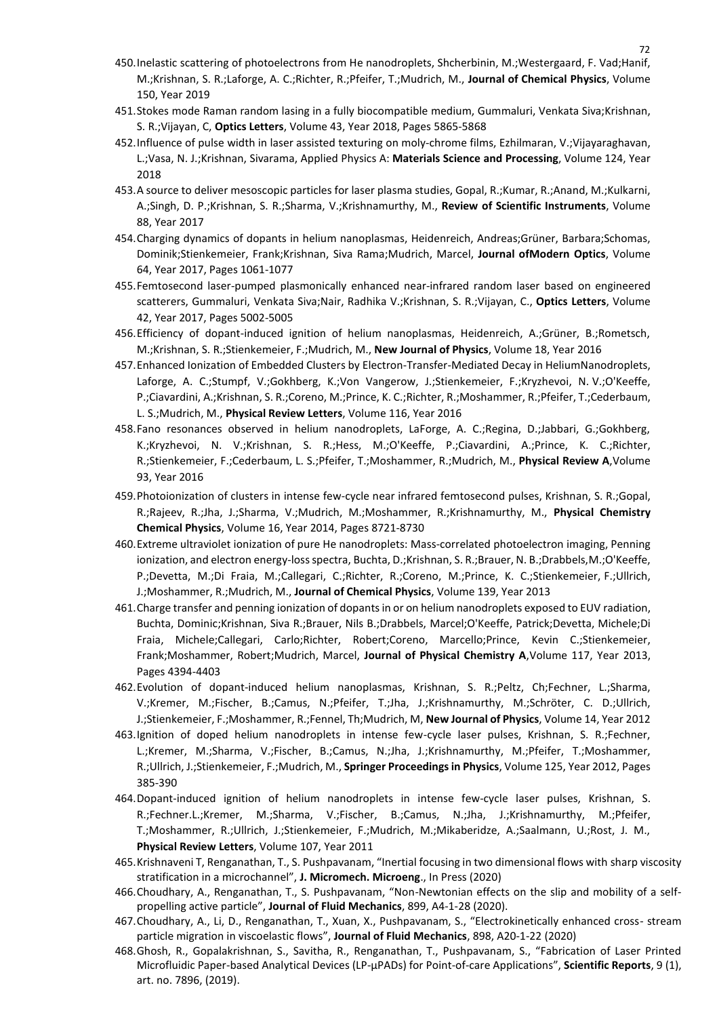- 450.Inelastic scattering of photoelectrons from He nanodroplets, Shcherbinin, M.;Westergaard, F. Vad;Hanif, 0 M.;Krishnan, S. R.;Laforge, A. C.;Richter, R.;Pfeifer, T.;Mudrich, M., **Journal of Chemical Physics**, Volume 150, Year 2019
- 451.Stokes mode Raman random lasing in a fully biocompatible medium, Gummaluri, Venkata Siva;Krishnan, S. R.;Vijayan, C, **Optics Letters**, Volume 43, Year 2018, Pages 5865-5868
- 452.Influence of pulse width in laser assisted texturing on moly-chrome films, Ezhilmaran, V.;Vijayaraghavan, L.;Vasa, N. J.;Krishnan, Sivarama, Applied Physics A: **Materials Science and Processing**, Volume 124, Year 2018
- 453.A source to deliver mesoscopic particles for laser plasma studies, Gopal, R.;Kumar, R.;Anand, M.;Kulkarni, A.;Singh, D. P.;Krishnan, S. R.;Sharma, V.;Krishnamurthy, M., **Review of Scientific Instruments**, Volume 88, Year 2017
- 454.Charging dynamics of dopants in helium nanoplasmas, Heidenreich, Andreas;Grüner, Barbara;Schomas, Dominik;Stienkemeier, Frank;Krishnan, Siva Rama;Mudrich, Marcel, **Journal ofModern Optics**, Volume 64, Year 2017, Pages 1061-1077
- 455.Femtosecond laser-pumped plasmonically enhanced near-infrared random laser based on engineered scatterers, Gummaluri, Venkata Siva;Nair, Radhika V.;Krishnan, S. R.;Vijayan, C., **Optics Letters**, Volume 42, Year 2017, Pages 5002-5005
- 456.Efficiency of dopant-induced ignition of helium nanoplasmas, Heidenreich, A.;Grüner, B.;Rometsch, M.;Krishnan, S. R.;Stienkemeier, F.;Mudrich, M., **New Journal of Physics**, Volume 18, Year 2016
- 457.Enhanced Ionization of Embedded Clusters by Electron-Transfer-Mediated Decay in HeliumNanodroplets, Laforge, A. C.;Stumpf, V.;Gokhberg, K.;Von Vangerow, J.;Stienkemeier, F.;Kryzhevoi, N. V.;O'Keeffe, P.;Ciavardini, A.;Krishnan, S. R.;Coreno, M.;Prince, K. C.;Richter, R.;Moshammer, R.;Pfeifer, T.;Cederbaum, L. S.;Mudrich, M., **Physical Review Letters**, Volume 116, Year 2016
- 458.Fano resonances observed in helium nanodroplets, LaForge, A. C.;Regina, D.;Jabbari, G.;Gokhberg, K.;Kryzhevoi, N. V.;Krishnan, S. R.;Hess, M.;O'Keeffe, P.;Ciavardini, A.;Prince, K. C.;Richter, R.;Stienkemeier, F.;Cederbaum, L. S.;Pfeifer, T.;Moshammer, R.;Mudrich, M., **Physical Review A**,Volume 93, Year 2016
- 459.Photoionization of clusters in intense few-cycle near infrared femtosecond pulses, Krishnan, S. R.;Gopal, R.;Rajeev, R.;Jha, J.;Sharma, V.;Mudrich, M.;Moshammer, R.;Krishnamurthy, M., **Physical Chemistry Chemical Physics**, Volume 16, Year 2014, Pages 8721-8730
- 460.Extreme ultraviolet ionization of pure He nanodroplets: Mass-correlated photoelectron imaging, Penning ionization, and electron energy-loss spectra, Buchta, D.;Krishnan, S. R.;Brauer, N. B.;Drabbels,M.;O'Keeffe, P.;Devetta, M.;Di Fraia, M.;Callegari, C.;Richter, R.;Coreno, M.;Prince, K. C.;Stienkemeier, F.;Ullrich, J.;Moshammer, R.;Mudrich, M., **Journal of Chemical Physics**, Volume 139, Year 2013
- 461.Charge transfer and penning ionization of dopants in or on helium nanodroplets exposed to EUV radiation, Buchta, Dominic;Krishnan, Siva R.;Brauer, Nils B.;Drabbels, Marcel;O'Keeffe, Patrick;Devetta, Michele;Di Fraia, Michele;Callegari, Carlo;Richter, Robert;Coreno, Marcello;Prince, Kevin C.;Stienkemeier, Frank;Moshammer, Robert;Mudrich, Marcel, **Journal of Physical Chemistry A**,Volume 117, Year 2013, Pages 4394-4403
- 462.Evolution of dopant-induced helium nanoplasmas, Krishnan, S. R.;Peltz, Ch;Fechner, L.;Sharma, V.;Kremer, M.;Fischer, B.;Camus, N.;Pfeifer, T.;Jha, J.;Krishnamurthy, M.;Schröter, C. D.;Ullrich, J.;Stienkemeier, F.;Moshammer, R.;Fennel, Th;Mudrich, M, **New Journal of Physics**, Volume 14, Year 2012
- 463.Ignition of doped helium nanodroplets in intense few-cycle laser pulses, Krishnan, S. R.;Fechner, L.;Kremer, M.;Sharma, V.;Fischer, B.;Camus, N.;Jha, J.;Krishnamurthy, M.;Pfeifer, T.;Moshammer, R.;Ullrich, J.;Stienkemeier, F.;Mudrich, M., **Springer Proceedings in Physics**, Volume 125, Year 2012, Pages 385-390
- 464.Dopant-induced ignition of helium nanodroplets in intense few-cycle laser pulses, Krishnan, S. R.;Fechner.L.;Kremer, M.;Sharma, V.;Fischer, B.;Camus, N.;Jha, J.;Krishnamurthy, M.;Pfeifer, T.;Moshammer, R.;Ullrich, J.;Stienkemeier, F.;Mudrich, M.;Mikaberidze, A.;Saalmann, U.;Rost, J. M., **Physical Review Letters**, Volume 107, Year 2011
- 465.Krishnaveni T, Renganathan, T., S. Pushpavanam, "Inertial focusing in two dimensional flows with sharp viscosity stratification in a microchannel", **J. Micromech. Microeng**., In Press (2020)
- 466.Choudhary, A., Renganathan, T., S. Pushpavanam, "Non-Newtonian effects on the slip and mobility of a selfpropelling active particle", **Journal of Fluid Mechanics**, 899, A4-1-28 (2020).
- 467.Choudhary, A., Li, D., Renganathan, T., Xuan, X., Pushpavanam, S., "Electrokinetically enhanced cross- stream particle migration in viscoelastic flows", **Journal of Fluid Mechanics**, 898, A20-1-22 (2020)
- 468.Ghosh, R., Gopalakrishnan, S., Savitha, R., Renganathan, T., Pushpavanam, S., "Fabrication of Laser Printed Microfluidic Paper-based Analytical Devices (LP-µPADs) for Point-of-care Applications", **Scientific Reports**, 9 (1), art. no. 7896, (2019).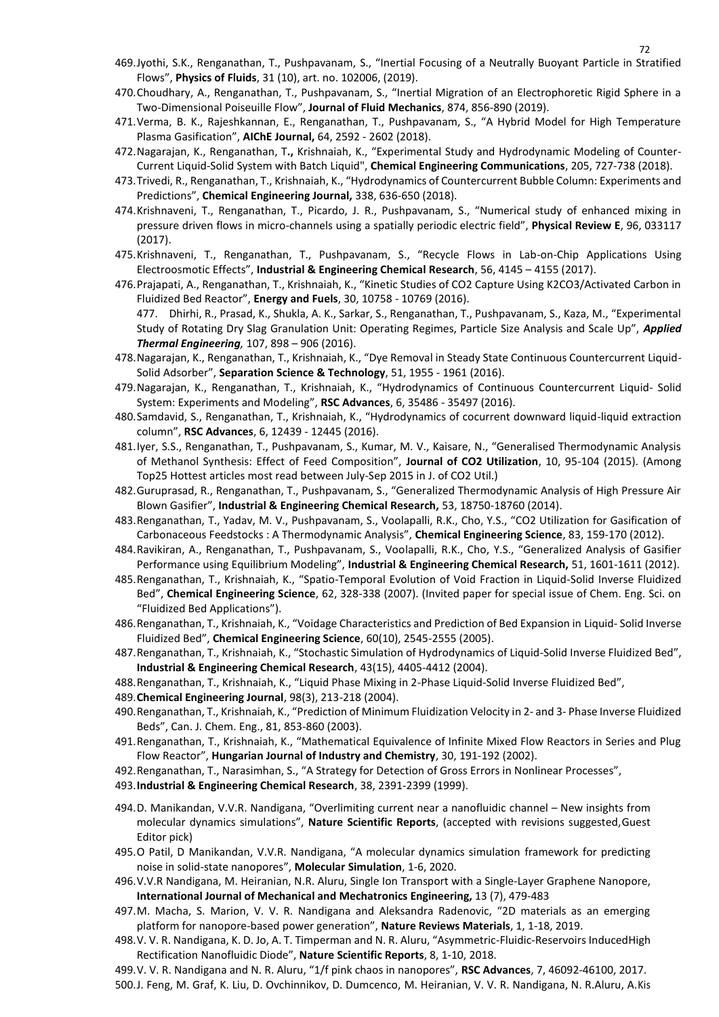- 469.Jyothi, S.K., Renganathan, T., Pushpavanam, S., "Inertial Focusing of a Neutrally Buoyant Particle in Stratified 1 Flows", **Physics of Fluids**, 31 (10), art. no. 102006, (2019).
- 470.Choudhary, A., Renganathan, T., Pushpavanam, S., "Inertial Migration of an Electrophoretic Rigid Sphere in a Two-Dimensional Poiseuille Flow", **Journal of Fluid Mechanics**, 874, 856-890 (2019).
- 471.Verma, B. K., Rajeshkannan, E., Renganathan, T., Pushpavanam, S., "A Hybrid Model for High Temperature Plasma Gasification", **AIChE Journal,** 64, 2592 - 2602 (2018).
- 472.Nagarajan, K., Renganathan, T**.,** Krishnaiah, K., "Experimental Study and Hydrodynamic Modeling of Counter-Current Liquid-Solid System with Batch Liquid", **Chemical Engineering Communications**, 205, 727-738 (2018).
- 473.Trivedi, R., Renganathan, T., Krishnaiah, K., "Hydrodynamics of Countercurrent Bubble Column: Experiments and Predictions", **Chemical Engineering Journal,** 338, 636-650 (2018).
- 474.Krishnaveni, T., Renganathan, T., Picardo, J. R., Pushpavanam, S., "Numerical study of enhanced mixing in pressure driven flows in micro-channels using a spatially periodic electric field", **Physical Review E**, 96, 033117 (2017).
- 475.Krishnaveni, T., Renganathan, T., Pushpavanam, S., "Recycle Flows in Lab-on-Chip Applications Using Electroosmotic Effects", **Industrial & Engineering Chemical Research**, 56, 4145 – 4155 (2017).
- 476.Prajapati, A., Renganathan, T., Krishnaiah, K., "Kinetic Studies of CO2 Capture Using K2CO3/Activated Carbon in Fluidized Bed Reactor", **Energy and Fuels**, 30, 10758 - 10769 (2016). 477. Dhirhi, R., Prasad, K., Shukla, A. K., Sarkar, S., Renganathan, T., Pushpavanam, S., Kaza, M., "Experimental Study of Rotating Dry Slag Granulation Unit: Operating Regimes, Particle Size Analysis and Scale Up", *Applied Thermal Engineering,* 107, 898 – 906 (2016).
- 478.Nagarajan, K., Renganathan, T., Krishnaiah, K., "Dye Removal in Steady State Continuous Countercurrent Liquid-Solid Adsorber", **Separation Science & Technology**, 51, 1955 - 1961 (2016).
- 479.Nagarajan, K., Renganathan, T., Krishnaiah, K., "Hydrodynamics of Continuous Countercurrent Liquid- Solid System: Experiments and Modeling", **RSC Advances**, 6, 35486 - 35497 (2016).
- 480.Samdavid, S., Renganathan, T., Krishnaiah, K., "Hydrodynamics of cocurrent downward liquid-liquid extraction column", **RSC Advances**, 6, 12439 - 12445 (2016).
- 481.Iyer, S.S., Renganathan, T., Pushpavanam, S., Kumar, M. V., Kaisare, N., "Generalised Thermodynamic Analysis of Methanol Synthesis: Effect of Feed Composition", **Journal of CO2 Utilization**, 10, 95-104 (2015). (Among Top25 Hottest articles most read between July-Sep 2015 in J. of CO2 Util.)
- 482.Guruprasad, R., Renganathan, T., Pushpavanam, S., "Generalized Thermodynamic Analysis of High Pressure Air Blown Gasifier", **Industrial & Engineering Chemical Research,** 53, 18750-18760 (2014).
- 483.Renganathan, T., Yadav, M. V., Pushpavanam, S., Voolapalli, R.K., Cho, Y.S., "CO2 Utilization for Gasification of Carbonaceous Feedstocks : A Thermodynamic Analysis", **Chemical Engineering Science**, 83, 159-170 (2012).
- 484.Ravikiran, A., Renganathan, T., Pushpavanam, S., Voolapalli, R.K., Cho, Y.S., "Generalized Analysis of Gasifier Performance using Equilibrium Modeling", **Industrial & Engineering Chemical Research,** 51, 1601-1611 (2012).
- 485.Renganathan, T., Krishnaiah, K., "Spatio-Temporal Evolution of Void Fraction in Liquid-Solid Inverse Fluidized Bed", **Chemical Engineering Science**, 62, 328-338 (2007). (Invited paper for special issue of Chem. Eng. Sci. on "Fluidized Bed Applications").
- 486.Renganathan, T., Krishnaiah, K., "Voidage Characteristics and Prediction of Bed Expansion in Liquid- Solid Inverse Fluidized Bed", **Chemical Engineering Science**, 60(10), 2545-2555 (2005).
- 487.Renganathan, T., Krishnaiah, K., "Stochastic Simulation of Hydrodynamics of Liquid-Solid Inverse Fluidized Bed", **Industrial & Engineering Chemical Research**, 43(15), 4405-4412 (2004).
- 488.Renganathan, T., Krishnaiah, K., "Liquid Phase Mixing in 2-Phase Liquid-Solid Inverse Fluidized Bed",
- 489.**Chemical Engineering Journal**, 98(3), 213-218 (2004).
- 490.Renganathan, T., Krishnaiah, K., "Prediction of Minimum Fluidization Velocity in 2- and 3- Phase Inverse Fluidized Beds", Can. J. Chem. Eng., 81, 853-860 (2003).
- 491.Renganathan, T., Krishnaiah, K., "Mathematical Equivalence of Infinite Mixed Flow Reactors in Series and Plug Flow Reactor", **Hungarian Journal of Industry and Chemistry**, 30, 191-192 (2002).
- 492.Renganathan, T., Narasimhan, S., "A Strategy for Detection of Gross Errors in Nonlinear Processes",
- 493.**Industrial & Engineering Chemical Research**, 38, 2391-2399 (1999).
- 494.D. Manikandan, V.V.R. Nandigana, "Overlimiting current near a nanofluidic channel New insights from molecular dynamics simulations", **Nature Scientific Reports**, (accepted with revisions suggested,Guest Editor pick)
- 495.O Patil, D Manikandan, V.V.R. Nandigana, "A molecular dynamics simulation framework for predicting noise in solid-state nanopores", **Molecular Simulation**, 1-6, 2020.
- 496.V.V.R Nandigana, M. Heiranian, N.R. Aluru, Single Ion Transport with a Single-Layer Graphene Nanopore, **International Journal of Mechanical and Mechatronics Engineering,** 13 (7), 479-483
- 497.M. Macha, S. Marion, V. V. R. Nandigana and Aleksandra Radenovic, "2D materials as an emerging platform for nanopore-based power generation", **Nature Reviews Materials**, 1, 1-18, 2019.
- 498.V. V. R. Nandigana, K. D. Jo, A. T. Timperman and N. R. Aluru, "Asymmetric-Fluidic-Reservoirs InducedHigh Rectification Nanofluidic Diode", **Nature Scientific Reports**, 8, 1-10, 2018.
- 499.V. V. R. Nandigana and N. R. Aluru, "1/f pink chaos in nanopores", **RSC Advances**, 7, 46092-46100, 2017.

500.J. Feng, M. Graf, K. Liu, D. Ovchinnikov, D. Dumcenco, M. Heiranian, V. V. R. Nandigana, N. R.Aluru, A.Kis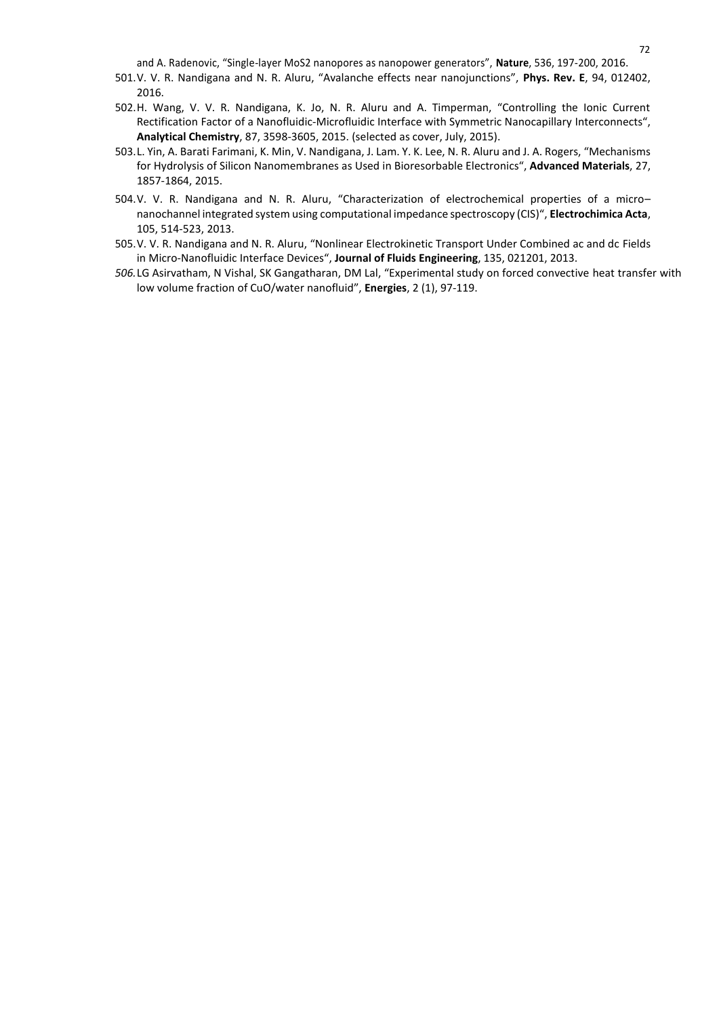and A. Radenovic, "Single-layer MoS2 nanopores as nanopower generators", **Nature**, 536, 197-200, 2016. 2

- 501.V. V. R. Nandigana and N. R. Aluru, "Avalanche effects near nanojunctions", **Phys. Rev. E**, 94, 012402, 2016.
- 502.H. Wang, V. V. R. Nandigana, K. Jo, N. R. Aluru and A. Timperman, "Controlling the Ionic Current Rectification Factor of a Nanofluidic-Microfluidic Interface with Symmetric Nanocapillary Interconnects", **Analytical Chemistry**, 87, 3598-3605, 2015. (selected as cover, July, 2015).
- 503.L. Yin, A. Barati Farimani, K. Min, V. Nandigana, J. Lam. Y. K. Lee, N. R. Aluru and J. A. Rogers, "Mechanisms for Hydrolysis of Silicon Nanomembranes as Used in Bioresorbable Electronics", **Advanced Materials**, 27, 1857-1864, 2015.
- 504.V. V. R. Nandigana and N. R. Aluru, "Characterization of electrochemical properties of a micro– nanochannel integrated system using computational impedance spectroscopy (CIS)", **Electrochimica Acta**, 105, 514-523, 2013.
- 505.V. V. R. Nandigana and N. R. Aluru, "Nonlinear Electrokinetic Transport Under Combined ac and dc Fields in Micro-Nanofluidic Interface Devices", **Journal of Fluids Engineering**, 135, 021201, 2013.
- *506.*LG Asirvatham, N Vishal, SK Gangatharan, DM Lal, "Experimental study on forced convective heat transfer with low volume fraction of CuO/water nanofluid", **Energies**, 2 (1), 97-119.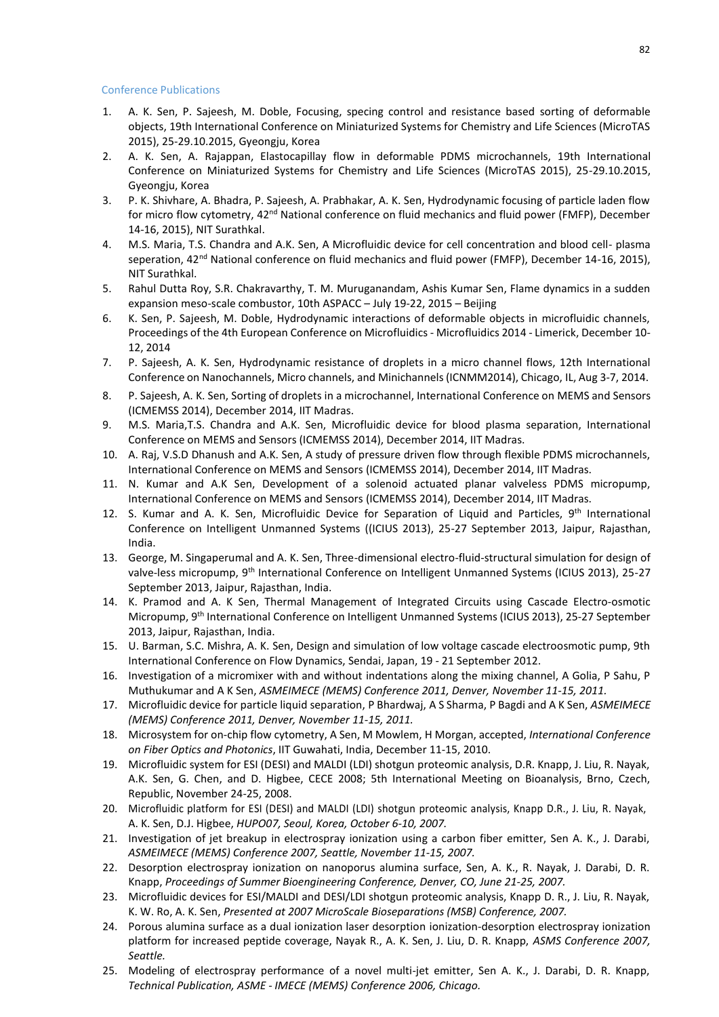## Conference Publications

- 1. A. K. Sen, P. Sajeesh, M. Doble, Focusing, specing control and resistance based sorting of deformable objects, 19th International Conference on Miniaturized Systems for Chemistry and Life Sciences (MicroTAS 2015), 25-29.10.2015, Gyeongju, Korea
- 2. A. K. Sen, A. Rajappan, Elastocapillay flow in deformable PDMS microchannels, 19th International Conference on Miniaturized Systems for Chemistry and Life Sciences (MicroTAS 2015), 25-29.10.2015, Gyeongju, Korea
- 3. P. K. Shivhare, A. Bhadra, P. Sajeesh, A. Prabhakar, A. K. Sen, Hydrodynamic focusing of particle laden flow for micro flow cytometry, 42nd National conference on fluid mechanics and fluid power (FMFP), December 14-16, 2015), NIT Surathkal.
- 4. M.S. Maria, T.S. Chandra and A.K. Sen, A Microfluidic device for cell concentration and blood cell- plasma seperation, 42<sup>nd</sup> National conference on fluid mechanics and fluid power (FMFP), December 14-16, 2015), NIT Surathkal.
- 5. Rahul Dutta Roy, S.R. Chakravarthy, T. M. Muruganandam, Ashis Kumar Sen, Flame dynamics in a sudden expansion meso-scale combustor, 10th ASPACC – July 19-22, 2015 – Beijing
- 6. K. Sen, P. Sajeesh, M. Doble, Hydrodynamic interactions of deformable objects in microfluidic channels, Proceedings of the 4th European Conference on Microfluidics- Microfluidics 2014 - Limerick, December 10- 12, 2014
- 7. P. Sajeesh, A. K. Sen, Hydrodynamic resistance of droplets in a micro channel flows, 12th International Conference on Nanochannels, Micro channels, and Minichannels(ICNMM2014), Chicago, IL, Aug 3-7, 2014.
- 8. P. Sajeesh, A. K. Sen, Sorting of droplets in a microchannel, International Conference on MEMS and Sensors (ICMEMSS 2014), December 2014, IIT Madras.
- 9. M.S. Maria,T.S. Chandra and A.K. Sen, Microfluidic device for blood plasma separation, International Conference on MEMS and Sensors (ICMEMSS 2014), December 2014, IIT Madras.
- 10. A. Raj, V.S.D Dhanush and A.K. Sen, A study of pressure driven flow through flexible PDMS microchannels, International Conference on MEMS and Sensors (ICMEMSS 2014), December 2014, IIT Madras.
- 11. N. Kumar and A.K Sen, Development of a solenoid actuated planar valveless PDMS micropump, International Conference on MEMS and Sensors (ICMEMSS 2014), December 2014, IIT Madras.
- 12. S. Kumar and A. K. Sen, Microfluidic Device for Separation of Liquid and Particles, 9<sup>th</sup> International Conference on Intelligent Unmanned Systems ((ICIUS 2013), 25-27 September 2013, Jaipur, Rajasthan, India.
- 13. George, M. Singaperumal and A. K. Sen, Three-dimensional electro-fluid-structural simulation for design of valve-less micropump, 9th International Conference on Intelligent Unmanned Systems (ICIUS 2013), 25-27 September 2013, Jaipur, Rajasthan, India.
- 14. K. Pramod and A. K Sen, Thermal Management of Integrated Circuits using Cascade Electro-osmotic Micropump, 9<sup>th</sup> International Conference on Intelligent Unmanned Systems (ICIUS 2013), 25-27 September 2013, Jaipur, Rajasthan, India.
- 15. U. Barman, S.C. Mishra, A. K. Sen, Design and simulation of low voltage cascade electroosmotic pump, 9th International Conference on Flow Dynamics, Sendai, Japan, 19 - 21 September 2012.
- 16. Investigation of a micromixer with and without indentations along the mixing channel, A Golia, P Sahu, P Muthukumar and A K Sen, *ASMEIMECE (MEMS) Conference 2011, Denver, November 11-15, 2011.*
- 17. Microfluidic device for particle liquid separation, P Bhardwaj, A S Sharma, P Bagdi and A K Sen, *ASMEIMECE (MEMS) Conference 2011, Denver, November 11-15, 2011.*
- 18. Microsystem for on-chip flow cytometry, A Sen, M Mowlem, H Morgan, accepted, *International Conference on Fiber Optics and Photonics*, IIT Guwahati, India, December 11-15, 2010.
- 19. Microfluidic system for ESI (DESI) and MALDI (LDI) shotgun proteomic analysis, D.R. Knapp, J. Liu, R. Nayak, A.K. Sen, G. Chen, and D. Higbee, CECE 2008; 5th International Meeting on Bioanalysis, Brno, Czech, Republic, November 24-25, 2008.
- 20. Microfluidic platform for ESI (DESI) and MALDI (LDI) shotgun proteomic analysis, Knapp D.R., J. Liu, R. Nayak, A. K. Sen, D.J. Higbee, *HUPO07, Seoul, Korea, October 6-10, 2007.*
- 21. Investigation of jet breakup in electrospray ionization using a carbon fiber emitter, Sen A. K., J. Darabi, *ASMEIMECE (MEMS) Conference 2007, Seattle, November 11-15, 2007.*
- 22. Desorption electrospray ionization on nanoporus alumina surface, Sen, A. K., R. Nayak, J. Darabi, D. R. Knapp, *Proceedings of Summer Bioengineering Conference, Denver, CO, June 21-25, 2007.*
- 23. Microfluidic devices for ESI/MALDI and DESI/LDI shotgun proteomic analysis, Knapp D. R., J. Liu, R. Nayak, K. W. Ro, A. K. Sen, *Presented at 2007 MicroScale Bioseparations (MSB) Conference, 2007.*
- 24. Porous alumina surface as a dual ionization laser desorption ionization-desorption electrospray ionization platform for increased peptide coverage, Nayak R., A. K. Sen, J. Liu, D. R. Knapp, *ASMS Conference 2007, Seattle.*
- 25. Modeling of electrospray performance of a novel multi-jet emitter, Sen A. K., J. Darabi, D. R. Knapp, *Technical Publication, ASME - IMECE (MEMS) Conference 2006, Chicago.*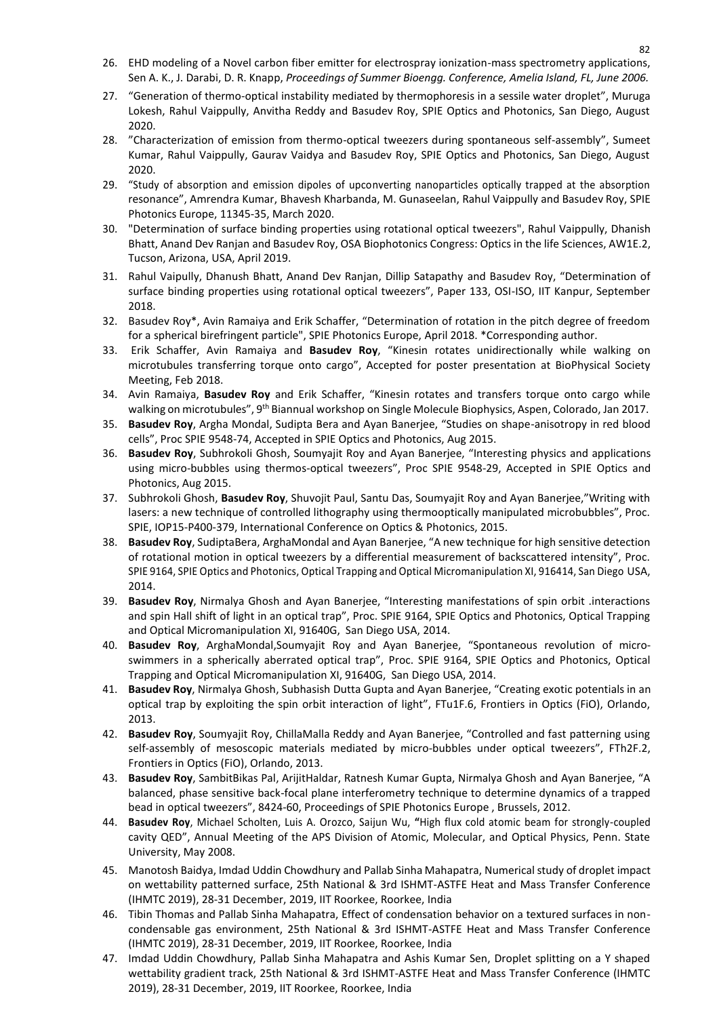- 26. EHD modeling of a Novel carbon fiber emitter for electrospray ionization-mass spectrometry applications, 4 Sen A. K., J. Darabi, D. R. Knapp, *Proceedings of Summer Bioengg. Conference, Amelia Island, FL, June 2006.*
- 27. "Generation of thermo-optical instability mediated by thermophoresis in a sessile water droplet", Muruga Lokesh, Rahul Vaippully, Anvitha Reddy and Basudev Roy, SPIE Optics and Photonics, San Diego, August 2020.
- 28. "Characterization of emission from thermo-optical tweezers during spontaneous self-assembly", Sumeet Kumar, Rahul Vaippully, Gaurav Vaidya and Basudev Roy, SPIE Optics and Photonics, San Diego, August 2020.
- 29. "Study of absorption and emission dipoles of upconverting nanoparticles optically trapped at the absorption resonance", Amrendra Kumar, Bhavesh Kharbanda, M. Gunaseelan, Rahul Vaippully and Basudev Roy, SPIE Photonics Europe, 11345-35, March 2020.
- 30. "Determination of surface binding properties using rotational optical tweezers", Rahul Vaippully, Dhanish Bhatt, Anand Dev Ranjan and Basudev Roy, OSA Biophotonics Congress: Optics in the life Sciences, AW1E.2, Tucson, Arizona, USA, April 2019.
- 31. Rahul Vaipully, Dhanush Bhatt, Anand Dev Ranjan, Dillip Satapathy and Basudev Roy, "Determination of surface binding properties using rotational optical tweezers", Paper 133, OSI-ISO, IIT Kanpur, September 2018.
- 32. Basudev Roy\*, Avin Ramaiya and Erik Schaffer, "Determination of rotation in the pitch degree of freedom for a spherical birefringent particle", SPIE Photonics Europe, April 2018. \*Corresponding author.
- 33. Erik Schaffer, Avin Ramaiya and **Basudev Roy**, "Kinesin rotates unidirectionally while walking on microtubules transferring torque onto cargo", Accepted for poster presentation at BioPhysical Society Meeting, Feb 2018.
- 34. Avin Ramaiya, **Basudev Roy** and Erik Schaffer, "Kinesin rotates and transfers torque onto cargo while walking on microtubules", 9<sup>th</sup> Biannual workshop on Single Molecule Biophysics, Aspen, Colorado, Jan 2017.
- 35. **Basudev Roy**, Argha Mondal, Sudipta Bera and Ayan Banerjee, "Studies on shape-anisotropy in red blood cells", Proc SPIE 9548-74, Accepted in SPIE Optics and Photonics, Aug 2015.
- 36. **Basudev Roy**, Subhrokoli Ghosh, Soumyajit Roy and Ayan Banerjee, "Interesting physics and applications using micro-bubbles using thermos-optical tweezers", Proc SPIE 9548-29, Accepted in SPIE Optics and Photonics, Aug 2015.
- 37. Subhrokoli Ghosh, **Basudev Roy**, Shuvojit Paul, Santu Das, Soumyajit Roy and Ayan Banerjee,"Writing with lasers: a new technique of controlled lithography using thermooptically manipulated microbubbles", Proc. SPIE, IOP15-P400-379, International Conference on Optics & Photonics, 2015.
- 38. **Basudev Roy**, SudiptaBera, ArghaMondal and Ayan Banerjee, "A new technique for high sensitive detection of rotational motion in optical tweezers by a differential measurement of backscattered intensity", Proc. SPIE 9164, SPIE Optics and Photonics, Optical Trapping and Optical Micromanipulation XI, 916414, San Diego USA, 2014.
- 39. **Basudev Roy**, Nirmalya Ghosh and Ayan Banerjee, "Interesting manifestations of spin orbit .interactions and spin Hall shift of light in an optical trap", Proc. SPIE 9164, SPIE Optics and Photonics, Optical Trapping and Optical Micromanipulation XI, 91640G, San Diego USA, 2014.
- 40. **Basudev Roy**, ArghaMondal,Soumyajit Roy and Ayan Banerjee, "Spontaneous revolution of microswimmers in a spherically aberrated optical trap", Proc. SPIE 9164, SPIE Optics and Photonics, Optical Trapping and Optical Micromanipulation XI, 91640G, San Diego USA, 2014.
- 41. **Basudev Roy**, Nirmalya Ghosh, Subhasish Dutta Gupta and Ayan Banerjee, "Creating exotic potentials in an optical trap by exploiting the spin orbit interaction of light", FTu1F.6, Frontiers in Optics (FiO), Orlando, 2013.
- 42. **Basudev Roy**, Soumyajit Roy, ChillaMalla Reddy and Ayan Banerjee, "Controlled and fast patterning using self-assembly of mesoscopic materials mediated by micro-bubbles under optical tweezers", FTh2F.2, Frontiers in Optics (FiO), Orlando, 2013.
- 43. **Basudev Roy**, SambitBikas Pal, ArijitHaldar, Ratnesh Kumar Gupta, Nirmalya Ghosh and Ayan Banerjee, "A balanced, phase sensitive back-focal plane interferometry technique to determine dynamics of a trapped bead in optical tweezers", 8424-60, Proceedings of SPIE Photonics Europe , Brussels, 2012.
- 44. **Basudev Roy**, Michael Scholten, Luis A. Orozco, Saijun Wu, **"**High flux cold atomic beam for strongly-coupled cavity QED", Annual Meeting of the APS Division of Atomic, Molecular, and Optical Physics, Penn. State University, May 2008.
- 45. Manotosh Baidya, Imdad Uddin Chowdhury and Pallab Sinha Mahapatra, Numericalstudy of droplet impact on wettability patterned surface, 25th National & 3rd ISHMT-ASTFE Heat and Mass Transfer Conference (IHMTC 2019), 28-31 December, 2019, IIT Roorkee, Roorkee, India
- 46. Tibin Thomas and Pallab Sinha Mahapatra, Effect of condensation behavior on a textured surfaces in noncondensable gas environment, 25th National & 3rd ISHMT-ASTFE Heat and Mass Transfer Conference (IHMTC 2019), 28-31 December, 2019, IIT Roorkee, Roorkee, India
- 47. Imdad Uddin Chowdhury, Pallab Sinha Mahapatra and Ashis Kumar Sen, Droplet splitting on a Y shaped wettability gradient track, 25th National & 3rd ISHMT-ASTFE Heat and Mass Transfer Conference (IHMTC 2019), 28-31 December, 2019, IIT Roorkee, Roorkee, India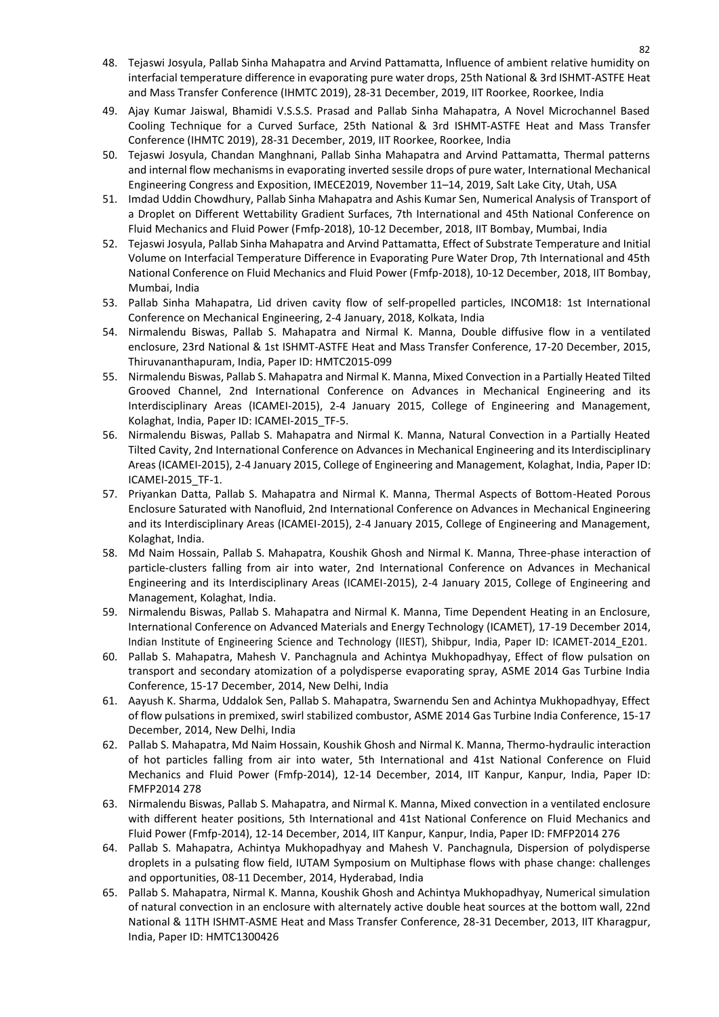- 48. Tejaswi Josyula, Pallab Sinha Mahapatra and Arvind Pattamatta, Influence of ambient relative humidity on interfacial temperature difference in evaporating pure water drops, 25th National & 3rd ISHMT-ASTFE Heat and Mass Transfer Conference (IHMTC 2019), 28-31 December, 2019, IIT Roorkee, Roorkee, India
- 49. Ajay Kumar Jaiswal, Bhamidi V.S.S.S. Prasad and Pallab Sinha Mahapatra, A Novel Microchannel Based Cooling Technique for a Curved Surface, 25th National & 3rd ISHMT-ASTFE Heat and Mass Transfer Conference (IHMTC 2019), 28-31 December, 2019, IIT Roorkee, Roorkee, India
- 50. Tejaswi Josyula, Chandan Manghnani, Pallab Sinha Mahapatra and Arvind Pattamatta, Thermal patterns and internal flow mechanismsin evaporating inverted sessile drops of pure water, International Mechanical Engineering Congress and Exposition, IMECE2019, November 11–14, 2019, Salt Lake City, Utah, USA
- 51. Imdad Uddin Chowdhury, Pallab Sinha Mahapatra and Ashis Kumar Sen, Numerical Analysis of Transport of a Droplet on Different Wettability Gradient Surfaces, 7th International and 45th National Conference on Fluid Mechanics and Fluid Power (Fmfp-2018), 10-12 December, 2018, IIT Bombay, Mumbai, India
- 52. Tejaswi Josyula, Pallab Sinha Mahapatra and Arvind Pattamatta, Effect of Substrate Temperature and Initial Volume on Interfacial Temperature Difference in Evaporating Pure Water Drop, 7th International and 45th National Conference on Fluid Mechanics and Fluid Power (Fmfp-2018), 10-12 December, 2018, IIT Bombay, Mumbai, India
- 53. Pallab Sinha Mahapatra, Lid driven cavity flow of self-propelled particles, INCOM18: 1st International Conference on Mechanical Engineering, 2-4 January, 2018, Kolkata, India
- 54. Nirmalendu Biswas, Pallab S. Mahapatra and Nirmal K. Manna, Double diffusive flow in a ventilated enclosure, 23rd National & 1st ISHMT-ASTFE Heat and Mass Transfer Conference, 17-20 December, 2015, Thiruvananthapuram, India, Paper ID: HMTC2015-099
- 55. Nirmalendu Biswas, Pallab S. Mahapatra and Nirmal K. Manna, Mixed Convection in a Partially Heated Tilted Grooved Channel, 2nd International Conference on Advances in Mechanical Engineering and its Interdisciplinary Areas (ICAMEI-2015), 2-4 January 2015, College of Engineering and Management, Kolaghat, India, Paper ID: ICAMEI-2015\_TF-5.
- 56. Nirmalendu Biswas, Pallab S. Mahapatra and Nirmal K. Manna, Natural Convection in a Partially Heated Tilted Cavity, 2nd International Conference on Advances in Mechanical Engineering and its Interdisciplinary Areas (ICAMEI-2015), 2-4 January 2015, College of Engineering and Management, Kolaghat, India, Paper ID: ICAMEI-2015\_TF-1.
- 57. Priyankan Datta, Pallab S. Mahapatra and Nirmal K. Manna, Thermal Aspects of Bottom-Heated Porous Enclosure Saturated with Nanofluid, 2nd International Conference on Advances in Mechanical Engineering and its Interdisciplinary Areas (ICAMEI-2015), 2-4 January 2015, College of Engineering and Management, Kolaghat, India.
- 58. Md Naim Hossain, Pallab S. Mahapatra, Koushik Ghosh and Nirmal K. Manna, Three-phase interaction of particle-clusters falling from air into water, 2nd International Conference on Advances in Mechanical Engineering and its Interdisciplinary Areas (ICAMEI-2015), 2-4 January 2015, College of Engineering and Management, Kolaghat, India.
- 59. Nirmalendu Biswas, Pallab S. Mahapatra and Nirmal K. Manna, Time Dependent Heating in an Enclosure, International Conference on Advanced Materials and Energy Technology (ICAMET), 17-19 December 2014, Indian Institute of Engineering Science and Technology (IIEST), Shibpur, India, Paper ID: ICAMET-2014\_E201.
- 60. Pallab S. Mahapatra, Mahesh V. Panchagnula and Achintya Mukhopadhyay, Effect of flow pulsation on transport and secondary atomization of a polydisperse evaporating spray, ASME 2014 Gas Turbine India Conference, 15-17 December, 2014, New Delhi, India
- 61. Aayush K. Sharma, Uddalok Sen, Pallab S. Mahapatra, Swarnendu Sen and Achintya Mukhopadhyay, Effect of flow pulsations in premixed, swirl stabilized combustor, ASME 2014 Gas Turbine India Conference, 15-17 December, 2014, New Delhi, India
- 62. Pallab S. Mahapatra, Md Naim Hossain, Koushik Ghosh and Nirmal K. Manna, Thermo-hydraulic interaction of hot particles falling from air into water, 5th International and 41st National Conference on Fluid Mechanics and Fluid Power (Fmfp-2014), 12-14 December, 2014, IIT Kanpur, Kanpur, India, Paper ID: FMFP2014 278
- 63. Nirmalendu Biswas, Pallab S. Mahapatra, and Nirmal K. Manna, Mixed convection in a ventilated enclosure with different heater positions, 5th International and 41st National Conference on Fluid Mechanics and Fluid Power (Fmfp-2014), 12-14 December, 2014, IIT Kanpur, Kanpur, India, Paper ID: FMFP2014 276
- 64. Pallab S. Mahapatra, Achintya Mukhopadhyay and Mahesh V. Panchagnula, Dispersion of polydisperse droplets in a pulsating flow field, IUTAM Symposium on Multiphase flows with phase change: challenges and opportunities, 08-11 December, 2014, Hyderabad, India
- 65. Pallab S. Mahapatra, Nirmal K. Manna, Koushik Ghosh and Achintya Mukhopadhyay, Numerical simulation of natural convection in an enclosure with alternately active double heat sources at the bottom wall, 22nd National & 11TH ISHMT-ASME Heat and Mass Transfer Conference, 28-31 December, 2013, IIT Kharagpur, India, Paper ID: HMTC1300426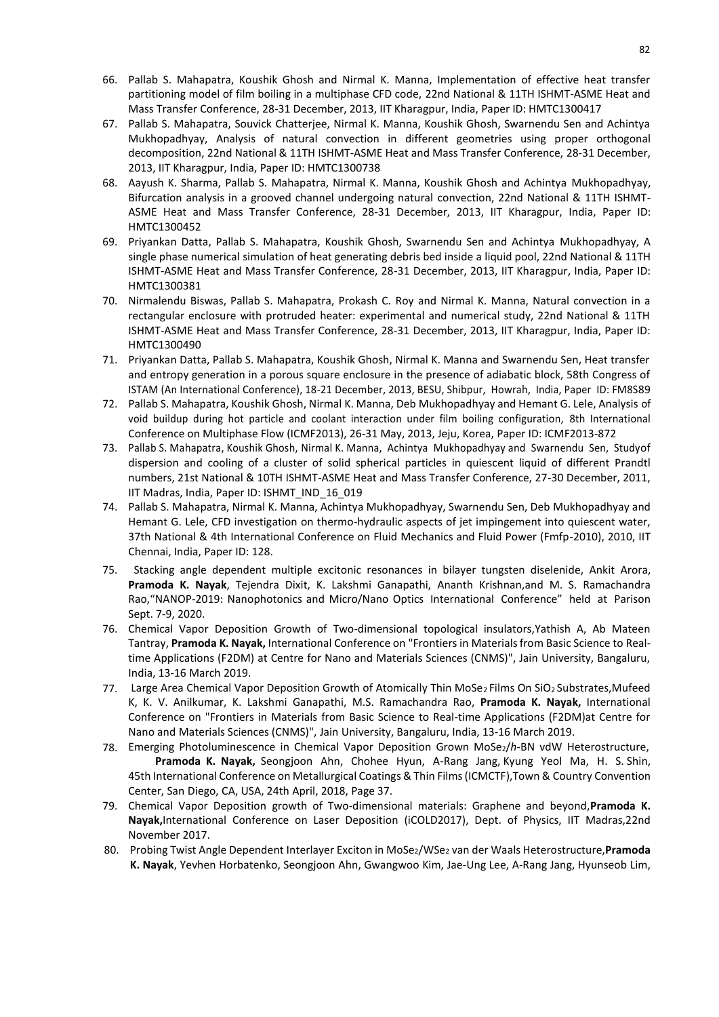- 66. Pallab S. Mahapatra, Koushik Ghosh and Nirmal K. Manna, Implementation of effective heat transfer partitioning model of film boiling in a multiphase CFD code, 22nd National & 11TH ISHMT-ASME Heat and Mass Transfer Conference, 28-31 December, 2013, IIT Kharagpur, India, Paper ID: HMTC1300417
- 67. Pallab S. Mahapatra, Souvick Chatterjee, Nirmal K. Manna, Koushik Ghosh, Swarnendu Sen and Achintya Mukhopadhyay, Analysis of natural convection in different geometries using proper orthogonal decomposition, 22nd National & 11TH ISHMT-ASME Heat and Mass Transfer Conference, 28-31 December, 2013, IIT Kharagpur, India, Paper ID: HMTC1300738
- 68. Aayush K. Sharma, Pallab S. Mahapatra, Nirmal K. Manna, Koushik Ghosh and Achintya Mukhopadhyay, Bifurcation analysis in a grooved channel undergoing natural convection, 22nd National & 11TH ISHMT-ASME Heat and Mass Transfer Conference, 28-31 December, 2013, IIT Kharagpur, India, Paper ID: HMTC1300452
- 69. Priyankan Datta, Pallab S. Mahapatra, Koushik Ghosh, Swarnendu Sen and Achintya Mukhopadhyay, A single phase numerical simulation of heat generating debris bed inside a liquid pool, 22nd National & 11TH ISHMT-ASME Heat and Mass Transfer Conference, 28-31 December, 2013, IIT Kharagpur, India, Paper ID: HMTC1300381
- 70. Nirmalendu Biswas, Pallab S. Mahapatra, Prokash C. Roy and Nirmal K. Manna, Natural convection in a rectangular enclosure with protruded heater: experimental and numerical study, 22nd National & 11TH ISHMT-ASME Heat and Mass Transfer Conference, 28-31 December, 2013, IIT Kharagpur, India, Paper ID: HMTC1300490
- 71. Priyankan Datta, Pallab S. Mahapatra, Koushik Ghosh, Nirmal K. Manna and Swarnendu Sen, Heat transfer and entropy generation in a porous square enclosure in the presence of adiabatic block, 58th Congress of ISTAM (An International Conference), 18-21 December, 2013, BESU, Shibpur, Howrah, India, Paper ID: FM8S89
- 72. Pallab S. Mahapatra, Koushik Ghosh, Nirmal K. Manna, Deb Mukhopadhyay and Hemant G. Lele, Analysis of void buildup during hot particle and coolant interaction under film boiling configuration, 8th International Conference on Multiphase Flow (ICMF2013), 26-31 May, 2013, Jeju, Korea, Paper ID: ICMF2013-872
- 73. Pallab S. Mahapatra, Koushik Ghosh, Nirmal K. Manna, Achintya Mukhopadhyay and Swarnendu Sen, Studyof dispersion and cooling of a cluster of solid spherical particles in quiescent liquid of different Prandtl numbers, 21st National & 10TH ISHMT-ASME Heat and Mass Transfer Conference, 27-30 December, 2011, IIT Madras, India, Paper ID: ISHMT\_IND\_16\_019
- 74. Pallab S. Mahapatra, Nirmal K. Manna, Achintya Mukhopadhyay, Swarnendu Sen, Deb Mukhopadhyay and Hemant G. Lele, CFD investigation on thermo-hydraulic aspects of jet impingement into quiescent water, 37th National & 4th International Conference on Fluid Mechanics and Fluid Power (Fmfp-2010), 2010, IIT Chennai, India, Paper ID: 128.
- 75. Stacking angle dependent multiple excitonic resonances in bilayer tungsten diselenide, Ankit Arora, **Pramoda K. Nayak**, Tejendra Dixit, K. Lakshmi Ganapathi, Ananth Krishnan,and M. S. Ramachandra Rao,"NANOP-2019: Nanophotonics and Micro/Nano Optics International Conference" held at Parison Sept. 7-9, 2020.
- 76. Chemical Vapor Deposition Growth of Two-dimensional topological insulators,Yathish A, Ab Mateen Tantray, **Pramoda K. Nayak,** International Conference on "Frontiers in Materialsfrom Basic Science to Realtime Applications (F2DM) at Centre for Nano and Materials Sciences (CNMS)", Jain University, Bangaluru, India, 13-16 March 2019.
- 77. Large Area Chemical Vapor Deposition Growth of Atomically Thin MoSe<sub>2</sub> Films On SiO<sub>2</sub> Substrates, Mufeed K, K. V. Anilkumar, K. Lakshmi Ganapathi, M.S. Ramachandra Rao, **Pramoda K. Nayak,** International Conference on "Frontiers in Materials from Basic Science to Real-time Applications (F2DM)at Centre for Nano and Materials Sciences (CNMS)", Jain University, Bangaluru, India, 13-16 March 2019.
- 78. Emerging Photoluminescence in Chemical Vapor Deposition Grown MoSe2/*h*-BN vdW Heterostructure, **Pramoda K. Nayak,** Seongjoon Ahn, Chohee Hyun, A-Rang Jang, Kyung Yeol Ma, H. S. Shin, 45th International Conference on Metallurgical Coatings & Thin Films (ICMCTF),Town & Country Convention Center, San Diego, CA, USA, 24th April, 2018, Page 37.
- 79. Chemical Vapor Deposition growth of Two-dimensional materials: Graphene and beyond,**Pramoda K. Nayak,**International Conference on Laser Deposition (iCOLD2017), Dept. of Physics, IIT Madras,22nd November 2017.
- 80. Probing Twist Angle Dependent Interlayer Exciton in MoSe2/WSe<sup>2</sup> van der Waals Heterostructure,**Pramoda K. Nayak**, Yevhen Horbatenko, Seongjoon Ahn, Gwangwoo Kim, Jae-Ung Lee, A-Rang Jang, Hyunseob Lim,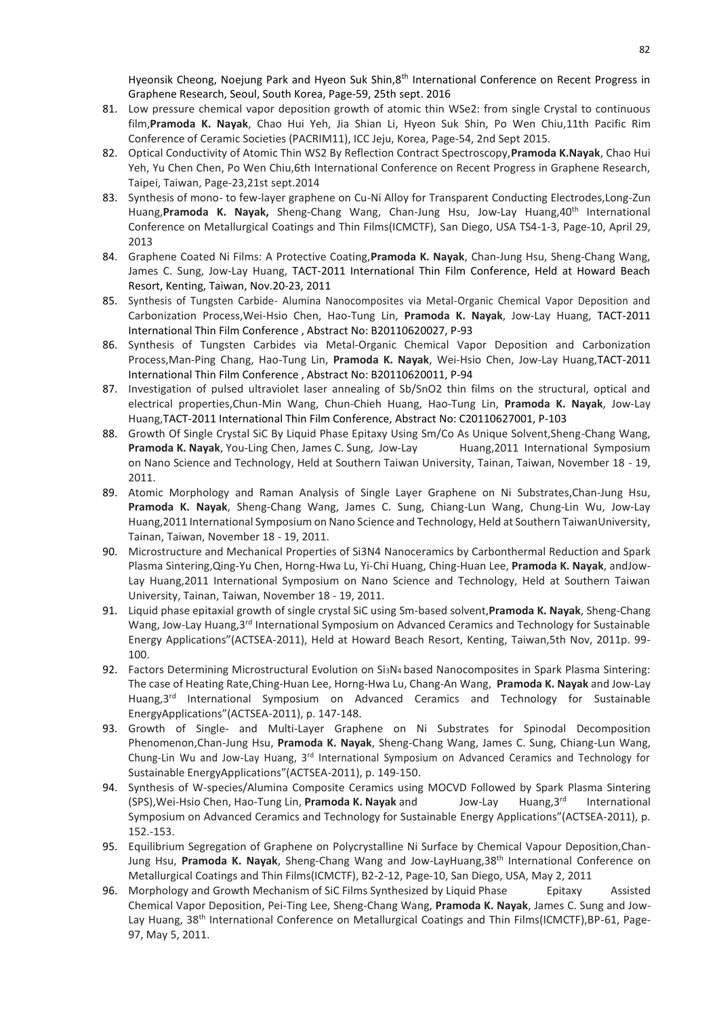Hyeonsik Cheong, Noejung Park and Hyeon Suk Shin,8<sup>th</sup> International Conference on Recent Progress in Graphene Research, Seoul, South Korea, Page-59, 25th sept. 2016

- 81. Low pressure chemical vapor deposition growth of atomic thin WSe2: from single Crystal to continuous film,**Pramoda K. Nayak**, Chao Hui Yeh, Jia Shian Li, Hyeon Suk Shin, Po Wen Chiu,11th Pacific Rim Conference of Ceramic Societies (PACRIM11), ICC Jeju, Korea, Page-54, 2nd Sept 2015.
- 82. Optical Conductivity of Atomic Thin WS2 By Reflection Contract Spectroscopy,**Pramoda K.Nayak**, Chao Hui Yeh, Yu Chen Chen, Po Wen Chiu,6th International Conference on Recent Progress in Graphene Research, Taipei, Taiwan, Page-23,21st sept.2014
- 83. Synthesis of mono- to few-layer graphene on Cu-Ni Alloy for Transparent Conducting Electrodes, Long-Zun Huang,**Pramoda K. Nayak,** Sheng-Chang Wang, Chan-Jung Hsu, Jow-Lay Huang,40th International Conference on Metallurgical Coatings and Thin Films(ICMCTF), San Diego, USA TS4-1-3, Page-10, April 29, 2013
- 84. Graphene Coated Ni Films: A Protective Coating,**Pramoda K. Nayak**, Chan-Jung Hsu, Sheng-Chang Wang, James C. Sung, Jow-Lay Huang, TACT-2011 International Thin Film Conference, Held at Howard Beach Resort, Kenting, Taiwan, Nov.20-23, 2011
- 85. Synthesis of Tungsten Carbide- Alumina Nanocomposites via Metal-Organic Chemical Vapor Deposition and Carbonization Process,Wei-Hsio Chen, Hao-Tung Lin, **Pramoda K. Nayak**, Jow-Lay Huang, TACT-2011 International Thin Film Conference , Abstract No: B20110620027, P-93
- 86. Synthesis of Tungsten Carbides via Metal-Organic Chemical Vapor Deposition and Carbonization Process,Man-Ping Chang, Hao-Tung Lin, **Pramoda K. Nayak**, Wei-Hsio Chen, Jow-Lay Huang,TACT-2011 International Thin Film Conference , Abstract No: B20110620011, P-94
- 87. Investigation of pulsed ultraviolet laser annealing of Sb/SnO2 thin films on the structural, optical and electrical properties,Chun-Min Wang, Chun-Chieh Huang, Hao-Tung Lin, **Pramoda K. Nayak**, Jow-Lay Huang,TACT-2011 International Thin Film Conference, Abstract No: C20110627001, P-103
- 88. Growth Of Single Crystal SiC By Liquid Phase Epitaxy Using Sm/Co As Unique Solvent, Sheng-Chang Wang, **Pramoda K. Nayak**, You-Ling Chen, James C. Sung, Jow-Lay Huang, 2011 International Symposium on Nano Science and Technology, Held at Southern Taiwan University, Tainan, Taiwan, November 18 - 19, 2011.
- 89. Atomic Morphology and Raman Analysis of Single Layer Graphene on Ni Substrates,Chan-Jung Hsu, **Pramoda K. Nayak**, Sheng-Chang Wang, James C. Sung, Chiang-Lun Wang, Chung-Lin Wu, Jow-Lay Huang,2011 International Symposium on Nano Science and Technology, Held at Southern TaiwanUniversity, Tainan, Taiwan, November 18 - 19, 2011.
- 90. Microstructure and Mechanical Properties of Si3N4 Nanoceramics by Carbonthermal Reduction and Spark Plasma Sintering,Qing-Yu Chen, Horng-Hwa Lu, Yi-Chi Huang, Ching-Huan Lee, **Pramoda K. Nayak**, andJow-Lay Huang,2011 International Symposium on Nano Science and Technology, Held at Southern Taiwan University, Tainan, Taiwan, November 18 - 19, 2011.
- 91. Liquid phase epitaxial growth of single crystal SiC using Sm-based solvent,**Pramoda K. Nayak**, Sheng-Chang Wang, Jow-Lay Huang,3<sup>rd</sup> International Symposium on Advanced Ceramics and Technology for Sustainable Energy Applications"(ACTSEA-2011), Held at Howard Beach Resort, Kenting, Taiwan,5th Nov, 2011p. 99- 100.
- 92. Factors Determining Microstructural Evolution on Si<sub>3</sub>N<sub>4</sub> based Nanocomposites in Spark Plasma Sintering: The case of Heating Rate,Ching-Huan Lee, Horng-Hwa Lu, Chang-An Wang, **Pramoda K. Nayak** and Jow-Lay Huang, 3<sup>rd</sup> International Symposium on Advanced Ceramics and Technology for Sustainable EnergyApplications"(ACTSEA-2011), p. 147-148.
- 93. Growth of Single- and Multi-Layer Graphene on Ni Substrates for Spinodal Decomposition Phenomenon,Chan-Jung Hsu, **Pramoda K. Nayak**, Sheng-Chang Wang, James C. Sung, Chiang-Lun Wang, Chung-Lin Wu and Jow-Lay Huang,  $3<sup>rd</sup>$  International Symposium on Advanced Ceramics and Technology for Sustainable EnergyApplications"(ACTSEA-2011), p. 149-150.
- 94. Synthesis of W-species/Alumina Composite Ceramics using MOCVD Followed by Spark Plasma Sintering (SPS),Wei-Hsio Chen, Hao-Tung Lin, **Pramoda K. Nayak** and Jow-Lay Huang,3rd International Symposium on Advanced Ceramics and Technology for Sustainable Energy Applications"(ACTSEA-2011), p. 152.-153.
- 95. Equilibrium Segregation of Graphene on Polycrystalline Ni Surface by Chemical Vapour Deposition,Chan-Jung Hsu, **Pramoda K. Nayak**, Sheng-Chang Wang and Jow-LayHuang,38th International Conference on Metallurgical Coatings and Thin Films(ICMCTF), B2-2-12, Page-10, San Diego, USA, May 2, 2011
- 96. Morphology and Growth Mechanism of SiC Films Synthesized by Liquid Phase Epitaxy Assisted Chemical Vapor Deposition, Pei-Ting Lee, Sheng-Chang Wang, **Pramoda K. Nayak**, James C. Sung and Jow-Lay Huang, 38<sup>th</sup> International Conference on Metallurgical Coatings and Thin Films(ICMCTF),BP-61, Page-97, May 5, 2011.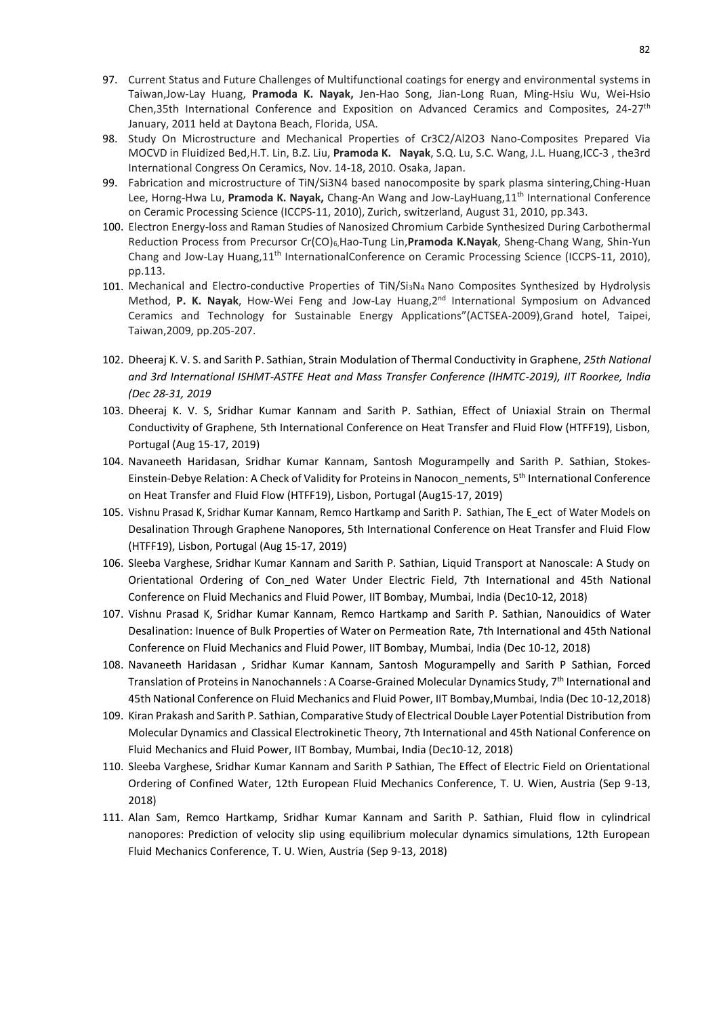- 97. Current Status and Future Challenges of Multifunctional coatings for energy and environmental systems in Taiwan,Jow-Lay Huang, **Pramoda K. Nayak,** Jen-Hao Song, Jian-Long Ruan, Ming-Hsiu Wu, Wei-Hsio Chen,35th International Conference and Exposition on Advanced Ceramics and Composites, 24-27<sup>th</sup> January, 2011 held at Daytona Beach, Florida, USA.
- 98. Study On Microstructure and Mechanical Properties of Cr3C2/Al2O3 Nano-Composites Prepared Via MOCVD in Fluidized Bed,H.T. Lin, B.Z. Liu, **Pramoda K. Nayak**, S.Q. Lu, S.C. Wang, J.L. Huang,ICC-3 , the3rd International Congress On Ceramics, Nov. 14-18, 2010. Osaka, Japan.
- 99. Fabrication and microstructure of TiN/Si3N4 based nanocomposite by spark plasma sintering,Ching-Huan Lee, Horng-Hwa Lu, **Pramoda K. Nayak,** Chang-An Wang and Jow-LayHuang,11th International Conference on Ceramic Processing Science (ICCPS-11, 2010), Zurich, switzerland, August 31, 2010, pp.343.
- 100. Electron Energy-loss and Raman Studies of Nanosized Chromium Carbide Synthesized During Carbothermal Reduction Process from Precursor Cr(CO)6,Hao-Tung Lin,**Pramoda K.Nayak**, Sheng-Chang Wang, Shin-Yun Chang and Jow-Lay Huang,11th InternationalConference on Ceramic Processing Science (ICCPS-11, 2010), pp.113.
- 101. Mechanical and Electro-conductive Properties of TiN/Si3N<sup>4</sup> Nano Composites Synthesized by Hydrolysis Method, **P. K. Nayak**, How-Wei Feng and Jow-Lay Huang,2nd International Symposium on Advanced Ceramics and Technology for Sustainable Energy Applications"(ACTSEA-2009),Grand hotel, Taipei, Taiwan,2009, pp.205-207.
- 102. Dheeraj K. V. S. and Sarith P. Sathian, Strain Modulation of Thermal Conductivity in Graphene, *25th National and 3rd International ISHMT-ASTFE Heat and Mass Transfer Conference (IHMTC-2019), IIT Roorkee, India (Dec 28-31, 2019*
- 103. Dheeraj K. V. S, Sridhar Kumar Kannam and Sarith P. Sathian, Effect of Uniaxial Strain on Thermal Conductivity of Graphene, 5th International Conference on Heat Transfer and Fluid Flow (HTFF19), Lisbon, Portugal (Aug 15-17, 2019)
- 104. Navaneeth Haridasan, Sridhar Kumar Kannam, Santosh Mogurampelly and Sarith P. Sathian, Stokes-Einstein-Debye Relation: A Check of Validity for Proteins in Nanocon\_nements, 5<sup>th</sup> International Conference on Heat Transfer and Fluid Flow (HTFF19), Lisbon, Portugal (Aug15-17, 2019)
- 105. Vishnu Prasad K, Sridhar Kumar Kannam, Remco Hartkamp and Sarith P. Sathian, The E\_ect of Water Models on Desalination Through Graphene Nanopores, 5th International Conference on Heat Transfer and Fluid Flow (HTFF19), Lisbon, Portugal (Aug 15-17, 2019)
- 106. Sleeba Varghese, Sridhar Kumar Kannam and Sarith P. Sathian, Liquid Transport at Nanoscale: A Study on Orientational Ordering of Con\_ned Water Under Electric Field, 7th International and 45th National Conference on Fluid Mechanics and Fluid Power, IIT Bombay, Mumbai, India (Dec10-12, 2018)
- 107. Vishnu Prasad K, Sridhar Kumar Kannam, Remco Hartkamp and Sarith P. Sathian, Nanouidics of Water Desalination: Inuence of Bulk Properties of Water on Permeation Rate, 7th International and 45th National Conference on Fluid Mechanics and Fluid Power, IIT Bombay, Mumbai, India (Dec 10-12, 2018)
- 108. Navaneeth Haridasan , Sridhar Kumar Kannam, Santosh Mogurampelly and Sarith P Sathian, Forced Translation of Proteins in Nanochannels : A Coarse-Grained Molecular Dynamics Study, 7th International and 45th National Conference on Fluid Mechanics and Fluid Power, IIT Bombay,Mumbai, India (Dec 10-12,2018)
- 109. Kiran Prakash and Sarith P. Sathian, Comparative Study of Electrical Double Layer Potential Distribution from Molecular Dynamics and Classical Electrokinetic Theory, 7th International and 45th National Conference on Fluid Mechanics and Fluid Power, IIT Bombay, Mumbai, India (Dec10-12, 2018)
- 110. Sleeba Varghese, Sridhar Kumar Kannam and Sarith P Sathian, The Effect of Electric Field on Orientational Ordering of Confined Water, 12th European Fluid Mechanics Conference, T. U. Wien, Austria (Sep 9-13, 2018)
- 111. Alan Sam, Remco Hartkamp, Sridhar Kumar Kannam and Sarith P. Sathian, Fluid flow in cylindrical nanopores: Prediction of velocity slip using equilibrium molecular dynamics simulations, 12th European Fluid Mechanics Conference, T. U. Wien, Austria (Sep 9-13, 2018)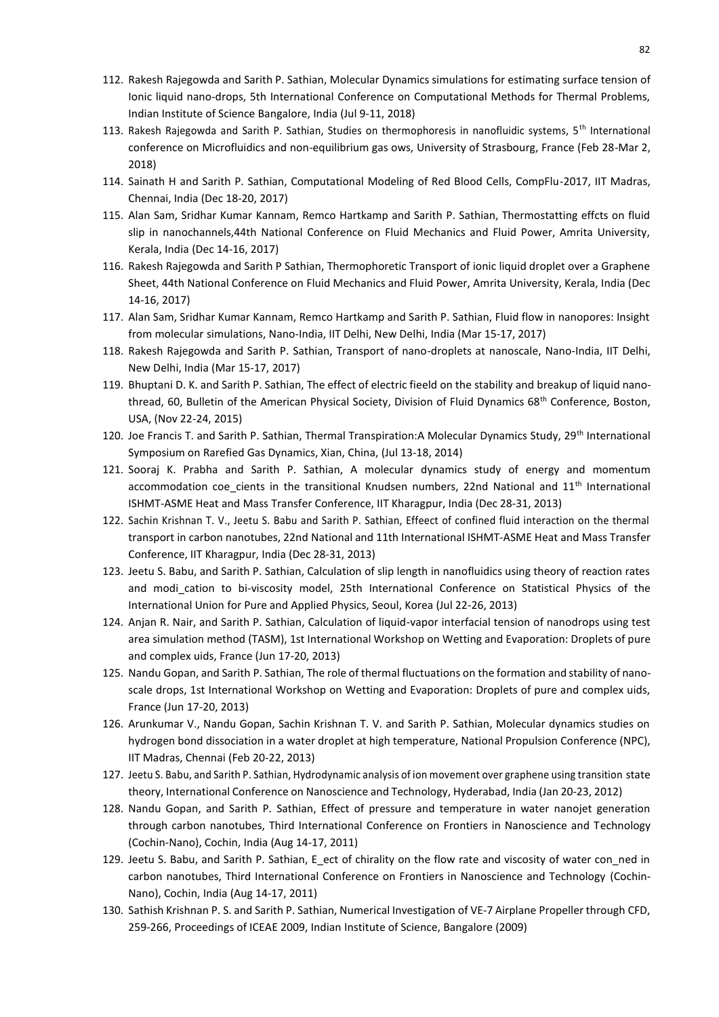- 112. Rakesh Rajegowda and Sarith P. Sathian, Molecular Dynamics simulations for estimating surface tension of Ionic liquid nano-drops, 5th International Conference on Computational Methods for Thermal Problems, Indian Institute of Science Bangalore, India (Jul 9-11, 2018)
- 113. Rakesh Rajegowda and Sarith P. Sathian, Studies on thermophoresis in nanofluidic systems, 5<sup>th</sup> International conference on Microfluidics and non-equilibrium gas ows, University of Strasbourg, France (Feb 28-Mar 2, 2018)
- 114. Sainath H and Sarith P. Sathian, Computational Modeling of Red Blood Cells, CompFlu-2017, IIT Madras, Chennai, India (Dec 18-20, 2017)
- 115. Alan Sam, Sridhar Kumar Kannam, Remco Hartkamp and Sarith P. Sathian, Thermostatting effcts on fluid slip in nanochannels,44th National Conference on Fluid Mechanics and Fluid Power, Amrita University, Kerala, India (Dec 14-16, 2017)
- 116. Rakesh Rajegowda and Sarith P Sathian, Thermophoretic Transport of ionic liquid droplet over a Graphene Sheet, 44th National Conference on Fluid Mechanics and Fluid Power, Amrita University, Kerala, India (Dec 14-16, 2017)
- 117. Alan Sam, Sridhar Kumar Kannam, Remco Hartkamp and Sarith P. Sathian, Fluid flow in nanopores: Insight from molecular simulations, Nano-India, IIT Delhi, New Delhi, India (Mar 15-17, 2017)
- 118. Rakesh Rajegowda and Sarith P. Sathian, Transport of nano-droplets at nanoscale, Nano-India, IIT Delhi, New Delhi, India (Mar 15-17, 2017)
- 119. Bhuptani D. K. and Sarith P. Sathian, The effect of electric fieeld on the stability and breakup of liquid nanothread, 60, Bulletin of the American Physical Society, Division of Fluid Dynamics 68<sup>th</sup> Conference, Boston, USA, (Nov 22-24, 2015)
- 120. Joe Francis T. and Sarith P. Sathian, Thermal Transpiration:A Molecular Dynamics Study, 29<sup>th</sup> International Symposium on Rarefied Gas Dynamics, Xian, China, (Jul 13-18, 2014)
- 121. Sooraj K. Prabha and Sarith P. Sathian, A molecular dynamics study of energy and momentum accommodation coe cients in the transitional Knudsen numbers, 22nd National and  $11<sup>th</sup>$  International ISHMT-ASME Heat and Mass Transfer Conference, IIT Kharagpur, India (Dec 28-31, 2013)
- 122. Sachin Krishnan T. V., Jeetu S. Babu and Sarith P. Sathian, Effeect of confined fluid interaction on the thermal transport in carbon nanotubes, 22nd National and 11th International ISHMT-ASME Heat and Mass Transfer Conference, IIT Kharagpur, India (Dec 28-31, 2013)
- 123. Jeetu S. Babu, and Sarith P. Sathian, Calculation of slip length in nanofluidics using theory of reaction rates and modi\_cation to bi-viscosity model, 25th International Conference on Statistical Physics of the International Union for Pure and Applied Physics, Seoul, Korea (Jul 22-26, 2013)
- 124. Anjan R. Nair, and Sarith P. Sathian, Calculation of liquid-vapor interfacial tension of nanodrops using test area simulation method (TASM), 1st International Workshop on Wetting and Evaporation: Droplets of pure and complex uids, France (Jun 17-20, 2013)
- 125. Nandu Gopan, and Sarith P. Sathian, The role of thermal fluctuations on the formation and stability of nanoscale drops, 1st International Workshop on Wetting and Evaporation: Droplets of pure and complex uids, France (Jun 17-20, 2013)
- 126. Arunkumar V., Nandu Gopan, Sachin Krishnan T. V. and Sarith P. Sathian, Molecular dynamics studies on hydrogen bond dissociation in a water droplet at high temperature, National Propulsion Conference (NPC), IIT Madras, Chennai (Feb 20-22, 2013)
- 127. Jeetu S. Babu, and Sarith P. Sathian, Hydrodynamic analysis of ion movement over graphene using transition state theory, International Conference on Nanoscience and Technology, Hyderabad, India (Jan 20-23, 2012)
- 128. Nandu Gopan, and Sarith P. Sathian, Effect of pressure and temperature in water nanojet generation through carbon nanotubes, Third International Conference on Frontiers in Nanoscience and Technology (Cochin-Nano), Cochin, India (Aug 14-17, 2011)
- 129. Jeetu S. Babu, and Sarith P. Sathian, E\_ect of chirality on the flow rate and viscosity of water con\_ned in carbon nanotubes, Third International Conference on Frontiers in Nanoscience and Technology (Cochin-Nano), Cochin, India (Aug 14-17, 2011)
- 130. Sathish Krishnan P. S. and Sarith P. Sathian, Numerical Investigation of VE-7 Airplane Propeller through CFD, 259-266, Proceedings of ICEAE 2009, Indian Institute of Science, Bangalore (2009)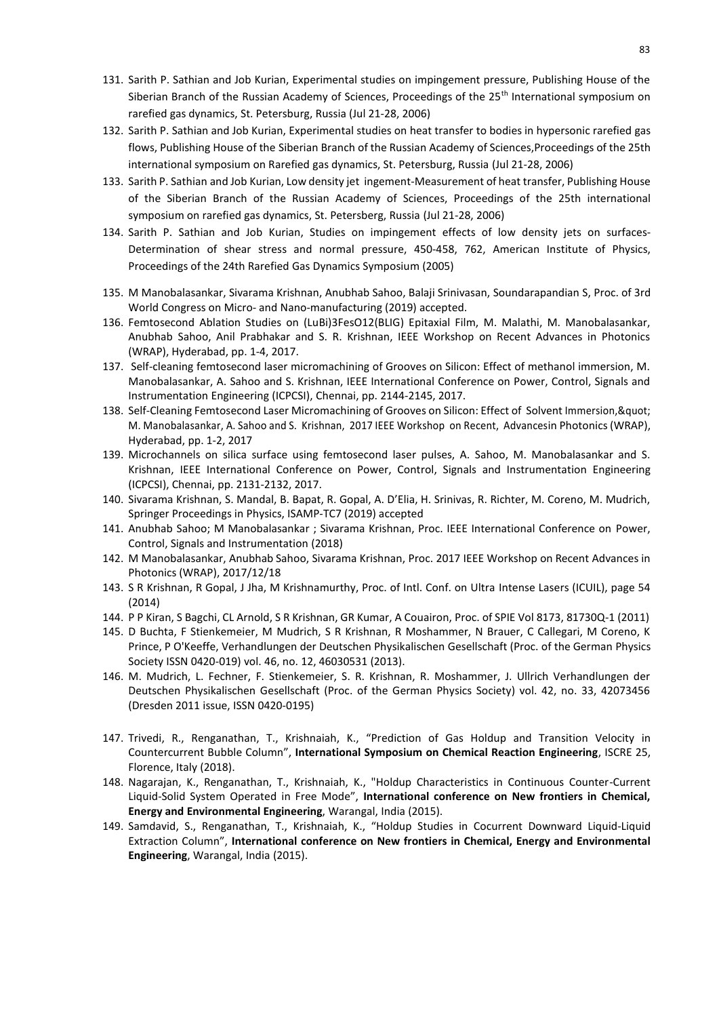- 131. Sarith P. Sathian and Job Kurian, Experimental studies on impingement pressure, Publishing House of the Siberian Branch of the Russian Academy of Sciences, Proceedings of the 25<sup>th</sup> International symposium on rarefied gas dynamics, St. Petersburg, Russia (Jul 21-28, 2006)
- 132. Sarith P. Sathian and Job Kurian, Experimental studies on heat transfer to bodies in hypersonic rarefied gas flows, Publishing House of the Siberian Branch of the Russian Academy of Sciences,Proceedings of the 25th international symposium on Rarefied gas dynamics, St. Petersburg, Russia (Jul 21-28, 2006)
- 133. Sarith P. Sathian and Job Kurian, Low density jet ingement-Measurement of heat transfer, Publishing House of the Siberian Branch of the Russian Academy of Sciences, Proceedings of the 25th international symposium on rarefied gas dynamics, St. Petersberg, Russia (Jul 21-28, 2006)
- 134. Sarith P. Sathian and Job Kurian, Studies on impingement effects of low density jets on surfaces-Determination of shear stress and normal pressure, 450-458, 762, American Institute of Physics, Proceedings of the 24th Rarefied Gas Dynamics Symposium (2005)
- 135. M Manobalasankar, Sivarama Krishnan, Anubhab Sahoo, Balaji Srinivasan, Soundarapandian S, Proc. of 3rd World Congress on Micro- and Nano-manufacturing (2019) accepted.
- 136. Femtosecond Ablation Studies on (LuBi)3FesO12(BLIG) Epitaxial Film, M. Malathi, M. Manobalasankar, Anubhab Sahoo, Anil Prabhakar and S. R. Krishnan, IEEE Workshop on Recent Advances in Photonics (WRAP), Hyderabad, pp. 1-4, 2017.
- 137. Self-cleaning femtosecond laser micromachining of Grooves on Silicon: Effect of methanol immersion, M. Manobalasankar, A. Sahoo and S. Krishnan, IEEE International Conference on Power, Control, Signals and Instrumentation Engineering (ICPCSI), Chennai, pp. 2144-2145, 2017.
- 138. Self-Cleaning Femtosecond Laser Micromachining of Grooves on Silicon: Effect of Solvent Immersion, & quot; M. Manobalasankar, A. Sahoo and S. Krishnan, 2017 IEEE Workshop on Recent, Advancesin Photonics(WRAP), Hyderabad, pp. 1-2, 2017
- 139. Microchannels on silica surface using femtosecond laser pulses, A. Sahoo, M. Manobalasankar and S. Krishnan, IEEE International Conference on Power, Control, Signals and Instrumentation Engineering (ICPCSI), Chennai, pp. 2131-2132, 2017.
- 140. Sivarama Krishnan, S. Mandal, B. Bapat, R. Gopal, A. D'Elia, H. Srinivas, R. Richter, M. Coreno, M. Mudrich, Springer Proceedings in Physics, ISAMP-TC7 (2019) accepted
- 141. Anubhab Sahoo; M Manobalasankar ; Sivarama Krishnan, Proc. IEEE International Conference on Power, Control, Signals and Instrumentation (2018)
- 142. M Manobalasankar, Anubhab Sahoo, Sivarama Krishnan, Proc. 2017 IEEE Workshop on Recent Advances in Photonics (WRAP), 2017/12/18
- 143. S R Krishnan, R Gopal, J Jha, M Krishnamurthy, Proc. of Intl. Conf. on Ultra Intense Lasers (ICUIL), page 54 (2014)
- 144. P P Kiran, S Bagchi, CL Arnold, S R Krishnan, GR Kumar, A Couairon, Proc. of SPIE Vol 8173, 81730Q-1 (2011)
- 145. D Buchta, F Stienkemeier, M Mudrich, S R Krishnan, R Moshammer, N Brauer, C Callegari, M Coreno, K Prince, P O'Keeffe, Verhandlungen der Deutschen Physikalischen Gesellschaft (Proc. of the German Physics Society ISSN 0420-019) vol. 46, no. 12, 46030531 (2013).
- 146. M. Mudrich, L. Fechner, F. Stienkemeier, S. R. Krishnan, R. Moshammer, J. Ullrich Verhandlungen der Deutschen Physikalischen Gesellschaft (Proc. of the German Physics Society) vol. 42, no. 33, 42073456 (Dresden 2011 issue, ISSN 0420-0195)
- 147. Trivedi, R., Renganathan, T., Krishnaiah, K., "Prediction of Gas Holdup and Transition Velocity in Countercurrent Bubble Column", **International Symposium on Chemical Reaction Engineering**, ISCRE 25, Florence, Italy (2018).
- 148. Nagarajan, K., Renganathan, T., Krishnaiah, K., "Holdup Characteristics in Continuous Counter-Current Liquid-Solid System Operated in Free Mode", **International conference on New frontiers in Chemical, Energy and Environmental Engineering**, Warangal, India (2015).
- 149. Samdavid, S., Renganathan, T., Krishnaiah, K., "Holdup Studies in Cocurrent Downward Liquid-Liquid Extraction Column", **International conference on New frontiers in Chemical, Energy and Environmental Engineering**, Warangal, India (2015).